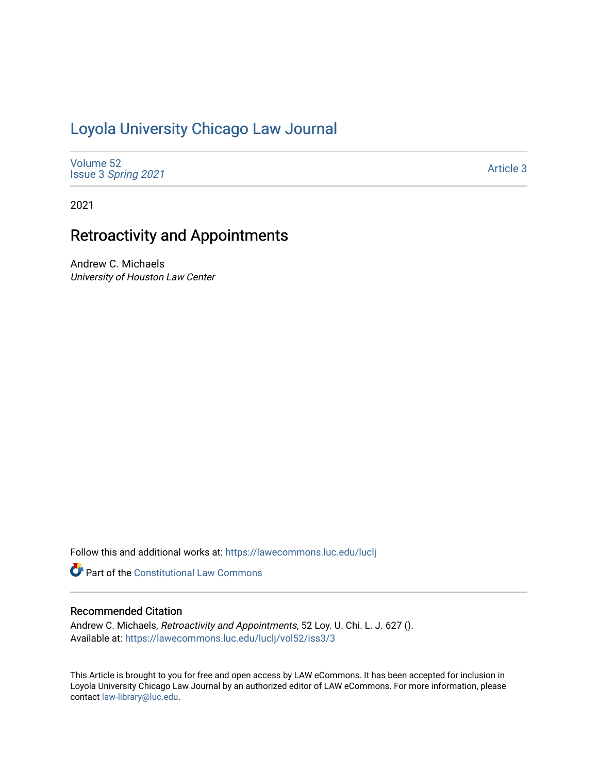# [Loyola University Chicago Law Journal](https://lawecommons.luc.edu/luclj)

[Volume 52](https://lawecommons.luc.edu/luclj/vol52) Issue 3 [Spring 2021](https://lawecommons.luc.edu/luclj/vol52/iss3) 

[Article 3](https://lawecommons.luc.edu/luclj/vol52/iss3/3) 

2021

# Retroactivity and Appointments

Andrew C. Michaels University of Houston Law Center

Follow this and additional works at: [https://lawecommons.luc.edu/luclj](https://lawecommons.luc.edu/luclj?utm_source=lawecommons.luc.edu%2Fluclj%2Fvol52%2Fiss3%2F3&utm_medium=PDF&utm_campaign=PDFCoverPages) 

**Part of the Constitutional Law Commons** 

# Recommended Citation

Andrew C. Michaels, Retroactivity and Appointments, 52 Loy. U. Chi. L. J. 627 (). Available at: [https://lawecommons.luc.edu/luclj/vol52/iss3/3](https://lawecommons.luc.edu/luclj/vol52/iss3/3?utm_source=lawecommons.luc.edu%2Fluclj%2Fvol52%2Fiss3%2F3&utm_medium=PDF&utm_campaign=PDFCoverPages) 

This Article is brought to you for free and open access by LAW eCommons. It has been accepted for inclusion in Loyola University Chicago Law Journal by an authorized editor of LAW eCommons. For more information, please contact [law-library@luc.edu.](mailto:law-library@luc.edu)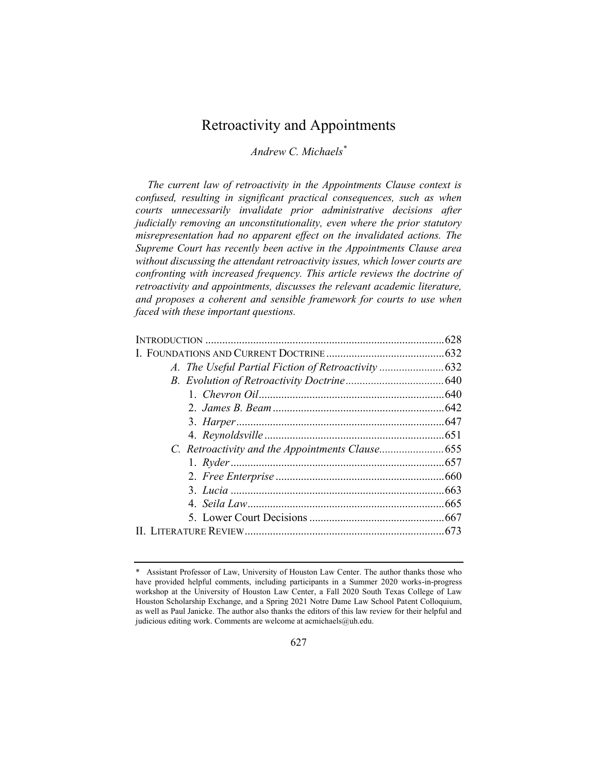# Retroactivity and Appointments

*Andrew C. Michaels\**

*The current law of retroactivity in the Appointments Clause context is confused, resulting in significant practical consequences, such as when courts unnecessarily invalidate prior administrative decisions after judicially removing an unconstitutionality, even where the prior statutory misrepresentation had no apparent effect on the invalidated actions. The Supreme Court has recently been active in the Appointments Clause area without discussing the attendant retroactivity issues, which lower courts are confronting with increased frequency. This article reviews the doctrine of retroactivity and appointments, discusses the relevant academic literature, and proposes a coherent and sensible framework for courts to use when faced with these important questions.*

<sup>\*</sup> Assistant Professor of Law, University of Houston Law Center. The author thanks those who have provided helpful comments, including participants in a Summer 2020 works-in-progress workshop at the University of Houston Law Center, a Fall 2020 South Texas College of Law Houston Scholarship Exchange, and a Spring 2021 Notre Dame Law School Patent Colloquium, as well as Paul Janicke. The author also thanks the editors of this law review for their helpful and judicious editing work. Comments are welcome at acmichaels@uh.edu.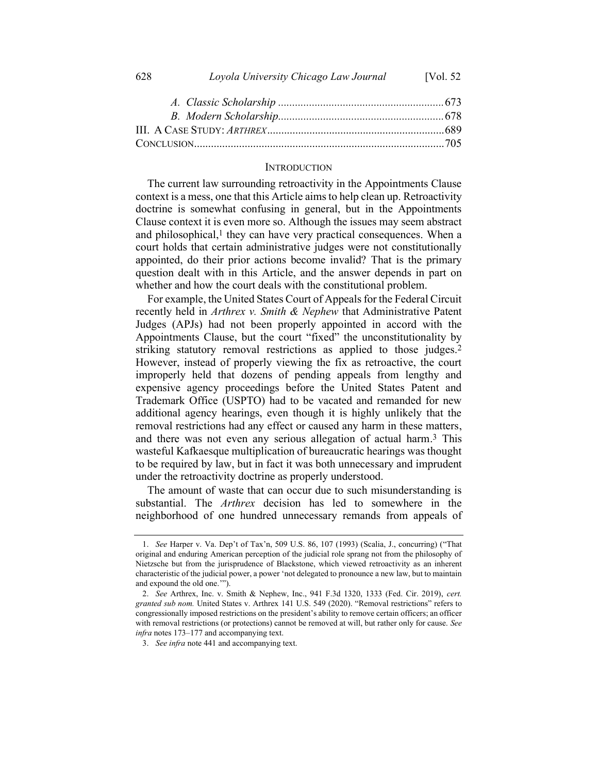| 628<br>Loyola University Chicago Law Journal | [Vol. $52$ |
|----------------------------------------------|------------|
|----------------------------------------------|------------|

#### **INTRODUCTION**

The current law surrounding retroactivity in the Appointments Clause context is a mess, one that this Article aims to help clean up. Retroactivity doctrine is somewhat confusing in general, but in the Appointments Clause context it is even more so. Although the issues may seem abstract and philosophical, $<sup>1</sup>$  they can have very practical consequences. When a</sup> court holds that certain administrative judges were not constitutionally appointed, do their prior actions become invalid? That is the primary question dealt with in this Article, and the answer depends in part on whether and how the court deals with the constitutional problem.

For example, the United States Court of Appeals for the Federal Circuit recently held in *Arthrex v. Smith & Nephew* that Administrative Patent Judges (APJs) had not been properly appointed in accord with the Appointments Clause, but the court "fixed" the unconstitutionality by striking statutory removal restrictions as applied to those judges.2 However, instead of properly viewing the fix as retroactive, the court improperly held that dozens of pending appeals from lengthy and expensive agency proceedings before the United States Patent and Trademark Office (USPTO) had to be vacated and remanded for new additional agency hearings, even though it is highly unlikely that the removal restrictions had any effect or caused any harm in these matters, and there was not even any serious allegation of actual harm. 3 This wasteful Kafkaesque multiplication of bureaucratic hearings was thought to be required by law, but in fact it was both unnecessary and imprudent under the retroactivity doctrine as properly understood.

The amount of waste that can occur due to such misunderstanding is substantial. The *Arthrex* decision has led to somewhere in the neighborhood of one hundred unnecessary remands from appeals of

<sup>1.</sup> *See* Harper v. Va. Dep't of Tax'n, 509 U.S. 86, 107 (1993) (Scalia, J., concurring) ("That original and enduring American perception of the judicial role sprang not from the philosophy of Nietzsche but from the jurisprudence of Blackstone, which viewed retroactivity as an inherent characteristic of the judicial power, a power 'not delegated to pronounce a new law, but to maintain and expound the old one.'").

<sup>2.</sup> *See* Arthrex, Inc. v. Smith & Nephew, Inc., 941 F.3d 1320, 1333 (Fed. Cir. 2019), *cert. granted sub nom.* United States v. Arthrex 141 U.S. 549 (2020). "Removal restrictions" refers to congressionally imposed restrictions on the president's ability to remove certain officers; an officer with removal restrictions (or protections) cannot be removed at will, but rather only for cause. *See infra* note[s 173](#page-29-0)–[177](#page-30-0) and accompanying text.

<sup>3.</sup> *See infra* not[e 441](#page-72-0) and accompanying text.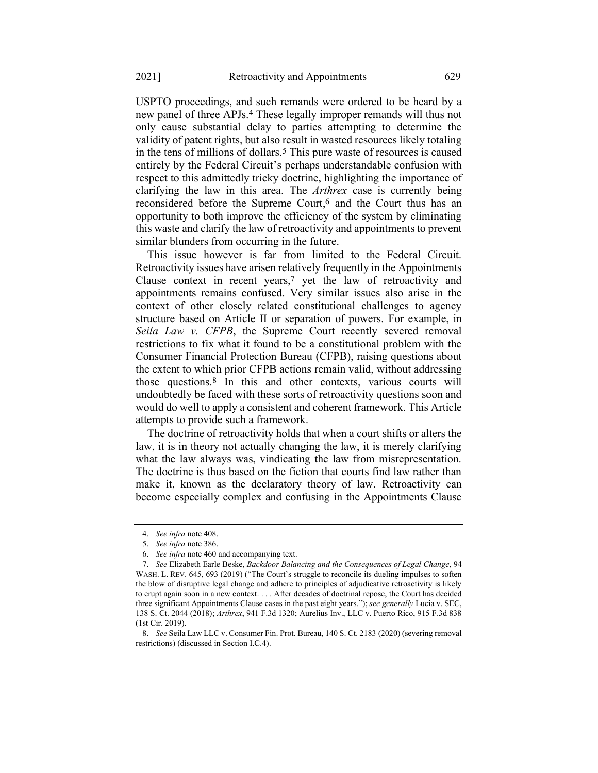USPTO proceedings, and such remands were ordered to be heard by a new panel of three APJs.4 These legally improper remands will thus not only cause substantial delay to parties attempting to determine the validity of patent rights, but also result in wasted resources likely totaling in the tens of millions of dollars.5 This pure waste of resources is caused entirely by the Federal Circuit's perhaps understandable confusion with respect to this admittedly tricky doctrine, highlighting the importance of clarifying the law in this area. The *Arthrex* case is currently being reconsidered before the Supreme Court, 6 and the Court thus has an opportunity to both improve the efficiency of the system by eliminating this waste and clarify the law of retroactivity and appointments to prevent similar blunders from occurring in the future.

<span id="page-3-0"></span>This issue however is far from limited to the Federal Circuit. Retroactivity issues have arisen relatively frequently in the Appointments Clause context in recent years, $7$  yet the law of retroactivity and appointments remains confused. Very similar issues also arise in the context of other closely related constitutional challenges to agency structure based on Article II or separation of powers. For example, in *Seila Law v. CFPB*, the Supreme Court recently severed removal restrictions to fix what it found to be a constitutional problem with the Consumer Financial Protection Bureau (CFPB), raising questions about the extent to which prior CFPB actions remain valid, without addressing those questions.8 In this and other contexts, various courts will undoubtedly be faced with these sorts of retroactivity questions soon and would do well to apply a consistent and coherent framework. This Article attempts to provide such a framework.

The doctrine of retroactivity holds that when a court shifts or alters the law, it is in theory not actually changing the law, it is merely clarifying what the law always was, vindicating the law from misrepresentation. The doctrine is thus based on the fiction that courts find law rather than make it, known as the declaratory theory of law. Retroactivity can become especially complex and confusing in the Appointments Clause

<sup>4.</sup> *See infra* not[e 408.](#page-67-0)

<sup>5.</sup> *See infra* not[e 386.](#page-63-0)

<sup>6.</sup> *See infra* not[e 460](#page-77-0) and accompanying text.

<sup>7.</sup> *See* Elizabeth Earle Beske, *Backdoor Balancing and the Consequences of Legal Change*, 94 WASH. L. REV. 645, 693 (2019) ("The Court's struggle to reconcile its dueling impulses to soften the blow of disruptive legal change and adhere to principles of adjudicative retroactivity is likely to erupt again soon in a new context. . . . After decades of doctrinal repose, the Court has decided three significant Appointments Clause cases in the past eight years."); *see generally* Lucia v. SEC, 138 S. Ct. 2044 (2018); *Arthrex*, 941 F.3d 1320; Aurelius Inv., LLC v. Puerto Rico, 915 F.3d 838 (1st Cir. 2019).

<sup>8.</sup> *See* Seila Law LLC v. Consumer Fin. Prot. Bureau, 140 S. Ct. 2183 (2020) (severing removal restrictions) (discussed in Section I.C.4).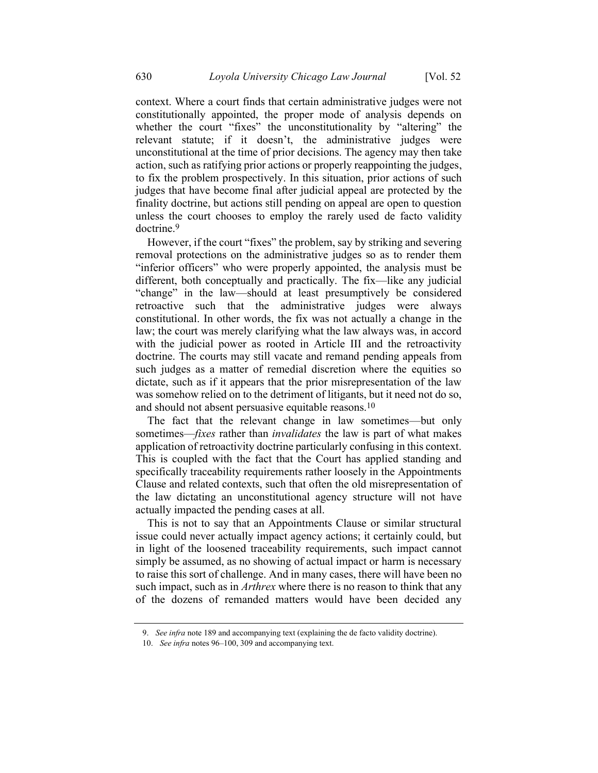context. Where a court finds that certain administrative judges were not constitutionally appointed, the proper mode of analysis depends on whether the court "fixes" the unconstitutionality by "altering" the relevant statute; if it doesn't, the administrative judges were unconstitutional at the time of prior decisions. The agency may then take action, such as ratifying prior actions or properly reappointing the judges, to fix the problem prospectively. In this situation, prior actions of such judges that have become final after judicial appeal are protected by the finality doctrine, but actions still pending on appeal are open to question unless the court chooses to employ the rarely used de facto validity doctrine.9

However, if the court "fixes" the problem, say by striking and severing removal protections on the administrative judges so as to render them "inferior officers" who were properly appointed, the analysis must be different, both conceptually and practically. The fix—like any judicial "change" in the law—should at least presumptively be considered retroactive such that the administrative judges were always constitutional. In other words, the fix was not actually a change in the law; the court was merely clarifying what the law always was, in accord with the judicial power as rooted in Article III and the retroactivity doctrine. The courts may still vacate and remand pending appeals from such judges as a matter of remedial discretion where the equities so dictate, such as if it appears that the prior misrepresentation of the law was somehow relied on to the detriment of litigants, but it need not do so, and should not absent persuasive equitable reasons.10

The fact that the relevant change in law sometimes—but only sometimes—*fixes* rather than *invalidates* the law is part of what makes application of retroactivity doctrine particularly confusing in this context. This is coupled with the fact that the Court has applied standing and specifically traceability requirements rather loosely in the Appointments Clause and related contexts, such that often the old misrepresentation of the law dictating an unconstitutional agency structure will not have actually impacted the pending cases at all.

This is not to say that an Appointments Clause or similar structural issue could never actually impact agency actions; it certainly could, but in light of the loosened traceability requirements, such impact cannot simply be assumed, as no showing of actual impact or harm is necessary to raise this sort of challenge. And in many cases, there will have been no such impact, such as in *Arthrex* where there is no reason to think that any of the dozens of remanded matters would have been decided any

<sup>9.</sup> *See infra* not[e 189](#page-32-0) and accompanying text (explaining the de facto validity doctrine).

<sup>10.</sup> *See infra* note[s 96](#page-19-0)–[100,](#page-19-1) [309](#page-50-0) and accompanying text.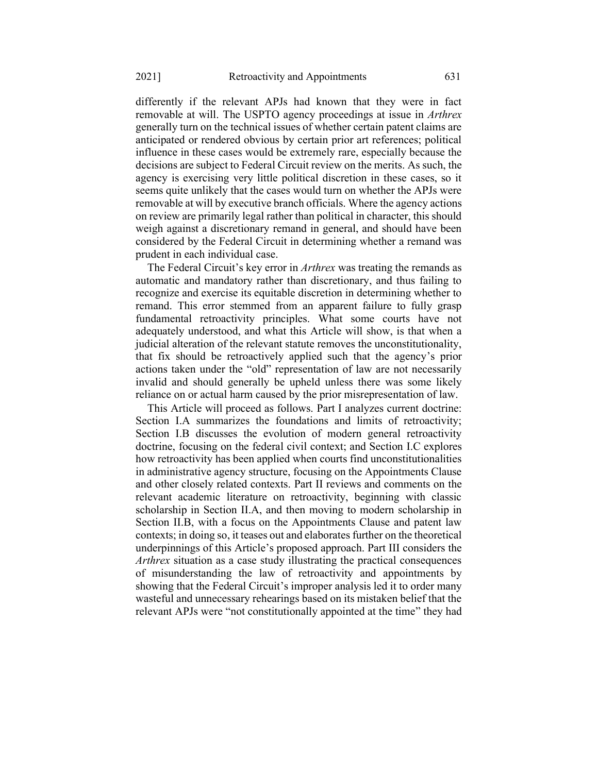differently if the relevant APJs had known that they were in fact removable at will. The USPTO agency proceedings at issue in *Arthrex* generally turn on the technical issues of whether certain patent claims are anticipated or rendered obvious by certain prior art references; political influence in these cases would be extremely rare, especially because the decisions are subject to Federal Circuit review on the merits. As such, the agency is exercising very little political discretion in these cases, so it seems quite unlikely that the cases would turn on whether the APJs were removable at will by executive branch officials. Where the agency actions on review are primarily legal rather than political in character, this should weigh against a discretionary remand in general, and should have been considered by the Federal Circuit in determining whether a remand was prudent in each individual case.

The Federal Circuit's key error in *Arthrex* was treating the remands as automatic and mandatory rather than discretionary, and thus failing to recognize and exercise its equitable discretion in determining whether to remand. This error stemmed from an apparent failure to fully grasp fundamental retroactivity principles. What some courts have not adequately understood, and what this Article will show, is that when a judicial alteration of the relevant statute removes the unconstitutionality, that fix should be retroactively applied such that the agency's prior actions taken under the "old" representation of law are not necessarily invalid and should generally be upheld unless there was some likely reliance on or actual harm caused by the prior misrepresentation of law.

This Article will proceed as follows. Part I analyzes current doctrine: Section I.A summarizes the foundations and limits of retroactivity; Section I.B discusses the evolution of modern general retroactivity doctrine, focusing on the federal civil context; and Section I.C explores how retroactivity has been applied when courts find unconstitutionalities in administrative agency structure, focusing on the Appointments Clause and other closely related contexts. Part II reviews and comments on the relevant academic literature on retroactivity, beginning with classic scholarship in Section II.A, and then moving to modern scholarship in Section II.B, with a focus on the Appointments Clause and patent law contexts; in doing so, it teases out and elaborates further on the theoretical underpinnings of this Article's proposed approach. Part III considers the *Arthrex* situation as a case study illustrating the practical consequences of misunderstanding the law of retroactivity and appointments by showing that the Federal Circuit's improper analysis led it to order many wasteful and unnecessary rehearings based on its mistaken belief that the relevant APJs were "not constitutionally appointed at the time" they had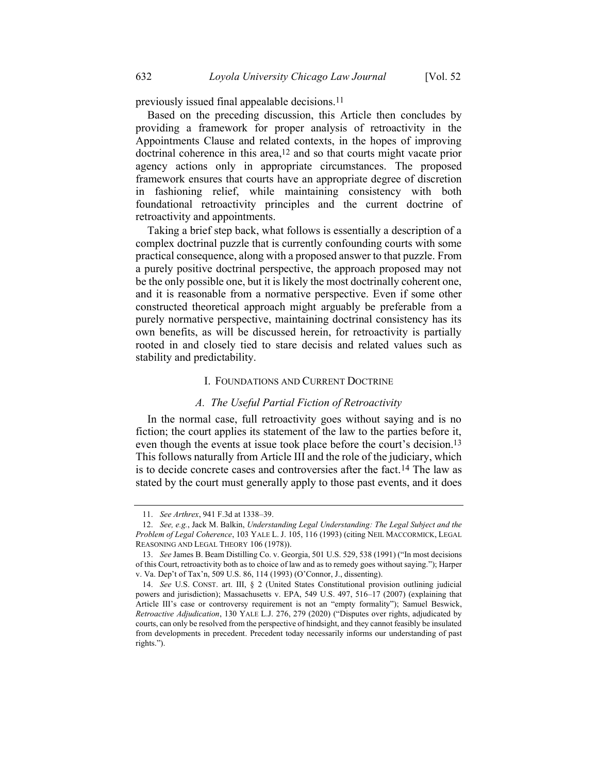Based on the preceding discussion, this Article then concludes by providing a framework for proper analysis of retroactivity in the Appointments Clause and related contexts, in the hopes of improving doctrinal coherence in this area,<sup>12</sup> and so that courts might vacate prior agency actions only in appropriate circumstances. The proposed framework ensures that courts have an appropriate degree of discretion in fashioning relief, while maintaining consistency with both foundational retroactivity principles and the current doctrine of retroactivity and appointments.

Taking a brief step back, what follows is essentially a description of a complex doctrinal puzzle that is currently confounding courts with some practical consequence, along with a proposed answer to that puzzle. From a purely positive doctrinal perspective, the approach proposed may not be the only possible one, but it is likely the most doctrinally coherent one, and it is reasonable from a normative perspective. Even if some other constructed theoretical approach might arguably be preferable from a purely normative perspective, maintaining doctrinal consistency has its own benefits, as will be discussed herein, for retroactivity is partially rooted in and closely tied to stare decisis and related values such as stability and predictability.

#### <span id="page-6-0"></span>I. FOUNDATIONS AND CURRENT DOCTRINE

# *A. The Useful Partial Fiction of Retroactivity*

In the normal case, full retroactivity goes without saying and is no fiction; the court applies its statement of the law to the parties before it, even though the events at issue took place before the court's decision.13 This follows naturally from Article III and the role of the judiciary, which is to decide concrete cases and controversies after the fact.14 The law as stated by the court must generally apply to those past events, and it does

<sup>11.</sup> *See Arthrex*, 941 F.3d at 1338–39.

<sup>12.</sup> *See, e.g.*, Jack M. Balkin, *Understanding Legal Understanding: The Legal Subject and the Problem of Legal Coherence*, 103 YALE L. J. 105, 116 (1993) (citing NEIL MACCORMICK, LEGAL REASONING AND LEGAL THEORY 106 (1978)).

<sup>13.</sup> *See* James B. Beam Distilling Co. v. Georgia, 501 U.S. 529, 538 (1991) ("In most decisions of this Court, retroactivity both as to choice of law and as to remedy goes without saying."); Harper v. Va. Dep't of Tax'n, 509 U.S. 86, 114 (1993) (O'Connor, J., dissenting).

<sup>14.</sup> *See* U.S. CONST. art. III, § 2 (United States Constitutional provision outlining judicial powers and jurisdiction); Massachusetts v. EPA, 549 U.S. 497, 516–17 (2007) (explaining that Article III's case or controversy requirement is not an "empty formality"); Samuel Beswick, *Retroactive Adjudication*, 130 YALE L.J. 276, 279 (2020) ("Disputes over rights, adjudicated by courts, can only be resolved from the perspective of hindsight, and they cannot feasibly be insulated from developments in precedent. Precedent today necessarily informs our understanding of past rights.").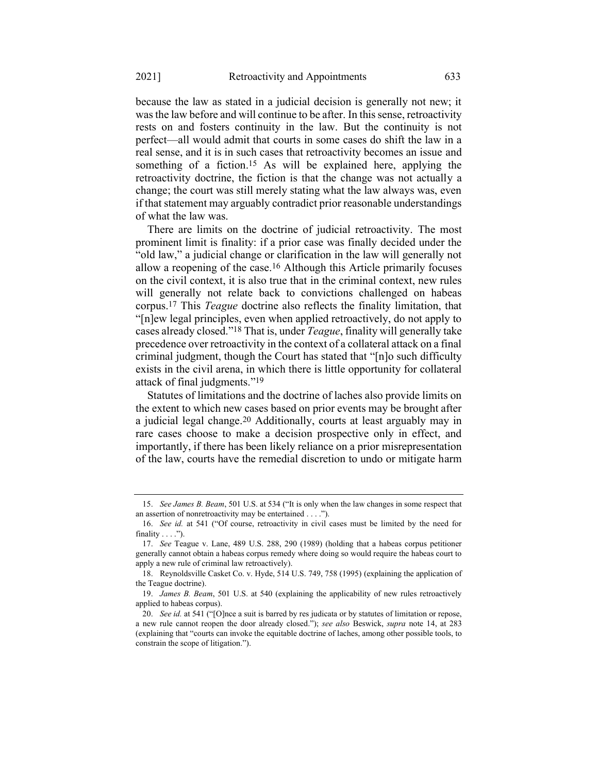because the law as stated in a judicial decision is generally not new; it was the law before and will continue to be after. In this sense, retroactivity rests on and fosters continuity in the law. But the continuity is not perfect—all would admit that courts in some cases do shift the law in a real sense, and it is in such cases that retroactivity becomes an issue and something of a fiction. 15 As will be explained here, applying the retroactivity doctrine, the fiction is that the change was not actually a change; the court was still merely stating what the law always was, even if that statement may arguably contradict prior reasonable understandings of what the law was.

There are limits on the doctrine of judicial retroactivity. The most prominent limit is finality: if a prior case was finally decided under the "old law," a judicial change or clarification in the law will generally not allow a reopening of the case.16 Although this Article primarily focuses on the civil context, it is also true that in the criminal context, new rules will generally not relate back to convictions challenged on habeas corpus.17 This *Teague* doctrine also reflects the finality limitation, that "[n]ew legal principles, even when applied retroactively, do not apply to cases already closed."18 That is, under *Teague*, finality will generally take precedence over retroactivity in the context of a collateral attack on a final criminal judgment, though the Court has stated that "[n]o such difficulty exists in the civil arena, in which there is little opportunity for collateral attack of final judgments."19

Statutes of limitations and the doctrine of laches also provide limits on the extent to which new cases based on prior events may be brought after a judicial legal change.20 Additionally, courts at least arguably may in rare cases choose to make a decision prospective only in effect, and importantly, if there has been likely reliance on a prior misrepresentation of the law, courts have the remedial discretion to undo or mitigate harm

<sup>15.</sup> *See James B. Beam*, 501 U.S. at 534 ("It is only when the law changes in some respect that an assertion of nonretroactivity may be entertained . . . .").

<sup>16.</sup> *See id.* at 541 ("Of course, retroactivity in civil cases must be limited by the need for finality  $\dots$ .").

<sup>17.</sup> *See* Teague v. Lane, 489 U.S. 288, 290 (1989) (holding that a habeas corpus petitioner generally cannot obtain a habeas corpus remedy where doing so would require the habeas court to apply a new rule of criminal law retroactively).

<sup>18.</sup> Reynoldsville Casket Co. v. Hyde, 514 U.S. 749, 758 (1995) (explaining the application of the Teague doctrine).

<sup>19.</sup> *James B. Beam*, 501 U.S. at 540 (explaining the applicability of new rules retroactively applied to habeas corpus).

<sup>20.</sup> *See id.* at 541 ("[O]nce a suit is barred by res judicata or by statutes of limitation or repose, a new rule cannot reopen the door already closed."); *see also* Beswick, *supra* note [14,](#page-6-0) at 283 (explaining that "courts can invoke the equitable doctrine of laches, among other possible tools, to constrain the scope of litigation.").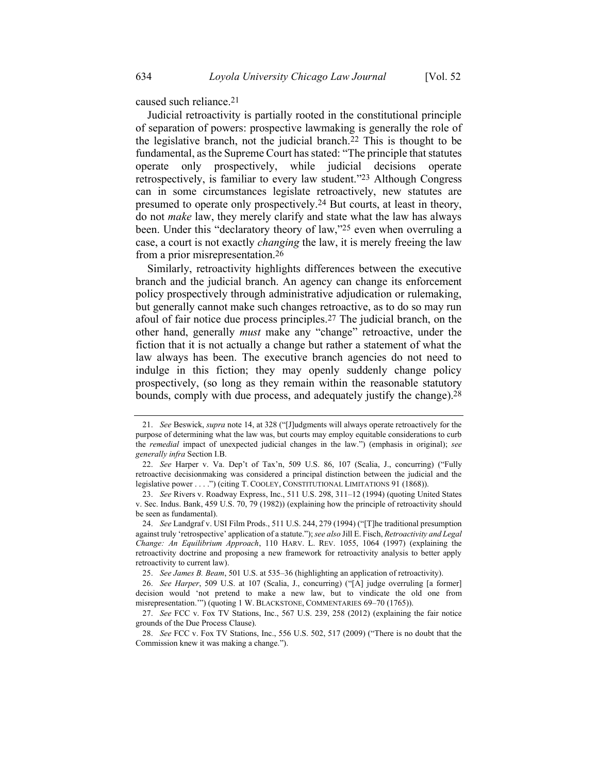caused such reliance.21

Judicial retroactivity is partially rooted in the constitutional principle of separation of powers: prospective lawmaking is generally the role of the legislative branch, not the judicial branch.22 This is thought to be fundamental, as the Supreme Court has stated: "The principle that statutes operate only prospectively, while judicial decisions operate retrospectively, is familiar to every law student."23 Although Congress can in some circumstances legislate retroactively, new statutes are presumed to operate only prospectively.24 But courts, at least in theory, do not *make* law, they merely clarify and state what the law has always been. Under this "declaratory theory of law,"25 even when overruling a case, a court is not exactly *changing* the law, it is merely freeing the law from a prior misrepresentation.26

<span id="page-8-1"></span><span id="page-8-0"></span>Similarly, retroactivity highlights differences between the executive branch and the judicial branch. An agency can change its enforcement policy prospectively through administrative adjudication or rulemaking, but generally cannot make such changes retroactive, as to do so may run afoul of fair notice due process principles.27 The judicial branch, on the other hand, generally *must* make any "change" retroactive, under the fiction that it is not actually a change but rather a statement of what the law always has been. The executive branch agencies do not need to indulge in this fiction; they may openly suddenly change policy prospectively, (so long as they remain within the reasonable statutory bounds, comply with due process, and adequately justify the change). 28

<span id="page-8-2"></span><sup>21.</sup> *See* Beswick, *supra* not[e 14,](#page-6-0) at 328 ("[J]udgments will always operate retroactively for the purpose of determining what the law was, but courts may employ equitable considerations to curb the *remedial* impact of unexpected judicial changes in the law.") (emphasis in original); *see generally infra* Section I.B.

<sup>22.</sup> *See* Harper v. Va. Dep't of Tax'n, 509 U.S. 86, 107 (Scalia, J., concurring) ("Fully retroactive decisionmaking was considered a principal distinction between the judicial and the legislative power . . . .") (citing T. COOLEY, CONSTITUTIONAL LIMITATIONS 91 (1868)).

<sup>23.</sup> *See* Rivers v. Roadway Express, Inc., 511 U.S. 298, 311–12 (1994) (quoting United States v. Sec. Indus. Bank, 459 U.S. 70, 79 (1982)) (explaining how the principle of retroactivity should be seen as fundamental).

<sup>24.</sup> *See* Landgraf v. USI Film Prods., 511 U.S. 244, 279 (1994) ("[T]he traditional presumption against truly 'retrospective' application of a statute."); *see also* Jill E. Fisch, *Retroactivity and Legal Change: An Equilibrium Approach*, 110 HARV. L. REV. 1055, 1064 (1997) (explaining the retroactivity doctrine and proposing a new framework for retroactivity analysis to better apply retroactivity to current law).

<sup>25.</sup> *See James B. Beam*, 501 U.S. at 535–36 (highlighting an application of retroactivity).

<sup>26.</sup> *See Harper*, 509 U.S. at 107 (Scalia, J., concurring) ("[A] judge overruling [a former] decision would 'not pretend to make a new law, but to vindicate the old one from misrepresentation.'") (quoting 1 W. BLACKSTONE, COMMENTARIES 69–70 (1765)).

<sup>27.</sup> *See* FCC v. Fox TV Stations, Inc., 567 U.S. 239, 258 (2012) (explaining the fair notice grounds of the Due Process Clause).

<sup>28.</sup> *See* FCC v. Fox TV Stations, Inc., 556 U.S. 502, 517 (2009) ("There is no doubt that the Commission knew it was making a change.").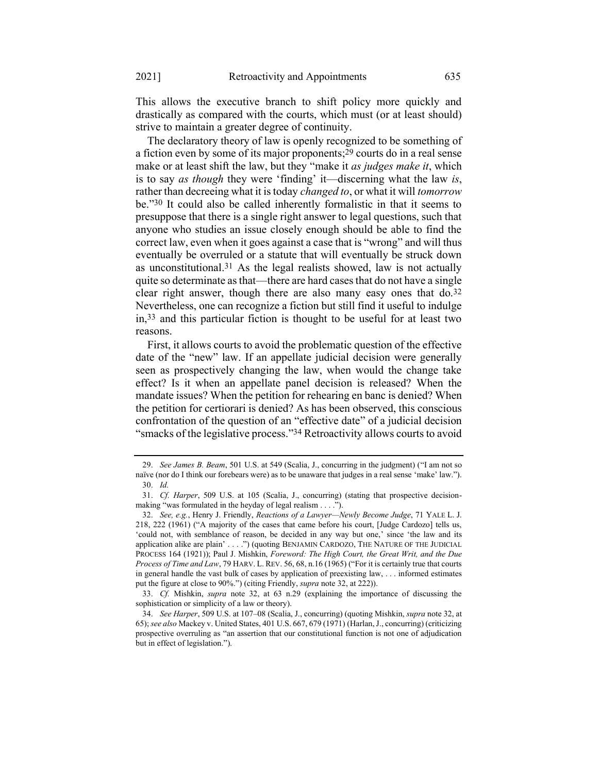This allows the executive branch to shift policy more quickly and drastically as compared with the courts, which must (or at least should) strive to maintain a greater degree of continuity.

The declaratory theory of law is openly recognized to be something of a fiction even by some of its major proponents; 29 courts do in a real sense make or at least shift the law, but they "make it *as judges make it*, which is to say *as though* they were 'finding' it—discerning what the law *is*, rather than decreeing what it is today *changed to*, or what it will *tomorrow* be."30 It could also be called inherently formalistic in that it seems to presuppose that there is a single right answer to legal questions, such that anyone who studies an issue closely enough should be able to find the correct law, even when it goes against a case that is "wrong" and will thus eventually be overruled or a statute that will eventually be struck down as unconstitutional.31 As the legal realists showed, law is not actually quite so determinate as that—there are hard cases that do not have a single clear right answer, though there are also many easy ones that  $do.32$ Nevertheless, one can recognize a fiction but still find it useful to indulge in,33 and this particular fiction is thought to be useful for at least two reasons.

<span id="page-9-0"></span>First, it allows courts to avoid the problematic question of the effective date of the "new" law. If an appellate judicial decision were generally seen as prospectively changing the law, when would the change take effect? Is it when an appellate panel decision is released? When the mandate issues? When the petition for rehearing en banc is denied? When the petition for certiorari is denied? As has been observed, this conscious confrontation of the question of an "effective date" of a judicial decision "smacks of the legislative process."34 Retroactivity allows courts to avoid

<sup>29.</sup> *See James B. Beam*, 501 U.S. at 549 (Scalia, J., concurring in the judgment) ("I am not so naïve (nor do I think our forebears were) as to be unaware that judges in a real sense 'make' law."). 30. *Id.*

<sup>31.</sup> *Cf. Harper*, 509 U.S. at 105 (Scalia, J., concurring) (stating that prospective decisionmaking "was formulated in the heyday of legal realism . . . .").

<sup>32.</sup> *See, e.g.*, Henry J. Friendly, *Reactions of a Lawyer—Newly Become Judge*, 71 YALE L. J. 218, 222 (1961) ("A majority of the cases that came before his court, [Judge Cardozo] tells us, 'could not, with semblance of reason, be decided in any way but one,' since 'the law and its application alike are plain' . . . .") (quoting BENJAMIN CARDOZO, THE NATURE OF THE JUDICIAL PROCESS 164 (1921)); Paul J. Mishkin, *Foreword: The High Court, the Great Writ, and the Due Process of Time and Law*, 79 HARV. L. REV. 56, 68, n.16 (1965) ("For it is certainly true that courts in general handle the vast bulk of cases by application of preexisting law, . . . informed estimates put the figure at close to 90%.") (citing Friendly, *supra* not[e 32,](#page-9-0) at 222)).

<sup>33.</sup> *Cf.* Mishkin, *supra* note [32,](#page-9-0) at 63 n.29 (explaining the importance of discussing the sophistication or simplicity of a law or theory).

<sup>34.</sup> *See Harper*, 509 U.S. at 107–08 (Scalia, J., concurring) (quoting Mishkin, *supra* not[e 32,](#page-9-0) at 65); *see also* Mackey v. United States, 401 U.S. 667, 679 (1971) (Harlan, J., concurring) (criticizing prospective overruling as "an assertion that our constitutional function is not one of adjudication but in effect of legislation.").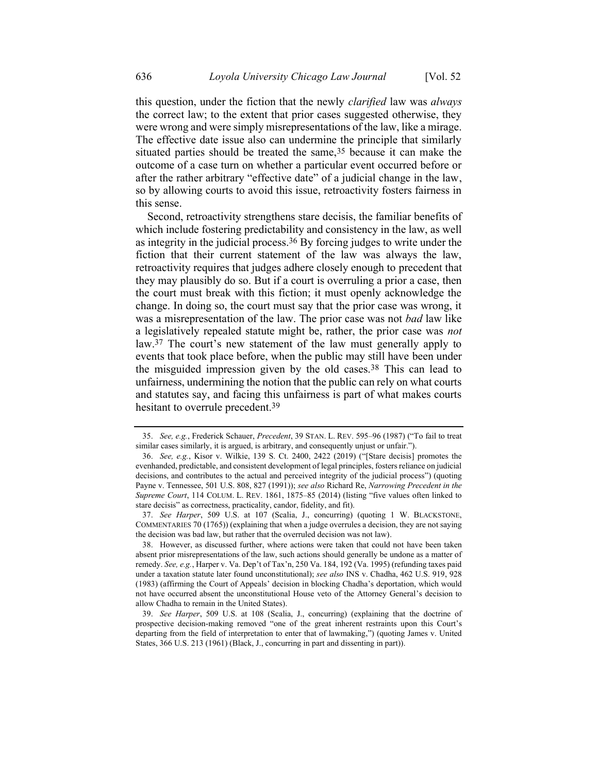this question, under the fiction that the newly *clarified* law was *always* the correct law; to the extent that prior cases suggested otherwise, they were wrong and were simply misrepresentations of the law, like a mirage. The effective date issue also can undermine the principle that similarly situated parties should be treated the same,<sup>35</sup> because it can make the outcome of a case turn on whether a particular event occurred before or after the rather arbitrary "effective date" of a judicial change in the law, so by allowing courts to avoid this issue, retroactivity fosters fairness in this sense.

Second, retroactivity strengthens stare decisis, the familiar benefits of which include fostering predictability and consistency in the law, as well as integrity in the judicial process.36 By forcing judges to write under the fiction that their current statement of the law was always the law, retroactivity requires that judges adhere closely enough to precedent that they may plausibly do so. But if a court is overruling a prior a case, then the court must break with this fiction; it must openly acknowledge the change. In doing so, the court must say that the prior case was wrong, it was a misrepresentation of the law. The prior case was not *bad* law like a legislatively repealed statute might be, rather, the prior case was *not*  law.37 The court's new statement of the law must generally apply to events that took place before, when the public may still have been under the misguided impression given by the old cases.38 This can lead to unfairness, undermining the notion that the public can rely on what courts and statutes say, and facing this unfairness is part of what makes courts hesitant to overrule precedent.39

<sup>35.</sup> *See, e.g.*, Frederick Schauer, *Precedent*, 39 STAN. L. REV. 595–96 (1987) ("To fail to treat similar cases similarly, it is argued, is arbitrary, and consequently unjust or unfair.").

<sup>36.</sup> *See, e.g.*, Kisor v. Wilkie, 139 S. Ct. 2400, 2422 (2019) ("[Stare decisis] promotes the evenhanded, predictable, and consistent development of legal principles, fosters reliance on judicial decisions, and contributes to the actual and perceived integrity of the judicial process") (quoting Payne v. Tennessee, 501 U.S. 808, 827 (1991)); *see also* Richard Re, *Narrowing Precedent in the Supreme Court*, 114 COLUM. L. REV. 1861, 1875–85 (2014) (listing "five values often linked to stare decisis" as correctness, practicality, candor, fidelity, and fit).

<sup>37.</sup> *See Harper*, 509 U.S. at 107 (Scalia, J., concurring) (quoting 1 W. BLACKSTONE, COMMENTARIES 70 (1765)) (explaining that when a judge overrules a decision, they are not saying the decision was bad law, but rather that the overruled decision was not law).

<sup>38.</sup> However, as discussed further, where actions were taken that could not have been taken absent prior misrepresentations of the law, such actions should generally be undone as a matter of remedy. *See, e.g.*, Harper v. Va. Dep't of Tax'n, 250 Va. 184, 192 (Va. 1995) (refunding taxes paid under a taxation statute later found unconstitutional); *see also* INS v. Chadha, 462 U.S. 919, 928 (1983) (affirming the Court of Appeals' decision in blocking Chadha's deportation, which would not have occurred absent the unconstitutional House veto of the Attorney General's decision to allow Chadha to remain in the United States).

<sup>39.</sup> *See Harper*, 509 U.S. at 108 (Scalia, J., concurring) (explaining that the doctrine of prospective decision-making removed "one of the great inherent restraints upon this Court's departing from the field of interpretation to enter that of lawmaking,") (quoting James v. United States, 366 U.S. 213 (1961) (Black, J., concurring in part and dissenting in part)).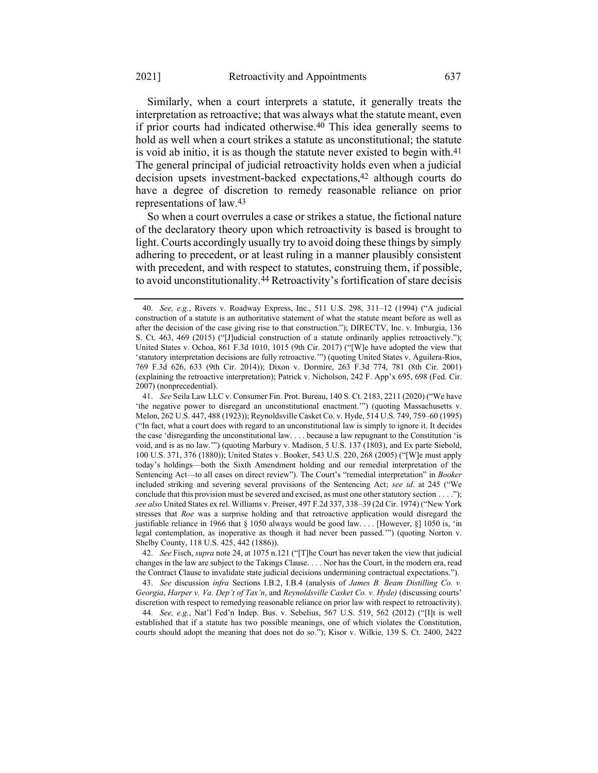Similarly, when a court interprets a statute, it generally treats the interpretation as retroactive; that was always what the statute meant, even if prior courts had indicated otherwise.40 This idea generally seems to hold as well when a court strikes a statute as unconstitutional; the statute is void ab initio, it is as though the statute never existed to begin with.<sup>41</sup> The general principal of judicial retroactivity holds even when a judicial decision upsets investment-backed expectations,<sup>42</sup> although courts do have a degree of discretion to remedy reasonable reliance on prior representations of law.43

So when a court overrules a case or strikes a statue, the fictional nature of the declaratory theory upon which retroactivity is based is brought to light. Courts accordingly usually try to avoid doing these things by simply adhering to precedent, or at least ruling in a manner plausibly consistent with precedent, and with respect to statutes, construing them, if possible, to avoid unconstitutionality.44 Retroactivity's fortification of stare decisis

42. *See* Fisch, *supra* not[e 24,](#page-8-0) at 1075 n.121 ("[T]he Court has never taken the view that judicial changes in the law are subject to the Takings Clause. . . . Nor has the Court, in the modern era, read the Contract Clause to invalidate state judicial decisions undermining contractual expectations.").

43. *See* discussion *infra* Sections I.B.2, I.B.4 (analysis of *James B. Beam Distilling Co. v. Georgia*, *Harper v. Va. Dep't of Tax'n*, and *Reynoldsville Casket Co. v. Hyde)* (discussing courts' discretion with respect to remedying reasonable reliance on prior law with respect to retroactivity).

44. *See, e.g.*, Nat'l Fed'n Indep. Bus. v. Sebelius, 567 U.S. 519, 562 (2012) ("[I]t is well established that if a statute has two possible meanings, one of which violates the Constitution, courts should adopt the meaning that does not do so."); Kisor v. Wilkie, 139 S. Ct. 2400, 2422

<sup>40.</sup> *See, e.g.*, Rivers v. Roadway Express, Inc., 511 U.S. 298, 311–12 (1994) ("A judicial construction of a statute is an authoritative statement of what the statute meant before as well as after the decision of the case giving rise to that construction."); DIRECTV, Inc. v. Imburgia, 136 S. Ct. 463, 469 (2015) ("[J]udicial construction of a statute ordinarily applies retroactively."); United States v. Ochoa, 861 F.3d 1010, 1015 (9th Cir. 2017) ("[W]e have adopted the view that 'statutory interpretation decisions are fully retroactive.'") (quoting United States v. Aguilera-Rios, 769 F.3d 626, 633 (9th Cir. 2014)); Dixon v. Dormire, 263 F.3d 774, 781 (8th Cir. 2001) (explaining the retroactive interpretation); Patrick v. Nicholson, 242 F. App'x 695, 698 (Fed. Cir. 2007) (nonprecedential).

<sup>41.</sup> *See* Seila Law LLC v. Consumer Fin. Prot. Bureau, 140 S. Ct. 2183, 2211 (2020) ("We have 'the negative power to disregard an unconstitutional enactment.'") (quoting Massachusetts v. Melon, 262 U.S. 447, 488 (1923)); Reynoldsville Casket Co. v. Hyde, 514 U.S. 749, 759–60 (1995) ("In fact, what a court does with regard to an unconstitutional law is simply to ignore it. It decides the case 'disregarding the unconstitutional law. . . . because a law repugnant to the Constitution 'is void, and is as no law.'") (quoting Marbury v. Madison, 5 U.S. 137 (1803), and Ex parte Siebold, 100 U.S. 371, 376 (1880)); United States v. Booker, 543 U.S. 220, 268 (2005) ("[W]e must apply today's holdings—both the Sixth Amendment holding and our remedial interpretation of the Sentencing Act—to all cases on direct review"). The Court's "remedial interpretation" in *Booker*  included striking and severing several provisions of the Sentencing Act; *see id*. at 245 ("We conclude that this provision must be severed and excised, as must one other statutory section . . . ."); *see also* United States ex rel. Williams v. Preiser, 497 F.2d 337, 338–39 (2d Cir. 1974) ("New York stresses that *Roe* was a surprise holding and that retroactive application would disregard the justifiable reliance in 1966 that  $\S$  1050 always would be good law.... [However,  $\S$ ] 1050 is, 'in legal contemplation, as inoperative as though it had never been passed.'") (quoting Norton v. Shelby County, 118 U.S. 425, 442 (1886)).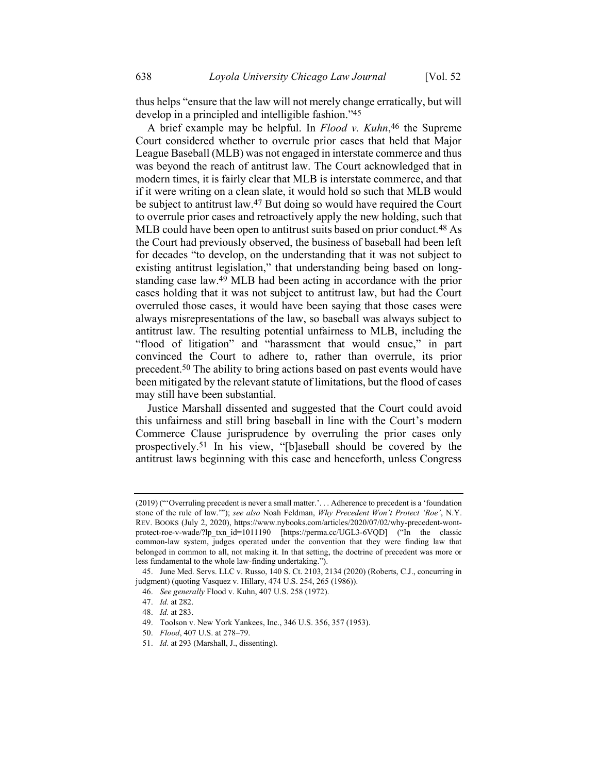thus helps "ensure that the law will not merely change erratically, but will develop in a principled and intelligible fashion."45

A brief example may be helpful. In *Flood v. Kuhn*, 46 the Supreme Court considered whether to overrule prior cases that held that Major League Baseball (MLB) was not engaged in interstate commerce and thus was beyond the reach of antitrust law. The Court acknowledged that in modern times, it is fairly clear that MLB is interstate commerce, and that if it were writing on a clean slate, it would hold so such that MLB would be subject to antitrust law.47 But doing so would have required the Court to overrule prior cases and retroactively apply the new holding, such that MLB could have been open to antitrust suits based on prior conduct.<sup>48</sup> As the Court had previously observed, the business of baseball had been left for decades "to develop, on the understanding that it was not subject to existing antitrust legislation," that understanding being based on longstanding case law.49 MLB had been acting in accordance with the prior cases holding that it was not subject to antitrust law, but had the Court overruled those cases, it would have been saying that those cases were always misrepresentations of the law, so baseball was always subject to antitrust law. The resulting potential unfairness to MLB, including the "flood of litigation" and "harassment that would ensue," in part convinced the Court to adhere to, rather than overrule, its prior precedent.50 The ability to bring actions based on past events would have been mitigated by the relevant statute of limitations, but the flood of cases may still have been substantial.

Justice Marshall dissented and suggested that the Court could avoid this unfairness and still bring baseball in line with the Court's modern Commerce Clause jurisprudence by overruling the prior cases only prospectively.51 In his view, "[b]aseball should be covered by the antitrust laws beginning with this case and henceforth, unless Congress

<sup>(2019) (</sup>"'Overruling precedent is never a small matter.'. . . Adherence to precedent is a 'foundation stone of the rule of law.'"); *see also* Noah Feldman, *Why Precedent Won't Protect 'Roe'*, N.Y. REV. BOOKS (July 2, 2020), https://www.nybooks.com/articles/2020/07/02/why-precedent-wontprotect-roe-v-wade/?lp\_txn\_id=1011190 [https://perma.cc/UGL3-6VQD] ("In the classic common-law system, judges operated under the convention that they were finding law that belonged in common to all, not making it. In that setting, the doctrine of precedent was more or less fundamental to the whole law-finding undertaking.").

<sup>45.</sup> June Med. Servs. LLC v. Russo, 140 S. Ct. 2103, 2134 (2020) (Roberts, C.J., concurring in judgment) (quoting Vasquez v. Hillary, 474 U.S. 254, 265 (1986)).

<sup>46.</sup> *See generally* Flood v. Kuhn, 407 U.S. 258 (1972).

<sup>47.</sup> *Id.* at 282.

<sup>48.</sup> *Id.* at 283.

<sup>49.</sup> Toolson v. New York Yankees, Inc., 346 U.S. 356, 357 (1953).

<sup>50.</sup> *Flood*, 407 U.S. at 278–79.

<sup>51.</sup> *Id*. at 293 (Marshall, J., dissenting).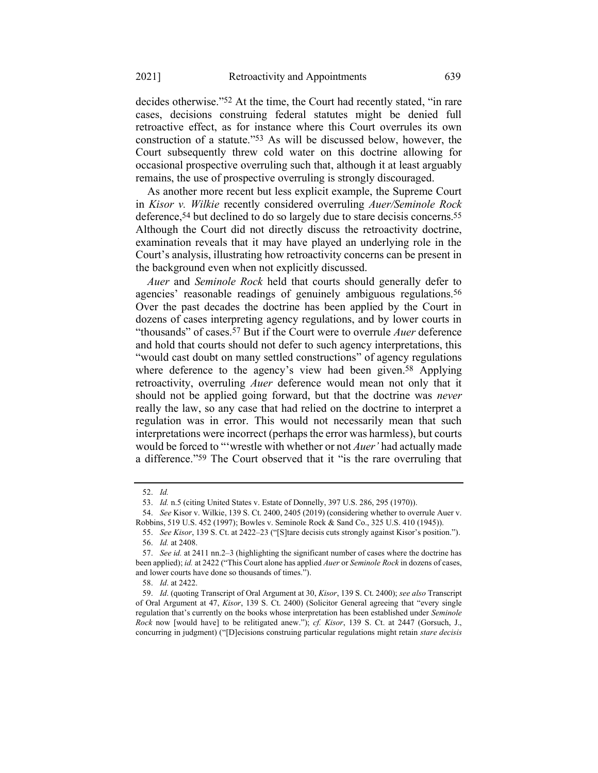decides otherwise."52 At the time, the Court had recently stated, "in rare cases, decisions construing federal statutes might be denied full retroactive effect, as for instance where this Court overrules its own construction of a statute."53 As will be discussed below, however, the Court subsequently threw cold water on this doctrine allowing for occasional prospective overruling such that, although it at least arguably remains, the use of prospective overruling is strongly discouraged.

As another more recent but less explicit example, the Supreme Court in *Kisor v. Wilkie* recently considered overruling *Auer/Seminole Rock* deference,<sup>54</sup> but declined to do so largely due to stare decisis concerns.<sup>55</sup> Although the Court did not directly discuss the retroactivity doctrine, examination reveals that it may have played an underlying role in the Court's analysis, illustrating how retroactivity concerns can be present in the background even when not explicitly discussed.

*Auer* and *Seminole Rock* held that courts should generally defer to agencies' reasonable readings of genuinely ambiguous regulations.56 Over the past decades the doctrine has been applied by the Court in dozens of cases interpreting agency regulations, and by lower courts in "thousands" of cases.57 But if the Court were to overrule *Auer* deference and hold that courts should not defer to such agency interpretations, this "would cast doubt on many settled constructions" of agency regulations where deference to the agency's view had been given.<sup>58</sup> Applying retroactivity, overruling *Auer* deference would mean not only that it should not be applied going forward, but that the doctrine was *never* really the law, so any case that had relied on the doctrine to interpret a regulation was in error. This would not necessarily mean that such interpretations were incorrect (perhaps the error was harmless), but courts would be forced to "'wrestle with whether or not *Auer'* had actually made a difference."59 The Court observed that it "is the rare overruling that

<sup>52.</sup> *Id.*

<sup>53.</sup> *Id.* n.5 (citing United States v. Estate of Donnelly, 397 U.S. 286, 295 (1970)).

<sup>54.</sup> *See* Kisor v. Wilkie, 139 S. Ct. 2400, 2405 (2019) (considering whether to overrule Auer v. Robbins, 519 U.S. 452 (1997); Bowles v. Seminole Rock & Sand Co., 325 U.S. 410 (1945)).

<sup>55.</sup> *See Kisor*, 139 S. Ct. at 2422–23 ("[S]tare decisis cuts strongly against Kisor's position."). 56. *Id.* at 2408.

<sup>57.</sup> *See id.* at 2411 nn.2–3 (highlighting the significant number of cases where the doctrine has been applied); *id.* at 2422 ("This Court alone has applied *Auer* or *Seminole Rock* in dozens of cases, and lower courts have done so thousands of times.").

<sup>58.</sup> *Id*. at 2422.

<sup>59.</sup> *Id*. (quoting Transcript of Oral Argument at 30, *Kisor*, 139 S. Ct. 2400); *see also* Transcript of Oral Argument at 47, *Kisor*, 139 S. Ct. 2400) (Solicitor General agreeing that "every single regulation that's currently on the books whose interpretation has been established under *Seminole Rock* now [would have] to be relitigated anew."); *cf. Kisor*, 139 S. Ct. at 2447 (Gorsuch, J., concurring in judgment) ("[D]ecisions construing particular regulations might retain *stare decisis*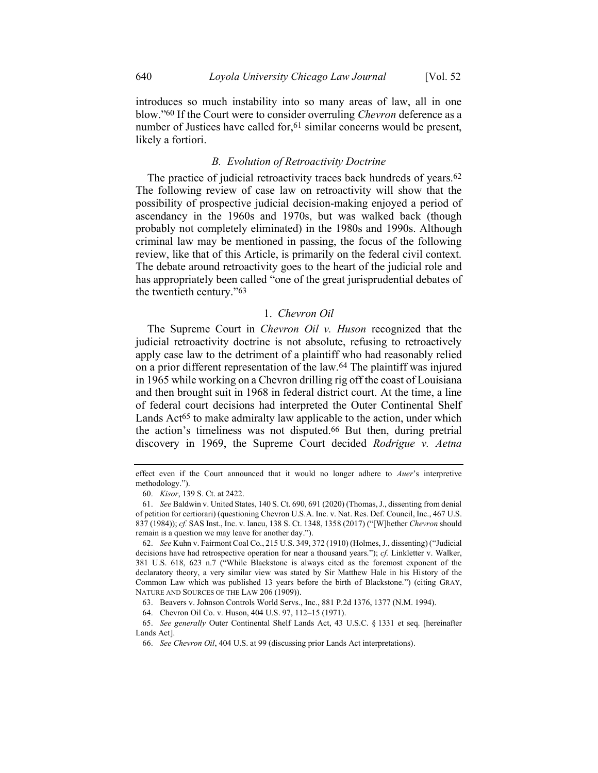introduces so much instability into so many areas of law, all in one blow."60 If the Court were to consider overruling *Chevron* deference as a number of Justices have called for,<sup>61</sup> similar concerns would be present, likely a fortiori.

# *B. Evolution of Retroactivity Doctrine*

The practice of judicial retroactivity traces back hundreds of years.<sup>62</sup> The following review of case law on retroactivity will show that the possibility of prospective judicial decision-making enjoyed a period of ascendancy in the 1960s and 1970s, but was walked back (though probably not completely eliminated) in the 1980s and 1990s. Although criminal law may be mentioned in passing, the focus of the following review, like that of this Article, is primarily on the federal civil context. The debate around retroactivity goes to the heart of the judicial role and has appropriately been called "one of the great jurisprudential debates of the twentieth century."63

# 1. *Chevron Oil*

The Supreme Court in *Chevron Oil v. Huson* recognized that the judicial retroactivity doctrine is not absolute, refusing to retroactively apply case law to the detriment of a plaintiff who had reasonably relied on a prior different representation of the law.64 The plaintiff was injured in 1965 while working on a Chevron drilling rig off the coast of Louisiana and then brought suit in 1968 in federal district court. At the time, a line of federal court decisions had interpreted the Outer Continental Shelf Lands Act<sup>65</sup> to make admiralty law applicable to the action, under which the action's timeliness was not disputed.66 But then, during pretrial discovery in 1969, the Supreme Court decided *Rodrigue v. Aetna* 

effect even if the Court announced that it would no longer adhere to *Auer*'s interpretive methodology.").

<sup>60.</sup> *Kisor*, 139 S. Ct. at 2422.

<sup>61.</sup> *See* Baldwin v. United States, 140 S. Ct. 690, 691 (2020) (Thomas, J., dissenting from denial of petition for certiorari) (questioning Chevron U.S.A. Inc. v. Nat. Res. Def. Council, Inc., 467 U.S. 837 (1984)); *cf.* SAS Inst., Inc. v. Iancu, 138 S. Ct. 1348, 1358 (2017) ("[W]hether *Chevron* should remain is a question we may leave for another day.").

<sup>62.</sup> *See* Kuhn v. Fairmont Coal Co., 215 U.S. 349, 372 (1910) (Holmes, J., dissenting) ("Judicial decisions have had retrospective operation for near a thousand years."); *cf.* Linkletter v. Walker, 381 U.S. 618, 623 n.7 ("While Blackstone is always cited as the foremost exponent of the declaratory theory, a very similar view was stated by Sir Matthew Hale in his History of the Common Law which was published 13 years before the birth of Blackstone.") (citing GRAY, NATURE AND SOURCES OF THE LAW 206 (1909)).

<sup>63.</sup> Beavers v. Johnson Controls World Servs., Inc., 881 P.2d 1376, 1377 (N.M. 1994).

<sup>64.</sup> Chevron Oil Co. v. Huson, 404 U.S. 97, 112–15 (1971).

<sup>65.</sup> *See generally* Outer Continental Shelf Lands Act, 43 U.S.C. § 1331 et seq. [hereinafter Lands Act].

<sup>66.</sup> *See Chevron Oil*, 404 U.S. at 99 (discussing prior Lands Act interpretations).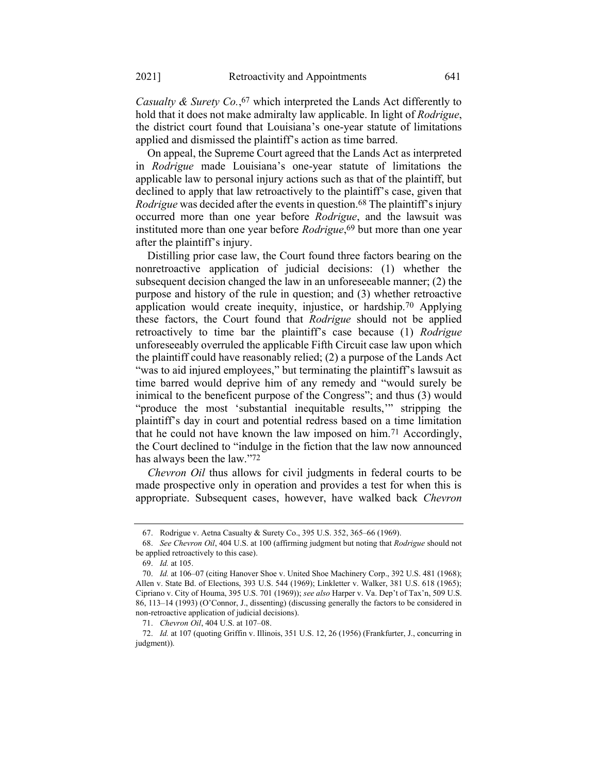*Casualty & Surety Co.*, 67 which interpreted the Lands Act differently to hold that it does not make admiralty law applicable. In light of *Rodrigue*, the district court found that Louisiana's one-year statute of limitations applied and dismissed the plaintiff's action as time barred.

On appeal, the Supreme Court agreed that the Lands Act as interpreted in *Rodrigue* made Louisiana's one-year statute of limitations the applicable law to personal injury actions such as that of the plaintiff, but declined to apply that law retroactively to the plaintiff's case, given that *Rodrigue* was decided after the events in question.<sup>68</sup> The plaintiff's injury occurred more than one year before *Rodrigue*, and the lawsuit was instituted more than one year before *Rodrigue*, 69 but more than one year after the plaintiff's injury.

Distilling prior case law, the Court found three factors bearing on the nonretroactive application of judicial decisions: (1) whether the subsequent decision changed the law in an unforeseeable manner; (2) the purpose and history of the rule in question; and (3) whether retroactive application would create inequity, injustice, or hardship.70 Applying these factors, the Court found that *Rodrigue* should not be applied retroactively to time bar the plaintiff's case because (1) *Rodrigue* unforeseeably overruled the applicable Fifth Circuit case law upon which the plaintiff could have reasonably relied; (2) a purpose of the Lands Act "was to aid injured employees," but terminating the plaintiff's lawsuit as time barred would deprive him of any remedy and "would surely be inimical to the beneficent purpose of the Congress"; and thus (3) would "produce the most 'substantial inequitable results,'" stripping the plaintiff's day in court and potential redress based on a time limitation that he could not have known the law imposed on him.71 Accordingly, the Court declined to "indulge in the fiction that the law now announced has always been the law."72

*Chevron Oil* thus allows for civil judgments in federal courts to be made prospective only in operation and provides a test for when this is appropriate. Subsequent cases, however, have walked back *Chevron* 

<sup>67.</sup> Rodrigue v. Aetna Casualty & Surety Co., 395 U.S. 352, 365–66 (1969).

<sup>68.</sup> *See Chevron Oil*, 404 U.S. at 100 (affirming judgment but noting that *Rodrigue* should not be applied retroactively to this case).

<sup>69.</sup> *Id.* at 105.

<sup>70.</sup> *Id.* at 106–07 (citing Hanover Shoe v. United Shoe Machinery Corp., 392 U.S. 481 (1968); Allen v. State Bd. of Elections, 393 U.S. 544 (1969); Linkletter v. Walker, 381 U.S. 618 (1965); Cipriano v. City of Houma, 395 U.S. 701 (1969)); *see also* Harper v. Va. Dep't of Tax'n, 509 U.S. 86, 113–14 (1993) (O'Connor, J., dissenting) (discussing generally the factors to be considered in non-retroactive application of judicial decisions).

<sup>71.</sup> *Chevron Oil*, 404 U.S. at 107–08.

<sup>72.</sup> *Id.* at 107 (quoting Griffin v. Illinois, 351 U.S. 12, 26 (1956) (Frankfurter, J., concurring in judgment)).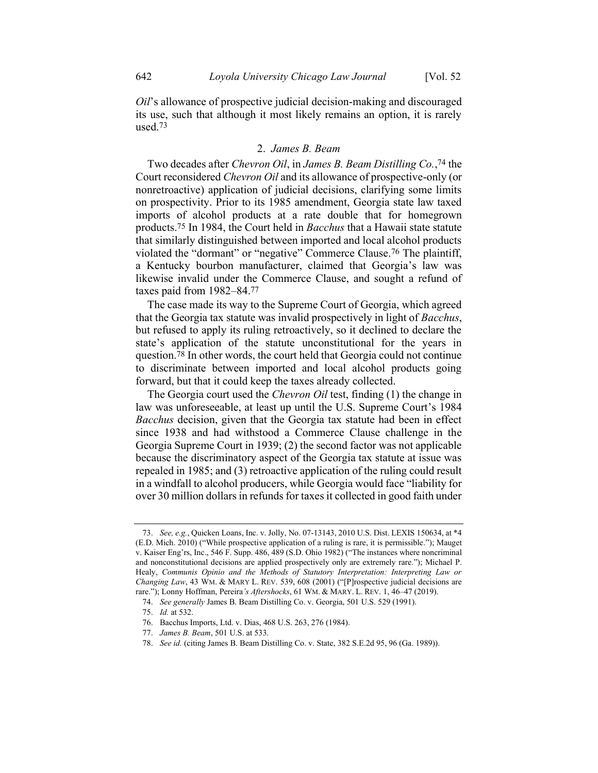<span id="page-16-0"></span>*Oil*'s allowance of prospective judicial decision-making and discouraged its use, such that although it most likely remains an option, it is rarely used.73

#### 2. *James B. Beam*

Two decades after *Chevron Oil*, in *James B. Beam Distilling Co.*, 74 the Court reconsidered *Chevron Oil* and its allowance of prospective-only (or nonretroactive) application of judicial decisions, clarifying some limits on prospectivity. Prior to its 1985 amendment, Georgia state law taxed imports of alcohol products at a rate double that for homegrown products.75 In 1984, the Court held in *Bacchus* that a Hawaii state statute that similarly distinguished between imported and local alcohol products violated the "dormant" or "negative" Commerce Clause.76 The plaintiff, a Kentucky bourbon manufacturer, claimed that Georgia's law was likewise invalid under the Commerce Clause, and sought a refund of taxes paid from 1982–84.77

The case made its way to the Supreme Court of Georgia, which agreed that the Georgia tax statute was invalid prospectively in light of *Bacchus*, but refused to apply its ruling retroactively, so it declined to declare the state's application of the statute unconstitutional for the years in question.78 In other words, the court held that Georgia could not continue to discriminate between imported and local alcohol products going forward, but that it could keep the taxes already collected.

The Georgia court used the *Chevron Oil* test, finding (1) the change in law was unforeseeable, at least up until the U.S. Supreme Court's 1984 *Bacchus* decision, given that the Georgia tax statute had been in effect since 1938 and had withstood a Commerce Clause challenge in the Georgia Supreme Court in 1939; (2) the second factor was not applicable because the discriminatory aspect of the Georgia tax statute at issue was repealed in 1985; and (3) retroactive application of the ruling could result in a windfall to alcohol producers, while Georgia would face "liability for over 30 million dollars in refunds for taxes it collected in good faith under

<sup>73.</sup> *See, e.g.*, Quicken Loans, Inc. v. Jolly, No. 07-13143, 2010 U.S. Dist. LEXIS 150634, at \*4 (E.D. Mich. 2010) ("While prospective application of a ruling is rare, it is permissible."); Mauget v. Kaiser Eng'rs, Inc., 546 F. Supp. 486, 489 (S.D. Ohio 1982) ("The instances where noncriminal and nonconstitutional decisions are applied prospectively only are extremely rare."); Michael P. Healy, *Communis Opinio and the Methods of Statutory Interpretation: Interpreting Law or Changing Law*, 43 WM. & MARY L. REV. 539, 608 (2001) ("[P]rospective judicial decisions are rare."); Lonny Hoffman, Pereira*'s Aftershocks*, 61 WM. & MARY. L. REV. 1, 46–47 (2019).

<sup>74.</sup> *See generally* James B. Beam Distilling Co. v. Georgia, 501 U.S. 529 (1991).

<sup>75.</sup> *Id.* at 532.

<sup>76.</sup> Bacchus Imports, Ltd. v. Dias, 468 U.S. 263, 276 (1984).

<sup>77.</sup> *James B. Beam*, 501 U.S. at 533.

<sup>78.</sup> *See id.* (citing James B. Beam Distilling Co. v. State, 382 S.E.2d 95, 96 (Ga. 1989)).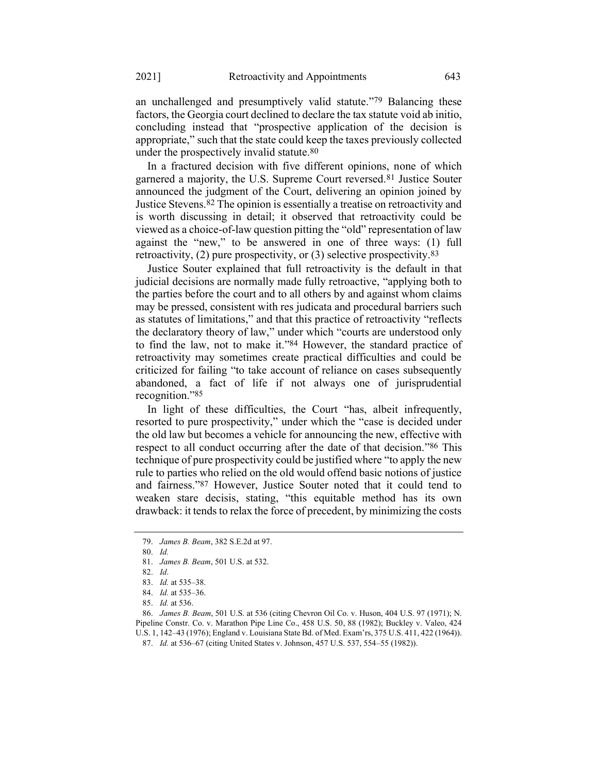an unchallenged and presumptively valid statute."79 Balancing these factors, the Georgia court declined to declare the tax statute void ab initio, concluding instead that "prospective application of the decision is appropriate," such that the state could keep the taxes previously collected under the prospectively invalid statute.80

In a fractured decision with five different opinions, none of which garnered a majority, the U.S. Supreme Court reversed.81 Justice Souter announced the judgment of the Court, delivering an opinion joined by Justice Stevens.82 The opinion is essentially a treatise on retroactivity and is worth discussing in detail; it observed that retroactivity could be viewed as a choice-of-law question pitting the "old" representation of law against the "new," to be answered in one of three ways: (1) full retroactivity,  $(2)$  pure prospectivity, or  $(3)$  selective prospectivity.<sup>83</sup>

Justice Souter explained that full retroactivity is the default in that judicial decisions are normally made fully retroactive, "applying both to the parties before the court and to all others by and against whom claims may be pressed, consistent with res judicata and procedural barriers such as statutes of limitations," and that this practice of retroactivity "reflects the declaratory theory of law," under which "courts are understood only to find the law, not to make it."84 However, the standard practice of retroactivity may sometimes create practical difficulties and could be criticized for failing "to take account of reliance on cases subsequently abandoned, a fact of life if not always one of jurisprudential recognition."85

In light of these difficulties, the Court "has, albeit infrequently, resorted to pure prospectivity," under which the "case is decided under the old law but becomes a vehicle for announcing the new, effective with respect to all conduct occurring after the date of that decision."86 This technique of pure prospectivity could be justified where "to apply the new rule to parties who relied on the old would offend basic notions of justice and fairness."87 However, Justice Souter noted that it could tend to weaken stare decisis, stating, "this equitable method has its own drawback: it tends to relax the force of precedent, by minimizing the costs

<sup>79.</sup> *James B. Beam*, 382 S.E.2d at 97.

<sup>80.</sup> *Id.*

<sup>81.</sup> *James B. Beam*, 501 U.S. at 532.

<sup>82.</sup> *Id*.

<sup>83.</sup> *Id.* at 535–38.

<sup>84.</sup> *Id.* at 535–36.

<sup>85.</sup> *Id.* at 536.

<sup>86.</sup> *James B. Beam*, 501 U.S. at 536 (citing Chevron Oil Co. v. Huson, 404 U.S. 97 (1971); N. Pipeline Constr. Co. v. Marathon Pipe Line Co., 458 U.S. 50, 88 (1982); Buckley v. Valeo, 424 U.S. 1, 142–43 (1976); England v. Louisiana State Bd. of Med. Exam'rs, 375 U.S. 411, 422 (1964)).

<sup>87.</sup> *Id.* at 536–67 (citing United States v. Johnson, 457 U.S. 537, 554–55 (1982)).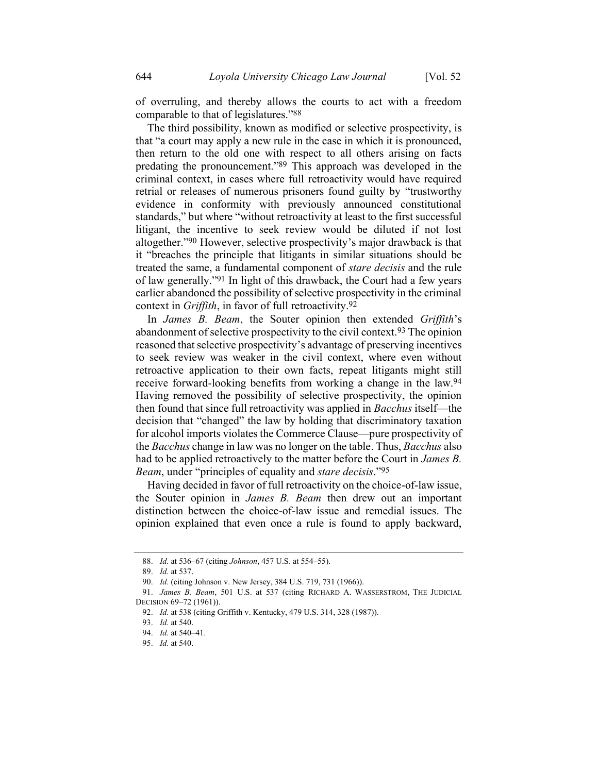of overruling, and thereby allows the courts to act with a freedom comparable to that of legislatures."88

The third possibility, known as modified or selective prospectivity, is that "a court may apply a new rule in the case in which it is pronounced, then return to the old one with respect to all others arising on facts predating the pronouncement."89 This approach was developed in the criminal context, in cases where full retroactivity would have required retrial or releases of numerous prisoners found guilty by "trustworthy evidence in conformity with previously announced constitutional standards," but where "without retroactivity at least to the first successful litigant, the incentive to seek review would be diluted if not lost altogether."90 However, selective prospectivity's major drawback is that it "breaches the principle that litigants in similar situations should be treated the same, a fundamental component of *stare decisis* and the rule of law generally."91 In light of this drawback, the Court had a few years earlier abandoned the possibility of selective prospectivity in the criminal context in *Griffith*, in favor of full retroactivity.92

In *James B. Beam*, the Souter opinion then extended *Griffith*'s abandonment of selective prospectivity to the civil context.93 The opinion reasoned that selective prospectivity's advantage of preserving incentives to seek review was weaker in the civil context, where even without retroactive application to their own facts, repeat litigants might still receive forward-looking benefits from working a change in the law.94 Having removed the possibility of selective prospectivity, the opinion then found that since full retroactivity was applied in *Bacchus* itself—the decision that "changed" the law by holding that discriminatory taxation for alcohol imports violates the Commerce Clause—pure prospectivity of the *Bacchus* change in law was no longer on the table. Thus, *Bacchus* also had to be applied retroactively to the matter before the Court in *James B. Beam*, under "principles of equality and *stare decisis*."95

Having decided in favor of full retroactivity on the choice-of-law issue, the Souter opinion in *James B. Beam* then drew out an important distinction between the choice-of-law issue and remedial issues. The opinion explained that even once a rule is found to apply backward,

<sup>88.</sup> *Id.* at 536–67 (citing *Johnson*, 457 U.S. at 554–55).

<sup>89.</sup> *Id.* at 537.

<sup>90.</sup> *Id.* (citing Johnson v. New Jersey, 384 U.S. 719, 731 (1966)).

<sup>91.</sup> *James B. Beam*, 501 U.S. at 537 (citing RICHARD A. WASSERSTROM, THE JUDICIAL DECISION 69–72 (1961)).

<sup>92.</sup> *Id.* at 538 (citing Griffith v. Kentucky, 479 U.S. 314, 328 (1987)).

<sup>93.</sup> *Id.* at 540.

<sup>94.</sup> *Id.* at 540–41.

<sup>95.</sup> *Id.* at 540.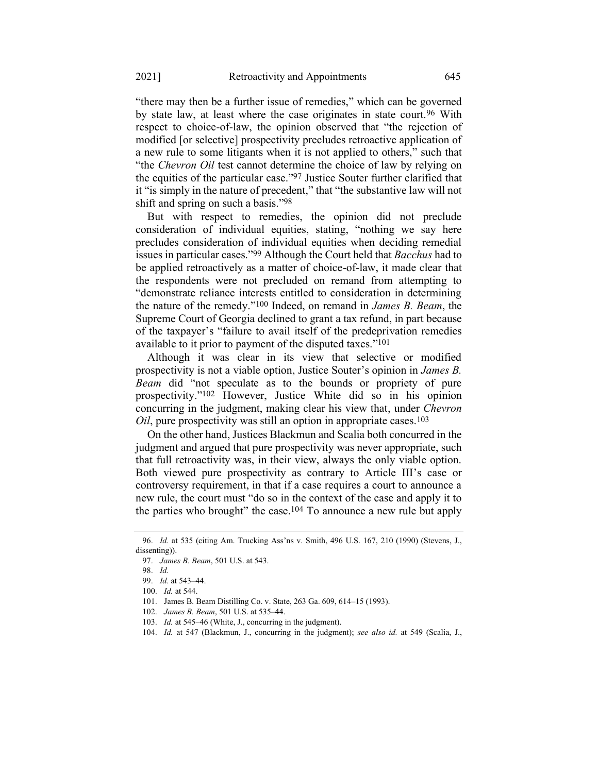<span id="page-19-0"></span>"there may then be a further issue of remedies," which can be governed by state law, at least where the case originates in state court.<sup>96</sup> With respect to choice-of-law, the opinion observed that "the rejection of modified [or selective] prospectivity precludes retroactive application of a new rule to some litigants when it is not applied to others," such that "the *Chevron Oil* test cannot determine the choice of law by relying on the equities of the particular case."97 Justice Souter further clarified that it "is simply in the nature of precedent," that "the substantive law will not shift and spring on such a basis."98

But with respect to remedies, the opinion did not preclude consideration of individual equities, stating, "nothing we say here precludes consideration of individual equities when deciding remedial issues in particular cases."99 Although the Court held that *Bacchus* had to be applied retroactively as a matter of choice-of-law, it made clear that the respondents were not precluded on remand from attempting to "demonstrate reliance interests entitled to consideration in determining the nature of the remedy."100 Indeed, on remand in *James B. Beam*, the Supreme Court of Georgia declined to grant a tax refund, in part because of the taxpayer's "failure to avail itself of the predeprivation remedies available to it prior to payment of the disputed taxes."101

<span id="page-19-1"></span>Although it was clear in its view that selective or modified prospectivity is not a viable option, Justice Souter's opinion in *James B. Beam* did "not speculate as to the bounds or propriety of pure prospectivity."102 However, Justice White did so in his opinion concurring in the judgment, making clear his view that, under *Chevron Oil*, pure prospectivity was still an option in appropriate cases.<sup>103</sup>

On the other hand, Justices Blackmun and Scalia both concurred in the judgment and argued that pure prospectivity was never appropriate, such that full retroactivity was, in their view, always the only viable option. Both viewed pure prospectivity as contrary to Article III's case or controversy requirement, in that if a case requires a court to announce a new rule, the court must "do so in the context of the case and apply it to the parties who brought" the case.104 To announce a new rule but apply

<sup>96.</sup> *Id.* at 535 (citing Am. Trucking Ass'ns v. Smith, 496 U.S. 167, 210 (1990) (Stevens, J., dissenting)).

<sup>97.</sup> *James B. Beam*, 501 U.S. at 543.

<sup>98.</sup> *Id.*

<sup>99.</sup> *Id.* at 543–44.

<sup>100.</sup> *Id.* at 544.

<sup>101.</sup> James B. Beam Distilling Co. v. State, 263 Ga. 609, 614–15 (1993).

<sup>102.</sup> *James B. Beam*, 501 U.S. at 535–44.

<sup>103.</sup> *Id.* at 545–46 (White, J., concurring in the judgment).

<sup>104.</sup> *Id.* at 547 (Blackmun, J., concurring in the judgment); *see also id.* at 549 (Scalia, J.,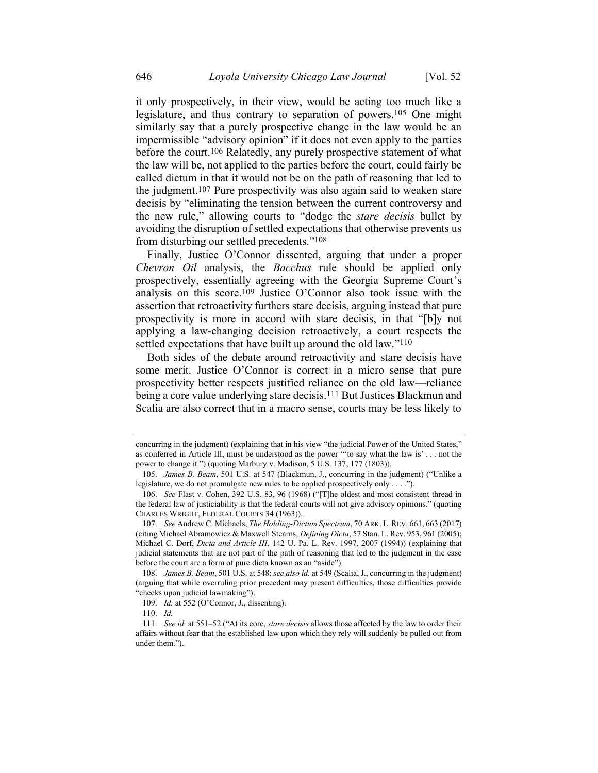it only prospectively, in their view, would be acting too much like a legislature, and thus contrary to separation of powers.105 One might similarly say that a purely prospective change in the law would be an impermissible "advisory opinion" if it does not even apply to the parties before the court.<sup>106</sup> Relatedly, any purely prospective statement of what the law will be, not applied to the parties before the court, could fairly be called dictum in that it would not be on the path of reasoning that led to the judgment.107 Pure prospectivity was also again said to weaken stare decisis by "eliminating the tension between the current controversy and the new rule," allowing courts to "dodge the *stare decisis* bullet by avoiding the disruption of settled expectations that otherwise prevents us from disturbing our settled precedents."108

Finally, Justice O'Connor dissented, arguing that under a proper *Chevron Oil* analysis, the *Bacchus* rule should be applied only prospectively, essentially agreeing with the Georgia Supreme Court's analysis on this score.109 Justice O'Connor also took issue with the assertion that retroactivity furthers stare decisis, arguing instead that pure prospectivity is more in accord with stare decisis, in that "[b]y not applying a law-changing decision retroactively, a court respects the settled expectations that have built up around the old law."<sup>110</sup>

Both sides of the debate around retroactivity and stare decisis have some merit. Justice O'Connor is correct in a micro sense that pure prospectivity better respects justified reliance on the old law—reliance being a core value underlying stare decisis. 111 But Justices Blackmun and Scalia are also correct that in a macro sense, courts may be less likely to

concurring in the judgment) (explaining that in his view "the judicial Power of the United States," as conferred in Article III, must be understood as the power "'to say what the law is' . . . not the power to change it.") (quoting Marbury v. Madison, 5 U.S. 137, 177 (1803)).

<sup>105.</sup> *James B. Beam*, 501 U.S. at 547 (Blackmun, J., concurring in the judgment) ("Unlike a legislature, we do not promulgate new rules to be applied prospectively only . . . .").

<sup>106.</sup> *See* Flast v. Cohen, 392 U.S. 83, 96 (1968) ("[T]he oldest and most consistent thread in the federal law of justiciability is that the federal courts will not give advisory opinions." (quoting CHARLES WRIGHT, FEDERAL COURTS 34 (1963)).

<sup>107.</sup> *See* Andrew C. Michaels, *The Holding-Dictum Spectrum*, 70 ARK. L.REV. 661, 663 (2017) (citing Michael Abramowicz & Maxwell Stearns, *Defining Dicta*, 57 Stan. L. Rev. 953, 961 (2005); Michael C. Dorf, *Dicta and Article III*, 142 U. Pa. L. Rev. 1997, 2007 (1994)) (explaining that judicial statements that are not part of the path of reasoning that led to the judgment in the case before the court are a form of pure dicta known as an "aside").

<sup>108.</sup> *James B. Beam*, 501 U.S. at 548; *see also id.* at 549 (Scalia, J., concurring in the judgment) (arguing that while overruling prior precedent may present difficulties, those difficulties provide "checks upon judicial lawmaking").

<sup>109.</sup> *Id.* at 552 (O'Connor, J., dissenting).

<sup>110.</sup> *Id.*

<sup>111.</sup> *See id.* at 551–52 ("At its core, *stare decisis* allows those affected by the law to order their affairs without fear that the established law upon which they rely will suddenly be pulled out from under them.").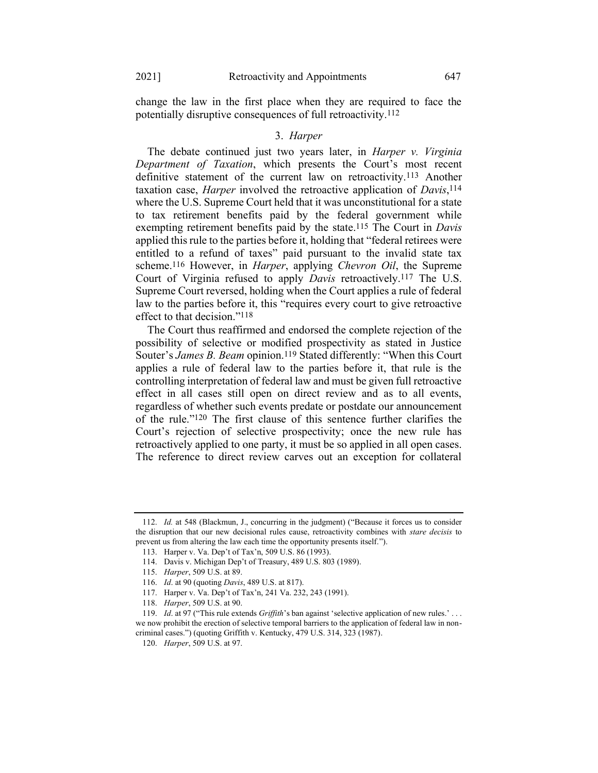change the law in the first place when they are required to face the potentially disruptive consequences of full retroactivity.112

## 3. *Harper*

The debate continued just two years later, in *Harper v. Virginia Department of Taxation*, which presents the Court's most recent definitive statement of the current law on retroactivity.113 Another taxation case, *Harper* involved the retroactive application of *Davis*, 114 where the U.S. Supreme Court held that it was unconstitutional for a state to tax retirement benefits paid by the federal government while exempting retirement benefits paid by the state.115 The Court in *Davis* applied this rule to the parties before it, holding that "federal retirees were entitled to a refund of taxes" paid pursuant to the invalid state tax scheme.116 However, in *Harper*, applying *Chevron Oil*, the Supreme Court of Virginia refused to apply *Davis* retroactively.117 The U.S. Supreme Court reversed, holding when the Court applies a rule of federal law to the parties before it, this "requires every court to give retroactive effect to that decision."118

The Court thus reaffirmed and endorsed the complete rejection of the possibility of selective or modified prospectivity as stated in Justice Souter's *James B. Beam* opinion.<sup>119</sup> Stated differently: "When this Court applies a rule of federal law to the parties before it, that rule is the controlling interpretation of federal law and must be given full retroactive effect in all cases still open on direct review and as to all events, regardless of whether such events predate or postdate our announcement of the rule."120 The first clause of this sentence further clarifies the Court's rejection of selective prospectivity; once the new rule has retroactively applied to one party, it must be so applied in all open cases. The reference to direct review carves out an exception for collateral

<sup>112.</sup> *Id.* at 548 (Blackmun, J., concurring in the judgment) ("Because it forces us to consider the disruption that our new decisional rules cause, retroactivity combines with *stare decisis* to prevent us from altering the law each time the opportunity presents itself.").

<sup>113.</sup> Harper v. Va. Dep't of Tax'n, 509 U.S. 86 (1993).

<sup>114.</sup> Davis v. Michigan Dep't of Treasury, 489 U.S. 803 (1989).

<sup>115.</sup> *Harper*, 509 U.S. at 89.

<sup>116.</sup> *Id*. at 90 (quoting *Davis*, 489 U.S. at 817).

<sup>117.</sup> Harper v. Va. Dep't of Tax'n, 241 Va. 232, 243 (1991).

<sup>118.</sup> *Harper*, 509 U.S. at 90.

<sup>119.</sup> *Id*. at 97 ("This rule extends *Griffith*'s ban against 'selective application of new rules.' . . . we now prohibit the erection of selective temporal barriers to the application of federal law in noncriminal cases.") (quoting Griffith v. Kentucky, 479 U.S. 314, 323 (1987).

<sup>120.</sup> *Harper*, 509 U.S. at 97.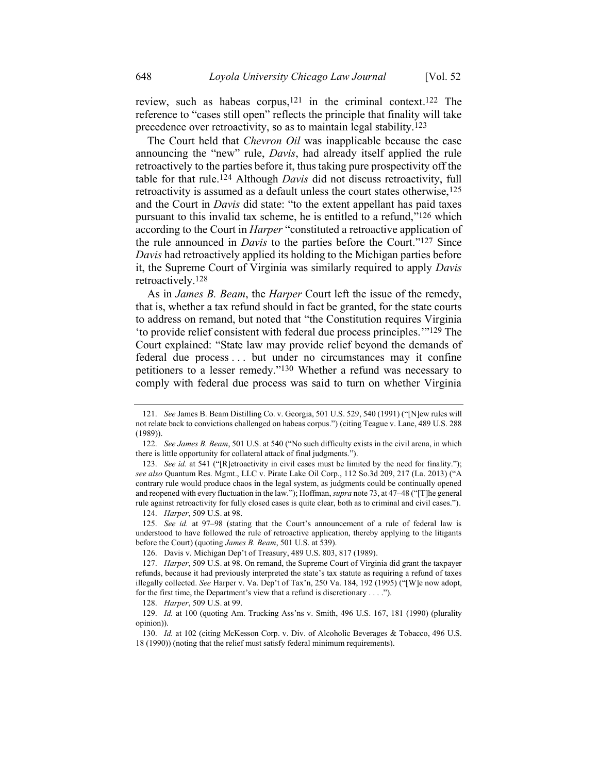review, such as habeas corpus,<sup>121</sup> in the criminal context.<sup>122</sup> The reference to "cases still open" reflects the principle that finality will take precedence over retroactivity, so as to maintain legal stability.123

The Court held that *Chevron Oil* was inapplicable because the case announcing the "new" rule, *Davis*, had already itself applied the rule retroactively to the parties before it, thus taking pure prospectivity off the table for that rule.124 Although *Davis* did not discuss retroactivity, full retroactivity is assumed as a default unless the court states otherwise,125 and the Court in *Davis* did state: "to the extent appellant has paid taxes pursuant to this invalid tax scheme, he is entitled to a refund,"126 which according to the Court in *Harper* "constituted a retroactive application of the rule announced in *Davis* to the parties before the Court."127 Since *Davis* had retroactively applied its holding to the Michigan parties before it, the Supreme Court of Virginia was similarly required to apply *Davis* retroactively.128

As in *James B. Beam*, the *Harper* Court left the issue of the remedy, that is, whether a tax refund should in fact be granted, for the state courts to address on remand, but noted that "the Constitution requires Virginia 'to provide relief consistent with federal due process principles.'"129 The Court explained: "State law may provide relief beyond the demands of federal due process . . . but under no circumstances may it confine petitioners to a lesser remedy."130 Whether a refund was necessary to comply with federal due process was said to turn on whether Virginia

<sup>121.</sup> *See* James B. Beam Distilling Co. v. Georgia, 501 U.S. 529, 540 (1991) ("[N]ew rules will not relate back to convictions challenged on habeas corpus.") (citing Teague v. Lane, 489 U.S. 288 (1989)).

<sup>122.</sup> *See James B. Beam*, 501 U.S. at 540 ("No such difficulty exists in the civil arena, in which there is little opportunity for collateral attack of final judgments.").

<sup>123.</sup> *See id.* at 541 ("[R]etroactivity in civil cases must be limited by the need for finality."); *see also* Quantum Res. Mgmt., LLC v. Pirate Lake Oil Corp., 112 So.3d 209, 217 (La. 2013) ("A contrary rule would produce chaos in the legal system, as judgments could be continually opened and reopened with every fluctuation in the law."); Hoffman, *supra* not[e 73,](#page-16-0) at 47–48 ("[T]he general rule against retroactivity for fully closed cases is quite clear, both as to criminal and civil cases.").

<sup>124.</sup> *Harper*, 509 U.S. at 98.

<sup>125.</sup> *See id.* at 97–98 (stating that the Court's announcement of a rule of federal law is understood to have followed the rule of retroactive application, thereby applying to the litigants before the Court) (quoting *James B. Beam*, 501 U.S. at 539).

<sup>126.</sup> Davis v. Michigan Dep't of Treasury, 489 U.S. 803, 817 (1989).

<sup>127.</sup> *Harper*, 509 U.S. at 98. On remand, the Supreme Court of Virginia did grant the taxpayer refunds, because it had previously interpreted the state's tax statute as requiring a refund of taxes illegally collected. *See* Harper v. Va. Dep't of Tax'n, 250 Va. 184, 192 (1995) ("[W]e now adopt, for the first time, the Department's view that a refund is discretionary . . . .").

<sup>128.</sup> *Harper*, 509 U.S. at 99.

<sup>129.</sup> *Id.* at 100 (quoting Am. Trucking Ass'ns v. Smith, 496 U.S. 167, 181 (1990) (plurality opinion)).

<sup>130.</sup> *Id.* at 102 (citing McKesson Corp. v. Div. of Alcoholic Beverages & Tobacco, 496 U.S. 18 (1990)) (noting that the relief must satisfy federal minimum requirements).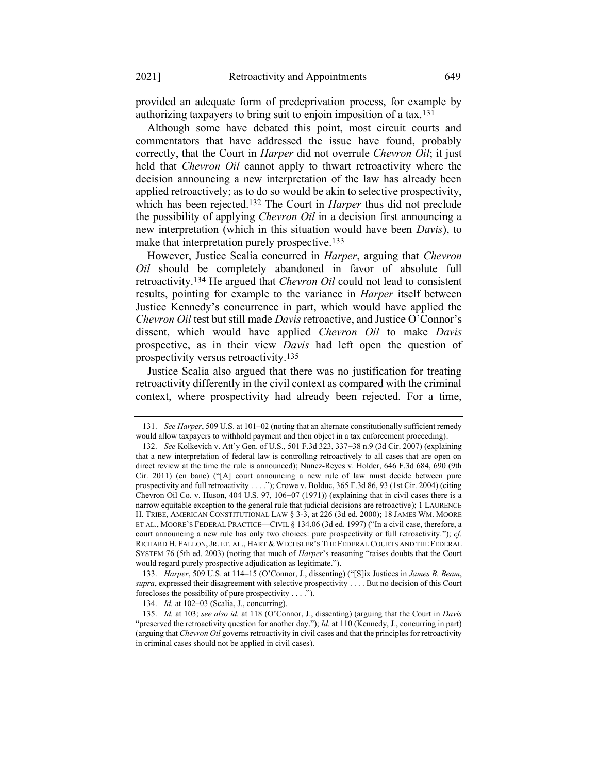provided an adequate form of predeprivation process, for example by authorizing taxpayers to bring suit to enjoin imposition of a tax.131

Although some have debated this point, most circuit courts and commentators that have addressed the issue have found, probably correctly, that the Court in *Harper* did not overrule *Chevron Oil*; it just held that *Chevron Oil* cannot apply to thwart retroactivity where the decision announcing a new interpretation of the law has already been applied retroactively; as to do so would be akin to selective prospectivity, which has been rejected.132 The Court in *Harper* thus did not preclude the possibility of applying *Chevron Oil* in a decision first announcing a new interpretation (which in this situation would have been *Davis*), to make that interpretation purely prospective.<sup>133</sup>

However, Justice Scalia concurred in *Harper*, arguing that *Chevron Oil* should be completely abandoned in favor of absolute full retroactivity.134 He argued that *Chevron Oil* could not lead to consistent results, pointing for example to the variance in *Harper* itself between Justice Kennedy's concurrence in part, which would have applied the *Chevron Oil* test but still made *Davis* retroactive, and Justice O'Connor's dissent, which would have applied *Chevron Oil* to make *Davis* prospective, as in their view *Davis* had left open the question of prospectivity versus retroactivity.135

Justice Scalia also argued that there was no justification for treating retroactivity differently in the civil context as compared with the criminal context, where prospectivity had already been rejected. For a time,

<sup>131.</sup> *See Harper*, 509 U.S. at 101–02 (noting that an alternate constitutionally sufficient remedy would allow taxpayers to withhold payment and then object in a tax enforcement proceeding).

<sup>132.</sup> *See* Kolkevich v. Att'y Gen. of U.S., 501 F.3d 323, 337−38 n.9 (3d Cir. 2007) (explaining that a new interpretation of federal law is controlling retroactively to all cases that are open on direct review at the time the rule is announced); Nunez-Reyes v. Holder, 646 F.3d 684, 690 (9th Cir. 2011) (en banc) ("[A] court announcing a new rule of law must decide between pure prospectivity and full retroactivity . . . ."); Crowe v. Bolduc, 365 F.3d 86, 93 (1st Cir. 2004) (citing Chevron Oil Co. v. Huson, 404 U.S. 97, 106−07 (1971)) (explaining that in civil cases there is a narrow equitable exception to the general rule that judicial decisions are retroactive); 1 LAURENCE H. TRIBE, AMERICAN CONSTITUTIONAL LAW § 3-3, at 226 (3d ed. 2000); 18 JAMES WM. MOORE ET AL., MOORE'S FEDERAL PRACTICE—CIVIL § 134.06 (3d ed. 1997) ("In a civil case, therefore, a court announcing a new rule has only two choices: pure prospectivity or full retroactivity."); *cf.* RICHARD H. FALLON, JR. ET. AL., HART & WECHSLER'S THE FEDERAL COURTS AND THE FEDERAL SYSTEM 76 (5th ed. 2003) (noting that much of *Harper*'s reasoning "raises doubts that the Court would regard purely prospective adjudication as legitimate.").

<sup>133.</sup> *Harper*, 509 U.S. at 114–15 (O'Connor, J., dissenting) ("[S]ix Justices in *James B. Beam*, *supra*, expressed their disagreement with selective prospectivity . . . . But no decision of this Court forecloses the possibility of pure prospectivity . . . .").

<sup>134.</sup> *Id.* at 102–03 (Scalia, J., concurring).

<sup>135.</sup> *Id.* at 103; *see also id.* at 118 (O'Connor, J., dissenting) (arguing that the Court in *Davis* "preserved the retroactivity question for another day."); *Id.* at 110 (Kennedy, J., concurring in part) (arguing that *Chevron Oil* governs retroactivity in civil cases and that the principles for retroactivity in criminal cases should not be applied in civil cases).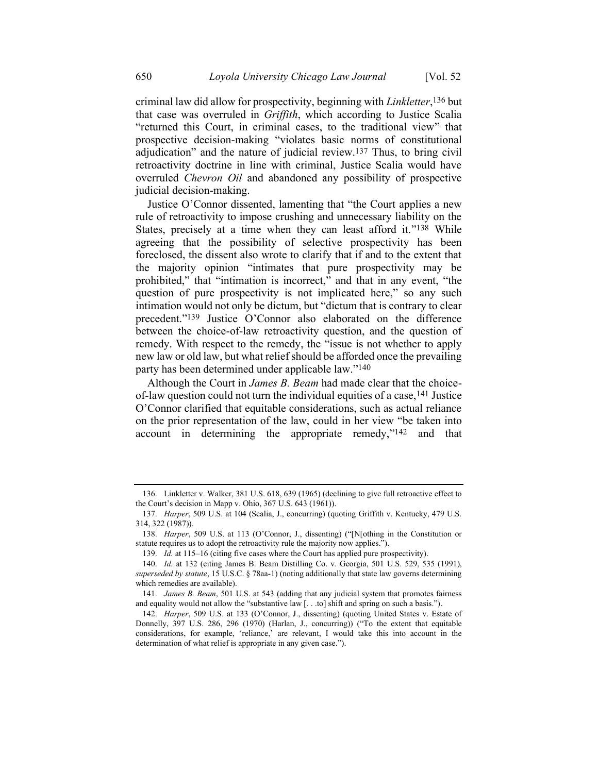criminal law did allow for prospectivity, beginning with *Linkletter*, 136 but that case was overruled in *Griffith*, which according to Justice Scalia "returned this Court, in criminal cases, to the traditional view" that prospective decision-making "violates basic norms of constitutional adjudication" and the nature of judicial review.137 Thus, to bring civil retroactivity doctrine in line with criminal, Justice Scalia would have overruled *Chevron Oil* and abandoned any possibility of prospective judicial decision-making.

Justice O'Connor dissented, lamenting that "the Court applies a new rule of retroactivity to impose crushing and unnecessary liability on the States, precisely at a time when they can least afford it."<sup>138</sup> While agreeing that the possibility of selective prospectivity has been foreclosed, the dissent also wrote to clarify that if and to the extent that the majority opinion "intimates that pure prospectivity may be prohibited," that "intimation is incorrect," and that in any event, "the question of pure prospectivity is not implicated here," so any such intimation would not only be dictum, but "dictum that is contrary to clear precedent."139 Justice O'Connor also elaborated on the difference between the choice-of-law retroactivity question, and the question of remedy. With respect to the remedy, the "issue is not whether to apply new law or old law, but what relief should be afforded once the prevailing party has been determined under applicable law."140

Although the Court in *James B. Beam* had made clear that the choiceof-law question could not turn the individual equities of a case,141 Justice O'Connor clarified that equitable considerations, such as actual reliance on the prior representation of the law, could in her view "be taken into account in determining the appropriate remedy,"142 and that

<sup>136.</sup> Linkletter v. Walker, 381 U.S. 618, 639 (1965) (declining to give full retroactive effect to the Court's decision in Mapp v. Ohio, 367 U.S. 643 (1961)).

<sup>137.</sup> *Harper*, 509 U.S. at 104 (Scalia, J., concurring) (quoting Griffith v. Kentucky, 479 U.S. 314, 322 (1987)).

<sup>138.</sup> *Harper*, 509 U.S. at 113 (O'Connor, J., dissenting) ("[N[othing in the Constitution or statute requires us to adopt the retroactivity rule the majority now applies.").

<sup>139.</sup> *Id.* at 115–16 (citing five cases where the Court has applied pure prospectivity).

<sup>140.</sup> *Id.* at 132 (citing James B. Beam Distilling Co. v. Georgia, 501 U.S. 529, 535 (1991), *superseded by statute*, 15 U.S.C. § 78aa-1) (noting additionally that state law governs determining which remedies are available).

<sup>141.</sup> *James B. Beam*, 501 U.S. at 543 (adding that any judicial system that promotes fairness and equality would not allow the "substantive law [. . .to] shift and spring on such a basis.").

<sup>142.</sup> *Harper*, 509 U.S. at 133 (O'Connor, J., dissenting) (quoting United States v. Estate of Donnelly, 397 U.S. 286, 296 (1970) (Harlan, J., concurring)) ("To the extent that equitable considerations, for example, 'reliance,' are relevant, I would take this into account in the determination of what relief is appropriate in any given case.").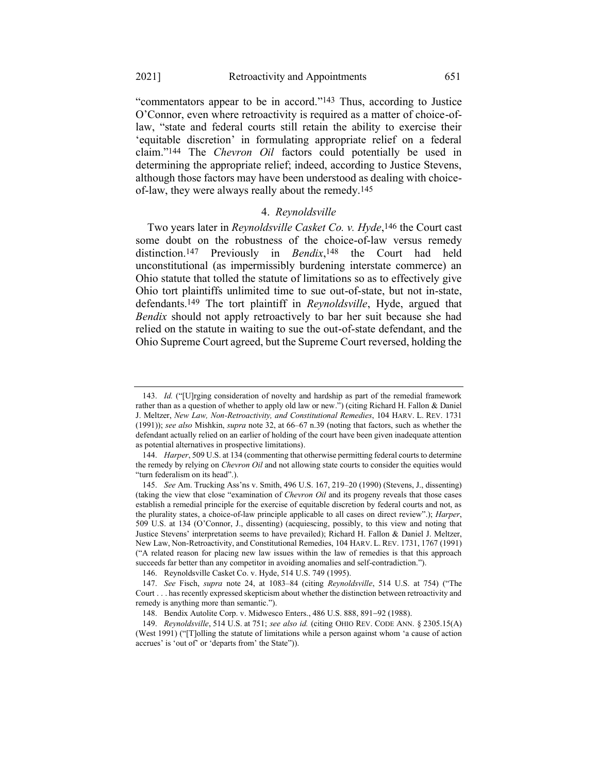"commentators appear to be in accord."143 Thus, according to Justice O'Connor, even where retroactivity is required as a matter of choice-oflaw, "state and federal courts still retain the ability to exercise their 'equitable discretion' in formulating appropriate relief on a federal claim."144 The *Chevron Oil* factors could potentially be used in determining the appropriate relief; indeed, according to Justice Stevens, although those factors may have been understood as dealing with choiceof-law, they were always really about the remedy.145

## 4. *Reynoldsville*

Two years later in *Reynoldsville Casket Co. v. Hyde*, 146 the Court cast some doubt on the robustness of the choice-of-law versus remedy distinction.147 Previously in *Bendix*, 148 the Court had held unconstitutional (as impermissibly burdening interstate commerce) an Ohio statute that tolled the statute of limitations so as to effectively give Ohio tort plaintiffs unlimited time to sue out-of-state, but not in-state, defendants.149 The tort plaintiff in *Reynoldsville*, Hyde, argued that *Bendix* should not apply retroactively to bar her suit because she had relied on the statute in waiting to sue the out-of-state defendant, and the Ohio Supreme Court agreed, but the Supreme Court reversed, holding the

<sup>143.</sup> *Id.* ("[U]rging consideration of novelty and hardship as part of the remedial framework rather than as a question of whether to apply old law or new.") (citing Richard H. Fallon & Daniel J. Meltzer, *New Law, Non-Retroactivity, and Constitutional Remedies*, 104 HARV. L. REV. 1731 (1991)); *see also* Mishkin, *supra* not[e 32,](#page-9-0) at 66–67 n.39 (noting that factors, such as whether the defendant actually relied on an earlier of holding of the court have been given inadequate attention as potential alternatives in prospective limitations).

<sup>144.</sup> *Harper*, 509 U.S. at 134 (commenting that otherwise permitting federal courts to determine the remedy by relying on *Chevron Oil* and not allowing state courts to consider the equities would "turn federalism on its head".).

<sup>145.</sup> *See* Am. Trucking Ass'ns v. Smith, 496 U.S. 167, 219–20 (1990) (Stevens, J., dissenting) (taking the view that close "examination of *Chevron Oil* and its progeny reveals that those cases establish a remedial principle for the exercise of equitable discretion by federal courts and not, as the plurality states, a choice-of-law principle applicable to all cases on direct review".); *Harper*, 509 U.S. at 134 (O'Connor, J., dissenting) (acquiescing, possibly, to this view and noting that Justice Stevens' interpretation seems to have prevailed); Richard H. Fallon & Daniel J. Meltzer, New Law, Non-Retroactivity, and Constitutional Remedies, 104 HARV. L. REV. 1731, 1767 (1991) ("A related reason for placing new law issues within the law of remedies is that this approach succeeds far better than any competitor in avoiding anomalies and self-contradiction.").

<sup>146.</sup> Reynoldsville Casket Co. v. Hyde, 514 U.S. 749 (1995).

<sup>147.</sup> *See* Fisch, *supra* note [24,](#page-8-0) at 1083–84 (citing *Reynoldsville*, 514 U.S. at 754) ("The Court . . . has recently expressed skepticism about whether the distinction between retroactivity and remedy is anything more than semantic.").

<sup>148.</sup> Bendix Autolite Corp. v. Midwesco Enters., 486 U.S. 888, 891−92 (1988).

<sup>149.</sup> *Reynoldsville*, 514 U.S. at 751; *see also id.* (citing OHIO REV. CODE ANN. § 2305.15(A) (West 1991) ("[T]olling the statute of limitations while a person against whom 'a cause of action accrues' is 'out of' or 'departs from' the State")).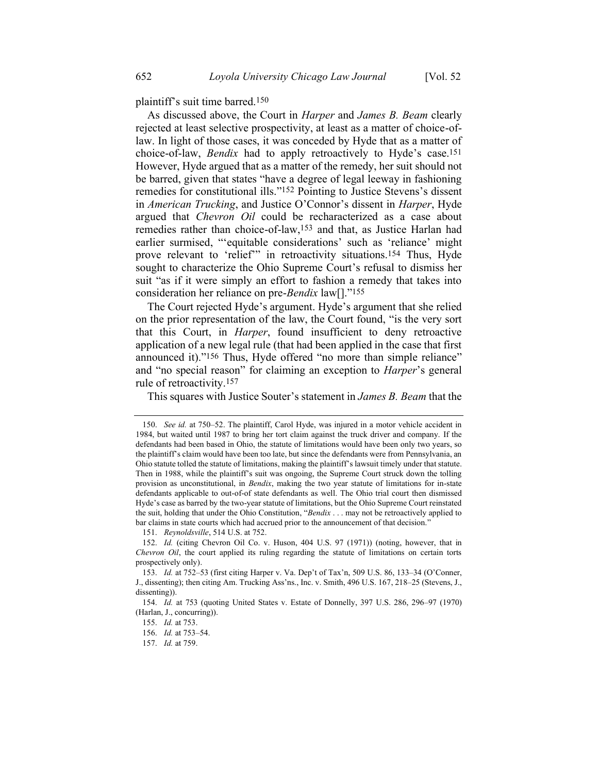plaintiff's suit time barred.150

As discussed above, the Court in *Harper* and *James B. Beam* clearly rejected at least selective prospectivity, at least as a matter of choice-oflaw. In light of those cases, it was conceded by Hyde that as a matter of choice-of-law, *Bendix* had to apply retroactively to Hyde's case.151 However, Hyde argued that as a matter of the remedy, her suit should not be barred, given that states "have a degree of legal leeway in fashioning remedies for constitutional ills."152 Pointing to Justice Stevens's dissent in *American Trucking*, and Justice O'Connor's dissent in *Harper*, Hyde argued that *Chevron Oil* could be recharacterized as a case about remedies rather than choice-of-law,153 and that, as Justice Harlan had earlier surmised, "'equitable considerations' such as 'reliance' might prove relevant to 'relief'" in retroactivity situations.<sup>154</sup> Thus, Hyde sought to characterize the Ohio Supreme Court's refusal to dismiss her suit "as if it were simply an effort to fashion a remedy that takes into consideration her reliance on pre-*Bendix* law[]."155

The Court rejected Hyde's argument. Hyde's argument that she relied on the prior representation of the law, the Court found, "is the very sort that this Court, in *Harper*, found insufficient to deny retroactive application of a new legal rule (that had been applied in the case that first announced it)."<sup>156</sup> Thus, Hyde offered "no more than simple reliance" and "no special reason" for claiming an exception to *Harper*'s general rule of retroactivity.157

This squares with Justice Souter's statement in *James B. Beam* that the

151. *Reynoldsville*, 514 U.S. at 752.

<sup>150.</sup> *See id.* at 750–52. The plaintiff, Carol Hyde, was injured in a motor vehicle accident in 1984, but waited until 1987 to bring her tort claim against the truck driver and company. If the defendants had been based in Ohio, the statute of limitations would have been only two years, so the plaintiff's claim would have been too late, but since the defendants were from Pennsylvania, an Ohio statute tolled the statute of limitations, making the plaintiff's lawsuit timely under that statute. Then in 1988, while the plaintiff's suit was ongoing, the Supreme Court struck down the tolling provision as unconstitutional, in *Bendix*, making the two year statute of limitations for in-state defendants applicable to out-of-of state defendants as well. The Ohio trial court then dismissed Hyde's case as barred by the two-year statute of limitations, but the Ohio Supreme Court reinstated the suit, holding that under the Ohio Constitution, "*Bendix* . . . may not be retroactively applied to bar claims in state courts which had accrued prior to the announcement of that decision."

<sup>152.</sup> *Id.* (citing Chevron Oil Co. v. Huson, 404 U.S. 97 (1971)) (noting, however, that in *Chevron Oil*, the court applied its ruling regarding the statute of limitations on certain torts prospectively only).

<sup>153.</sup> *Id.* at 752–53 (first citing Harper v. Va. Dep't of Tax'n, 509 U.S. 86, 133–34 (O'Conner, J., dissenting); then citing Am. Trucking Ass'ns., Inc. v. Smith, 496 U.S. 167, 218–25 (Stevens, J., dissenting)).

<sup>154.</sup> *Id.* at 753 (quoting United States v. Estate of Donnelly, 397 U.S. 286, 296–97 (1970) (Harlan, J., concurring)).

<sup>155.</sup> *Id.* at 753.

<sup>156.</sup> *Id.* at 753–54.

<sup>157.</sup> *Id.* at 759.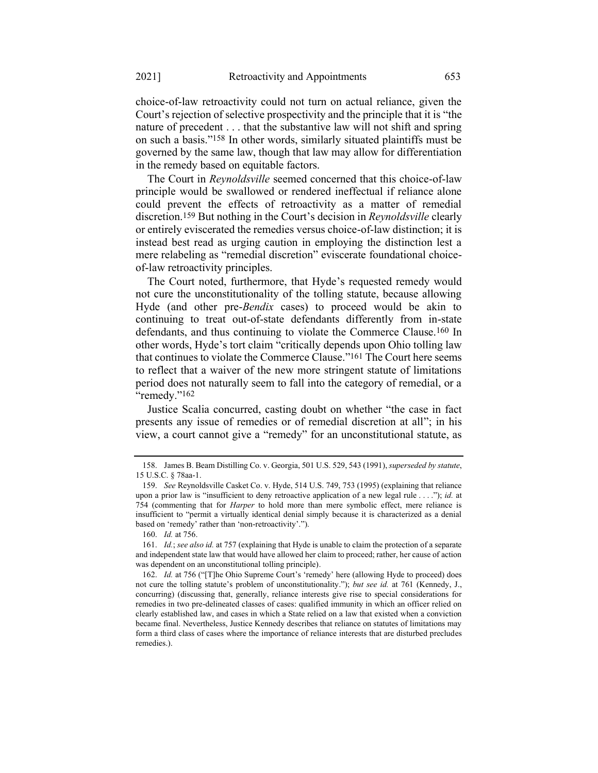choice-of-law retroactivity could not turn on actual reliance, given the Court's rejection of selective prospectivity and the principle that it is "the nature of precedent . . . that the substantive law will not shift and spring on such a basis."158 In other words, similarly situated plaintiffs must be governed by the same law, though that law may allow for differentiation in the remedy based on equitable factors.

The Court in *Reynoldsville* seemed concerned that this choice-of-law principle would be swallowed or rendered ineffectual if reliance alone could prevent the effects of retroactivity as a matter of remedial discretion.159 But nothing in the Court's decision in *Reynoldsville* clearly or entirely eviscerated the remedies versus choice-of-law distinction; it is instead best read as urging caution in employing the distinction lest a mere relabeling as "remedial discretion" eviscerate foundational choiceof-law retroactivity principles.

The Court noted, furthermore, that Hyde's requested remedy would not cure the unconstitutionality of the tolling statute, because allowing Hyde (and other pre-*Bendix* cases) to proceed would be akin to continuing to treat out-of-state defendants differently from in-state defendants, and thus continuing to violate the Commerce Clause.160 In other words, Hyde's tort claim "critically depends upon Ohio tolling law that continues to violate the Commerce Clause."161 The Court here seems to reflect that a waiver of the new more stringent statute of limitations period does not naturally seem to fall into the category of remedial, or a "remedy."<sup>162</sup>

Justice Scalia concurred, casting doubt on whether "the case in fact presents any issue of remedies or of remedial discretion at all"; in his view, a court cannot give a "remedy" for an unconstitutional statute, as

<sup>158.</sup> James B. Beam Distilling Co. v. Georgia, 501 U.S. 529, 543 (1991), *superseded by statute*, 15 U.S.C. § 78aa-1.

<sup>159.</sup> *See* Reynoldsville Casket Co. v. Hyde, 514 U.S. 749, 753 (1995) (explaining that reliance upon a prior law is "insufficient to deny retroactive application of a new legal rule . . . ."); *id.* at 754 (commenting that for *Harper* to hold more than mere symbolic effect, mere reliance is insufficient to "permit a virtually identical denial simply because it is characterized as a denial based on 'remedy' rather than 'non-retroactivity'.").

<sup>160.</sup> *Id.* at 756.

<sup>161.</sup> *Id.*; *see also id.* at 757 (explaining that Hyde is unable to claim the protection of a separate and independent state law that would have allowed her claim to proceed; rather, her cause of action was dependent on an unconstitutional tolling principle).

<sup>162.</sup> *Id.* at 756 ("[T]he Ohio Supreme Court's 'remedy' here (allowing Hyde to proceed) does not cure the tolling statute's problem of unconstitutionality."); *but see id.* at 761 (Kennedy, J., concurring) (discussing that, generally, reliance interests give rise to special considerations for remedies in two pre-delineated classes of cases: qualified immunity in which an officer relied on clearly established law, and cases in which a State relied on a law that existed when a conviction became final. Nevertheless, Justice Kennedy describes that reliance on statutes of limitations may form a third class of cases where the importance of reliance interests that are disturbed precludes remedies.).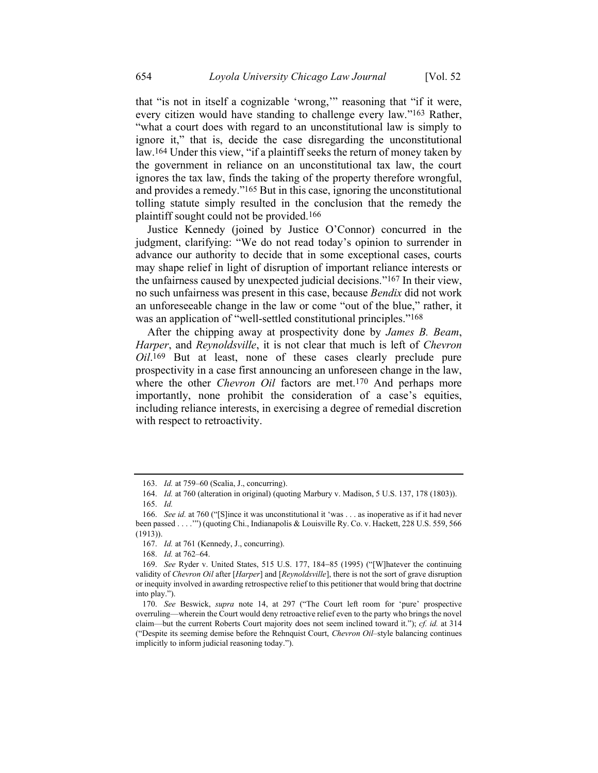that "is not in itself a cognizable 'wrong,'" reasoning that "if it were, every citizen would have standing to challenge every law."163 Rather, "what a court does with regard to an unconstitutional law is simply to ignore it," that is, decide the case disregarding the unconstitutional law. 164 Under this view, "if a plaintiff seeks the return of money taken by the government in reliance on an unconstitutional tax law, the court ignores the tax law, finds the taking of the property therefore wrongful, and provides a remedy."165 But in this case, ignoring the unconstitutional tolling statute simply resulted in the conclusion that the remedy the plaintiff sought could not be provided.166

Justice Kennedy (joined by Justice O'Connor) concurred in the judgment, clarifying: "We do not read today's opinion to surrender in advance our authority to decide that in some exceptional cases, courts may shape relief in light of disruption of important reliance interests or the unfairness caused by unexpected judicial decisions."167 In their view, no such unfairness was present in this case, because *Bendix* did not work an unforeseeable change in the law or come "out of the blue," rather, it was an application of "well-settled constitutional principles."<sup>168</sup>

After the chipping away at prospectivity done by *James B. Beam*, *Harper*, and *Reynoldsville*, it is not clear that much is left of *Chevron Oil*. 169 But at least, none of these cases clearly preclude pure prospectivity in a case first announcing an unforeseen change in the law, where the other *Chevron Oil* factors are met.170 And perhaps more importantly, none prohibit the consideration of a case's equities, including reliance interests, in exercising a degree of remedial discretion with respect to retroactivity.

<sup>163.</sup> *Id.* at 759–60 (Scalia, J., concurring).

<sup>164.</sup> *Id.* at 760 (alteration in original) (quoting Marbury v. Madison, 5 U.S. 137, 178 (1803)). 165. *Id.*

<sup>166.</sup> *See id.* at 760 ("[S]ince it was unconstitutional it 'was . . . as inoperative as if it had never been passed . . . .'") (quoting Chi., Indianapolis & Louisville Ry. Co. v. Hackett, 228 U.S. 559, 566 (1913)).

<sup>167.</sup> *Id.* at 761 (Kennedy, J., concurring).

<sup>168.</sup> *Id.* at 762–64.

<sup>169.</sup> *See* Ryder v. United States, 515 U.S. 177, 184−85 (1995) ("[W]hatever the continuing validity of *Chevron Oil* after [*Harper*] and [*Reynoldsville*], there is not the sort of grave disruption or inequity involved in awarding retrospective relief to this petitioner that would bring that doctrine into play.").

<sup>170.</sup> *See* Beswick, *supra* note [14,](#page-6-0) at 297 ("The Court left room for 'pure' prospective overruling—wherein the Court would deny retroactive relief even to the party who brings the novel claim—but the current Roberts Court majority does not seem inclined toward it."); *cf. id.* at 314 ("Despite its seeming demise before the Rehnquist Court, *Chevron Oil–*style balancing continues implicitly to inform judicial reasoning today.").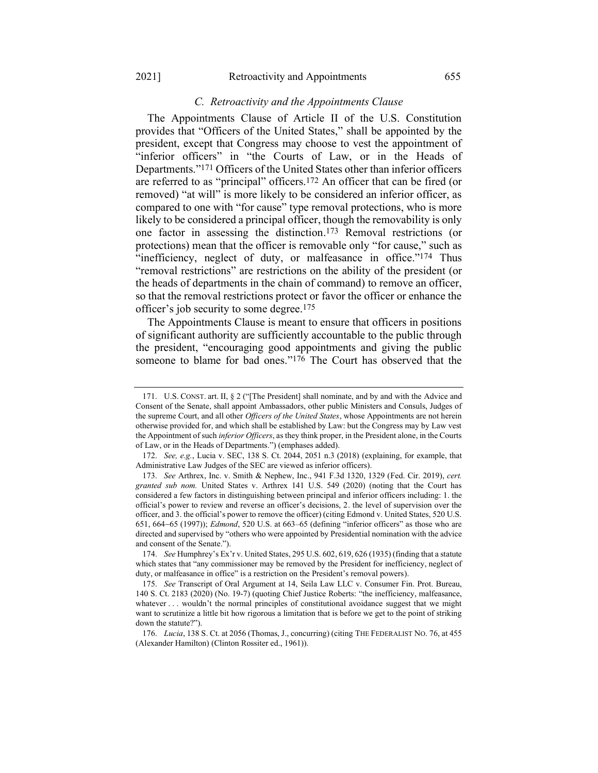#### <span id="page-29-0"></span>*C. Retroactivity and the Appointments Clause*

The Appointments Clause of Article II of the U.S. Constitution provides that "Officers of the United States," shall be appointed by the president, except that Congress may choose to vest the appointment of "inferior officers" in "the Courts of Law, or in the Heads of Departments."171 Officers of the United States other than inferior officers are referred to as "principal" officers.172 An officer that can be fired (or removed) "at will" is more likely to be considered an inferior officer, as compared to one with "for cause" type removal protections, who is more likely to be considered a principal officer, though the removability is only one factor in assessing the distinction. 173 Removal restrictions (or protections) mean that the officer is removable only "for cause," such as "inefficiency, neglect of duty, or malfeasance in office."<sup>174</sup> Thus "removal restrictions" are restrictions on the ability of the president (or the heads of departments in the chain of command) to remove an officer, so that the removal restrictions protect or favor the officer or enhance the officer's job security to some degree.175

The Appointments Clause is meant to ensure that officers in positions of significant authority are sufficiently accountable to the public through the president, "encouraging good appointments and giving the public someone to blame for bad ones."176 The Court has observed that the

<sup>171.</sup> U.S. CONST. art. II, § 2 ("[The President] shall nominate, and by and with the Advice and Consent of the Senate, shall appoint Ambassadors, other public Ministers and Consuls, Judges of the supreme Court, and all other *Officers of the United States*, whose Appointments are not herein otherwise provided for, and which shall be established by Law: but the Congress may by Law vest the Appointment of such *inferior Officers*, as they think proper, in the President alone, in the Courts of Law, or in the Heads of Departments.") (emphases added).

<sup>172.</sup> *See, e.g.*, Lucia v. SEC, 138 S. Ct. 2044, 2051 n.3 (2018) (explaining, for example, that Administrative Law Judges of the SEC are viewed as inferior officers).

<sup>173.</sup> *See* Arthrex, Inc. v. Smith & Nephew, Inc., 941 F.3d 1320, 1329 (Fed. Cir. 2019), *cert. granted sub nom.* United States v. Arthrex 141 U.S. 549 (2020) (noting that the Court has considered a few factors in distinguishing between principal and inferior officers including: 1. the official's power to review and reverse an officer's decisions, 2. the level of supervision over the officer, and 3. the official's power to remove the officer) (citing Edmond v. United States, 520 U.S. 651, 664−65 (1997)); *Edmond*, 520 U.S. at 663–65 (defining "inferior officers" as those who are directed and supervised by "others who were appointed by Presidential nomination with the advice and consent of the Senate.").

<sup>174.</sup> *See* Humphrey's Ex'r v. United States, 295 U.S. 602, 619, 626 (1935) (finding that a statute which states that "any commissioner may be removed by the President for inefficiency, neglect of duty, or malfeasance in office" is a restriction on the President's removal powers).

<sup>175.</sup> *See* Transcript of Oral Argument at 14, Seila Law LLC v. Consumer Fin. Prot. Bureau, 140 S. Ct. 2183 (2020) (No. 19-7) (quoting Chief Justice Roberts: "the inefficiency, malfeasance, whatever . . . wouldn't the normal principles of constitutional avoidance suggest that we might want to scrutinize a little bit how rigorous a limitation that is before we get to the point of striking down the statute?").

<sup>176.</sup> *Lucia*, 138 S. Ct. at 2056 (Thomas, J., concurring) (citing THE FEDERALIST NO. 76, at 455 (Alexander Hamilton) (Clinton Rossiter ed., 1961)).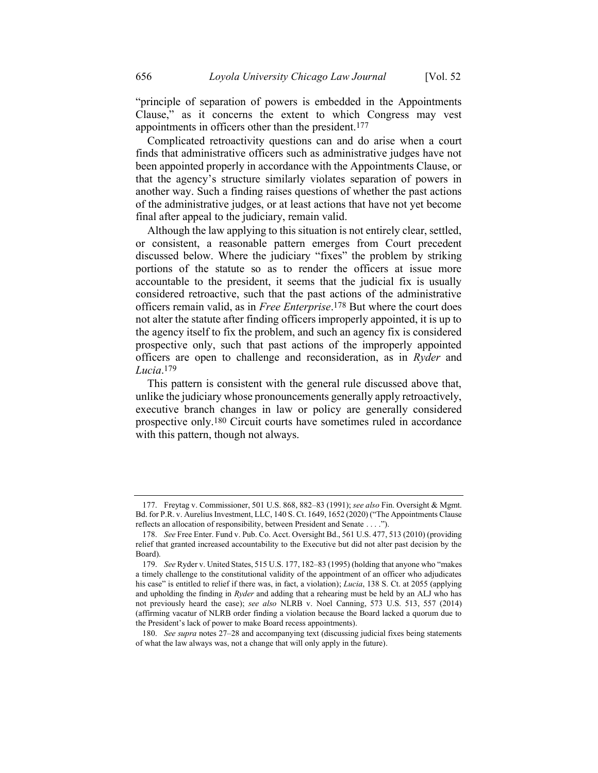"principle of separation of powers is embedded in the Appointments Clause," as it concerns the extent to which Congress may vest appointments in officers other than the president.177

<span id="page-30-0"></span>Complicated retroactivity questions can and do arise when a court finds that administrative officers such as administrative judges have not been appointed properly in accordance with the Appointments Clause, or that the agency's structure similarly violates separation of powers in another way. Such a finding raises questions of whether the past actions of the administrative judges, or at least actions that have not yet become final after appeal to the judiciary, remain valid.

Although the law applying to this situation is not entirely clear, settled, or consistent, a reasonable pattern emerges from Court precedent discussed below. Where the judiciary "fixes" the problem by striking portions of the statute so as to render the officers at issue more accountable to the president, it seems that the judicial fix is usually considered retroactive, such that the past actions of the administrative officers remain valid, as in *Free Enterprise*. 178 But where the court does not alter the statute after finding officers improperly appointed, it is up to the agency itself to fix the problem, and such an agency fix is considered prospective only, such that past actions of the improperly appointed officers are open to challenge and reconsideration, as in *Ryder* and *Lucia*. 179

This pattern is consistent with the general rule discussed above that, unlike the judiciary whose pronouncements generally apply retroactively, executive branch changes in law or policy are generally considered prospective only.180 Circuit courts have sometimes ruled in accordance with this pattern, though not always.

<sup>177.</sup> Freytag v. Commissioner, 501 U.S. 868, 882–83 (1991); *see also* Fin. Oversight & Mgmt. Bd. for P.R. v. Aurelius Investment, LLC, 140 S. Ct. 1649, 1652 (2020) ("The Appointments Clause reflects an allocation of responsibility, between President and Senate . . . .").

<sup>178.</sup> *See* Free Enter. Fund v. Pub. Co. Acct. Oversight Bd., 561 U.S. 477, 513 (2010) (providing relief that granted increased accountability to the Executive but did not alter past decision by the Board).

<sup>179.</sup> *See* Ryder v. United States, 515 U.S. 177, 182–83 (1995) (holding that anyone who "makes a timely challenge to the constitutional validity of the appointment of an officer who adjudicates his case" is entitled to relief if there was, in fact, a violation); *Lucia*, 138 S. Ct. at 2055 (applying and upholding the finding in *Ryder* and adding that a rehearing must be held by an ALJ who has not previously heard the case); *see also* NLRB v. Noel Canning, 573 U.S. 513, 557 (2014) (affirming vacatur of NLRB order finding a violation because the Board lacked a quorum due to the President's lack of power to make Board recess appointments).

<sup>180.</sup> *See supra* notes [27](#page-8-1)–[28](#page-8-2) and accompanying text (discussing judicial fixes being statements of what the law always was, not a change that will only apply in the future).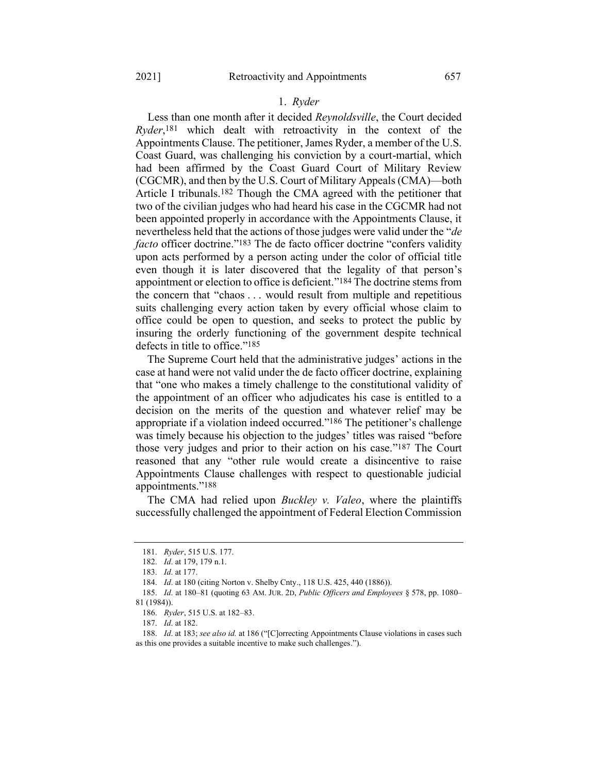#### 1. *Ryder*

Less than one month after it decided *Reynoldsville*, the Court decided *Ryder*, 181 which dealt with retroactivity in the context of the Appointments Clause. The petitioner, James Ryder, a member of the U.S. Coast Guard, was challenging his conviction by a court-martial, which had been affirmed by the Coast Guard Court of Military Review (CGCMR), and then by the U.S. Court of Military Appeals (CMA)—both Article I tribunals.182 Though the CMA agreed with the petitioner that two of the civilian judges who had heard his case in the CGCMR had not been appointed properly in accordance with the Appointments Clause, it nevertheless held that the actions of those judges were valid under the "*de facto* officer doctrine."<sup>183</sup> The de facto officer doctrine "confers validity upon acts performed by a person acting under the color of official title even though it is later discovered that the legality of that person's appointment or election to office is deficient."184 The doctrine stems from the concern that "chaos . . . would result from multiple and repetitious suits challenging every action taken by every official whose claim to office could be open to question, and seeks to protect the public by insuring the orderly functioning of the government despite technical defects in title to office."185

The Supreme Court held that the administrative judges' actions in the case at hand were not valid under the de facto officer doctrine, explaining that "one who makes a timely challenge to the constitutional validity of the appointment of an officer who adjudicates his case is entitled to a decision on the merits of the question and whatever relief may be appropriate if a violation indeed occurred."186 The petitioner's challenge was timely because his objection to the judges' titles was raised "before those very judges and prior to their action on his case."187 The Court reasoned that any "other rule would create a disincentive to raise Appointments Clause challenges with respect to questionable judicial appointments."188

The CMA had relied upon *Buckley v. Valeo*, where the plaintiffs successfully challenged the appointment of Federal Election Commission

<sup>181.</sup> *Ryder*, 515 U.S. 177.

<sup>182.</sup> *Id*. at 179, 179 n.1.

<sup>183.</sup> *Id*. at 177.

<sup>184.</sup> *Id*. at 180 (citing Norton v. Shelby Cnty., 118 U.S. 425, 440 (1886)).

<sup>185.</sup> *Id*. at 180–81 (quoting 63 AM. JUR. 2D, *Public Officers and Employees* § 578, pp. 1080– 81 (1984)).

<sup>186.</sup> *Ryder*, 515 U.S. at 182–83.

<sup>187.</sup> *Id*. at 182.

<sup>188.</sup> *Id*. at 183; *see also id.* at 186 ("[C]orrecting Appointments Clause violations in cases such as this one provides a suitable incentive to make such challenges.").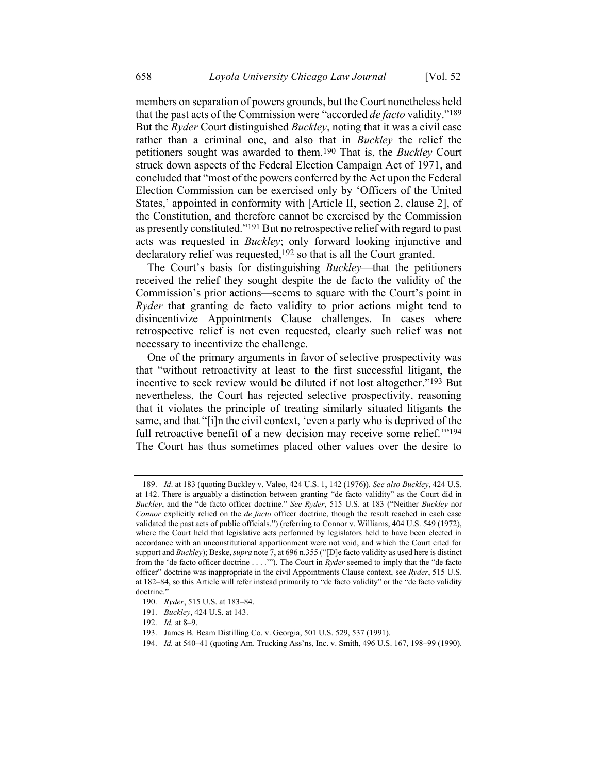<span id="page-32-0"></span>members on separation of powers grounds, but the Court nonetheless held that the past acts of the Commission were "accorded *de facto* validity."189 But the *Ryder* Court distinguished *Buckley*, noting that it was a civil case rather than a criminal one, and also that in *Buckley* the relief the petitioners sought was awarded to them.190 That is, the *Buckley* Court struck down aspects of the Federal Election Campaign Act of 1971, and concluded that "most of the powers conferred by the Act upon the Federal Election Commission can be exercised only by 'Officers of the United States,' appointed in conformity with [Article II, section 2, clause 2], of the Constitution, and therefore cannot be exercised by the Commission as presently constituted."191 But no retrospective relief with regard to past acts was requested in *Buckley*; only forward looking injunctive and declaratory relief was requested,<sup>192</sup> so that is all the Court granted.

The Court's basis for distinguishing *Buckley*—that the petitioners received the relief they sought despite the de facto the validity of the Commission's prior actions—seems to square with the Court's point in *Ryder* that granting de facto validity to prior actions might tend to disincentivize Appointments Clause challenges. In cases where retrospective relief is not even requested, clearly such relief was not necessary to incentivize the challenge.

One of the primary arguments in favor of selective prospectivity was that "without retroactivity at least to the first successful litigant, the incentive to seek review would be diluted if not lost altogether."193 But nevertheless, the Court has rejected selective prospectivity, reasoning that it violates the principle of treating similarly situated litigants the same, and that "[i]n the civil context, 'even a party who is deprived of the full retroactive benefit of a new decision may receive some relief."<sup>194</sup> The Court has thus sometimes placed other values over the desire to

<sup>189.</sup> *Id*. at 183 (quoting Buckley v. Valeo, 424 U.S. 1, 142 (1976)). *See also Buckley*, 424 U.S. at 142. There is arguably a distinction between granting "de facto validity" as the Court did in *Buckley*, and the "de facto officer doctrine." *See Ryder*, 515 U.S. at 183 ("Neither *Buckley* nor *Connor* explicitly relied on the *de facto* officer doctrine, though the result reached in each case validated the past acts of public officials.") (referring to Connor v. Williams, 404 U.S. 549 (1972), where the Court held that legislative acts performed by legislators held to have been elected in accordance with an unconstitutional apportionment were not void, and which the Court cited for support and *Buckley*); Beske, *supra* not[e 7,](#page-3-0) at 696 n.355 ("[D]e facto validity as used here is distinct from the 'de facto officer doctrine . . . .'"). The Court in *Ryder* seemed to imply that the "de facto officer" doctrine was inappropriate in the civil Appointments Clause context, see *Ryder*, 515 U.S. at 182–84, so this Article will refer instead primarily to "de facto validity" or the "de facto validity doctrine."

<sup>190.</sup> *Ryder*, 515 U.S. at 183–84.

<sup>191.</sup> *Buckley*, 424 U.S. at 143.

<sup>192.</sup> *Id.* at 8–9.

<sup>193.</sup> James B. Beam Distilling Co. v. Georgia, 501 U.S. 529, 537 (1991).

<sup>194.</sup> *Id.* at 540–41 (quoting Am. Trucking Ass'ns, Inc. v. Smith, 496 U.S. 167, 198–99 (1990).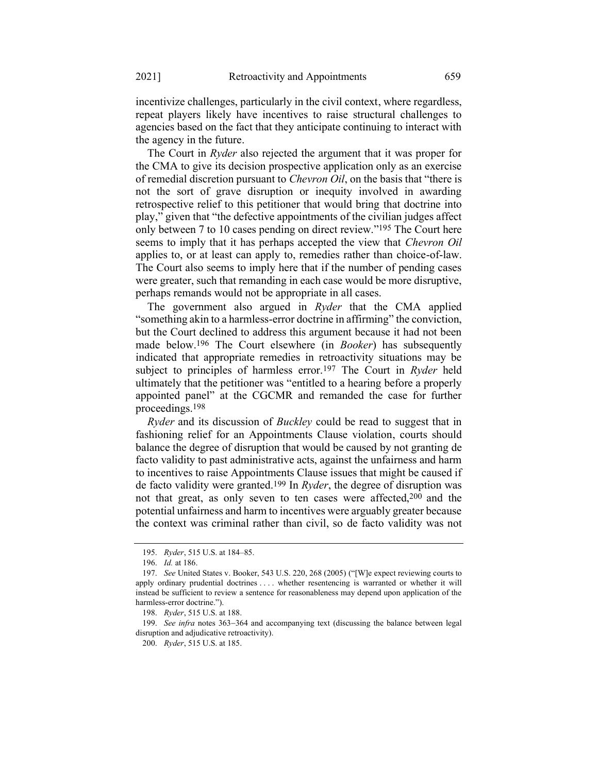incentivize challenges, particularly in the civil context, where regardless, repeat players likely have incentives to raise structural challenges to agencies based on the fact that they anticipate continuing to interact with the agency in the future.

The Court in *Ryder* also rejected the argument that it was proper for the CMA to give its decision prospective application only as an exercise of remedial discretion pursuant to *Chevron Oil*, on the basis that "there is not the sort of grave disruption or inequity involved in awarding retrospective relief to this petitioner that would bring that doctrine into play," given that "the defective appointments of the civilian judges affect only between 7 to 10 cases pending on direct review."195 The Court here seems to imply that it has perhaps accepted the view that *Chevron Oil* applies to, or at least can apply to, remedies rather than choice-of-law. The Court also seems to imply here that if the number of pending cases were greater, such that remanding in each case would be more disruptive, perhaps remands would not be appropriate in all cases.

The government also argued in *Ryder* that the CMA applied "something akin to a harmless-error doctrine in affirming" the conviction, but the Court declined to address this argument because it had not been made below.196 The Court elsewhere (in *Booker*) has subsequently indicated that appropriate remedies in retroactivity situations may be subject to principles of harmless error.197 The Court in *Ryder* held ultimately that the petitioner was "entitled to a hearing before a properly appointed panel" at the CGCMR and remanded the case for further proceedings.198

*Ryder* and its discussion of *Buckley* could be read to suggest that in fashioning relief for an Appointments Clause violation, courts should balance the degree of disruption that would be caused by not granting de facto validity to past administrative acts, against the unfairness and harm to incentives to raise Appointments Clause issues that might be caused if de facto validity were granted.199 In *Ryder*, the degree of disruption was not that great, as only seven to ten cases were affected,200 and the potential unfairness and harm to incentives were arguably greater because the context was criminal rather than civil, so de facto validity was not

<sup>195.</sup> *Ryder*, 515 U.S. at 184–85.

<sup>196.</sup> *Id.* at 186.

<sup>197.</sup> *See* United States v. Booker, 543 U.S. 220, 268 (2005) ("[W]e expect reviewing courts to apply ordinary prudential doctrines . . . . whether resentencing is warranted or whether it will instead be sufficient to review a sentence for reasonableness may depend upon application of the harmless-error doctrine.").

<sup>198.</sup> *Ryder*, 515 U.S. at 188.

<sup>199.</sup> *See infra* notes [363](#page-59-0)−[364](#page-60-0) and accompanying text (discussing the balance between legal disruption and adjudicative retroactivity).

<sup>200.</sup> *Ryder*, 515 U.S. at 185.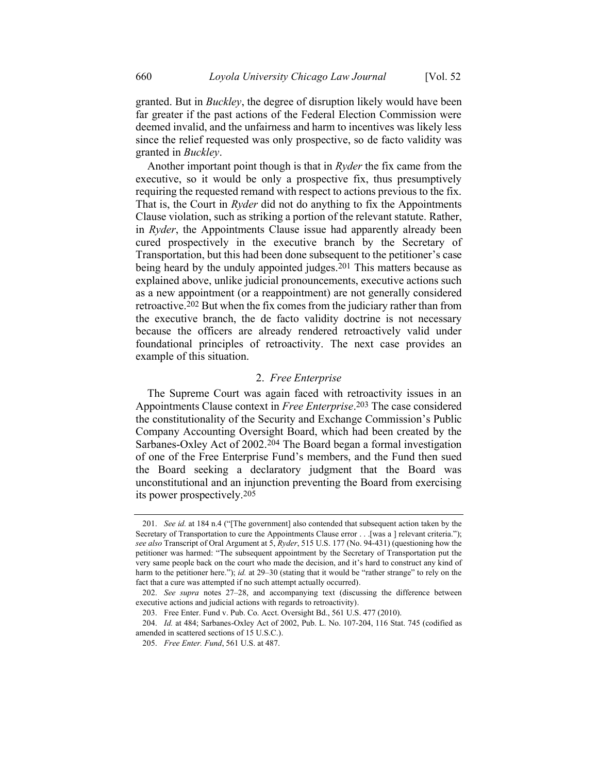granted. But in *Buckley*, the degree of disruption likely would have been far greater if the past actions of the Federal Election Commission were deemed invalid, and the unfairness and harm to incentives was likely less since the relief requested was only prospective, so de facto validity was granted in *Buckley*.

Another important point though is that in *Ryder* the fix came from the executive, so it would be only a prospective fix, thus presumptively requiring the requested remand with respect to actions previous to the fix. That is, the Court in *Ryder* did not do anything to fix the Appointments Clause violation, such as striking a portion of the relevant statute. Rather, in *Ryder*, the Appointments Clause issue had apparently already been cured prospectively in the executive branch by the Secretary of Transportation, but this had been done subsequent to the petitioner's case being heard by the unduly appointed judges.<sup>201</sup> This matters because as explained above, unlike judicial pronouncements, executive actions such as a new appointment (or a reappointment) are not generally considered retroactive.202 But when the fix comes from the judiciary rather than from the executive branch, the de facto validity doctrine is not necessary because the officers are already rendered retroactively valid under foundational principles of retroactivity. The next case provides an example of this situation.

# 2. *Free Enterprise*

The Supreme Court was again faced with retroactivity issues in an Appointments Clause context in *Free Enterprise*. 203 The case considered the constitutionality of the Security and Exchange Commission's Public Company Accounting Oversight Board, which had been created by the Sarbanes-Oxley Act of 2002.204 The Board began a formal investigation of one of the Free Enterprise Fund's members, and the Fund then sued the Board seeking a declaratory judgment that the Board was unconstitutional and an injunction preventing the Board from exercising its power prospectively.205

<sup>201.</sup> *See id.* at 184 n.4 ("[The government] also contended that subsequent action taken by the Secretary of Transportation to cure the Appointments Clause error . . . [was a ] relevant criteria."); *see also* Transcript of Oral Argument at 5, *Ryder*, 515 U.S. 177 (No. 94-431) (questioning how the petitioner was harmed: "The subsequent appointment by the Secretary of Transportation put the very same people back on the court who made the decision, and it's hard to construct any kind of harm to the petitioner here."); *id.* at 29–30 (stating that it would be "rather strange" to rely on the fact that a cure was attempted if no such attempt actually occurred).

<sup>202.</sup> *See supra* notes [27](#page-8-1)–[28,](#page-8-2) and accompanying text (discussing the difference between executive actions and judicial actions with regards to retroactivity).

<sup>203.</sup> Free Enter. Fund v. Pub. Co. Acct. Oversight Bd., 561 U.S. 477 (2010).

<sup>204.</sup> *Id.* at 484; Sarbanes-Oxley Act of 2002, Pub. L. No. 107-204, 116 Stat. 745 (codified as amended in scattered sections of 15 U.S.C.).

<sup>205.</sup> *Free Enter. Fund*, 561 U.S. at 487.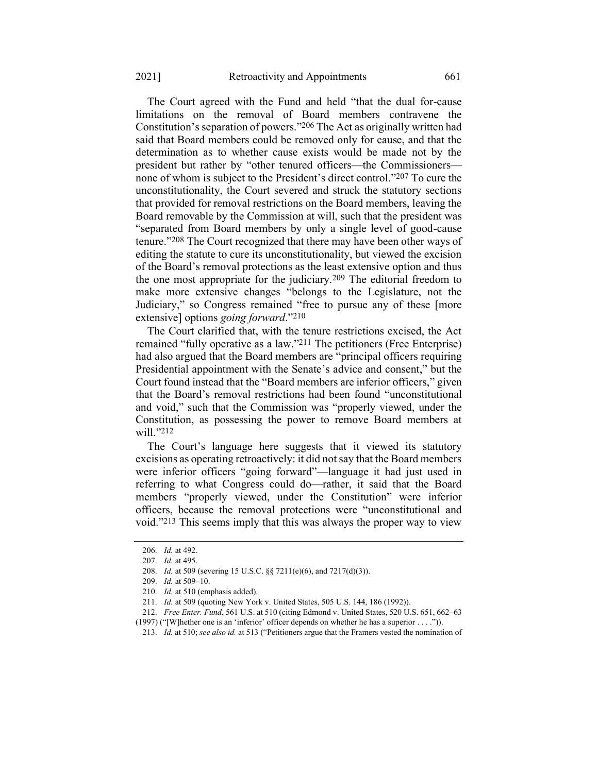The Court agreed with the Fund and held "that the dual for-cause limitations on the removal of Board members contravene the Constitution's separation of powers."206 The Act as originally written had said that Board members could be removed only for cause, and that the determination as to whether cause exists would be made not by the president but rather by "other tenured officers—the Commissioners none of whom is subject to the President's direct control."207 To cure the unconstitutionality, the Court severed and struck the statutory sections that provided for removal restrictions on the Board members, leaving the Board removable by the Commission at will, such that the president was "separated from Board members by only a single level of good-cause tenure."208 The Court recognized that there may have been other ways of editing the statute to cure its unconstitutionality, but viewed the excision of the Board's removal protections as the least extensive option and thus the one most appropriate for the judiciary.209 The editorial freedom to make more extensive changes "belongs to the Legislature, not the Judiciary," so Congress remained "free to pursue any of these [more extensive] options *going forward*."210

The Court clarified that, with the tenure restrictions excised, the Act remained "fully operative as a law."211 The petitioners (Free Enterprise) had also argued that the Board members are "principal officers requiring Presidential appointment with the Senate's advice and consent," but the Court found instead that the "Board members are inferior officers," given that the Board's removal restrictions had been found "unconstitutional and void," such that the Commission was "properly viewed, under the Constitution, as possessing the power to remove Board members at will."<sup>212</sup>

The Court's language here suggests that it viewed its statutory excisions as operating retroactively: it did not say that the Board members were inferior officers "going forward"—language it had just used in referring to what Congress could do—rather, it said that the Board members "properly viewed, under the Constitution" were inferior officers, because the removal protections were "unconstitutional and void."213 This seems imply that this was always the proper way to view

<sup>206.</sup> *Id.* at 492.

<sup>207.</sup> *Id.* at 495.

<sup>208.</sup> *Id.* at 509 (severing 15 U.S.C. §§ 7211(e)(6), and 7217(d)(3)).

<sup>209.</sup> *Id.* at 509–10.

<sup>210.</sup> *Id.* at 510 (emphasis added).

<sup>211.</sup> *Id.* at 509 (quoting New York v. United States, 505 U.S. 144, 186 (1992)).

<sup>212.</sup> *Free Enter. Fund*, 561 U.S. at 510 (citing Edmond v. United States, 520 U.S. 651, 662–63

<sup>(1997) (</sup>"[W]hether one is an 'inferior' officer depends on whether he has a superior . . . .")).

<sup>213.</sup> *Id.* at 510; *see also id.* at 513 ("Petitioners argue that the Framers vested the nomination of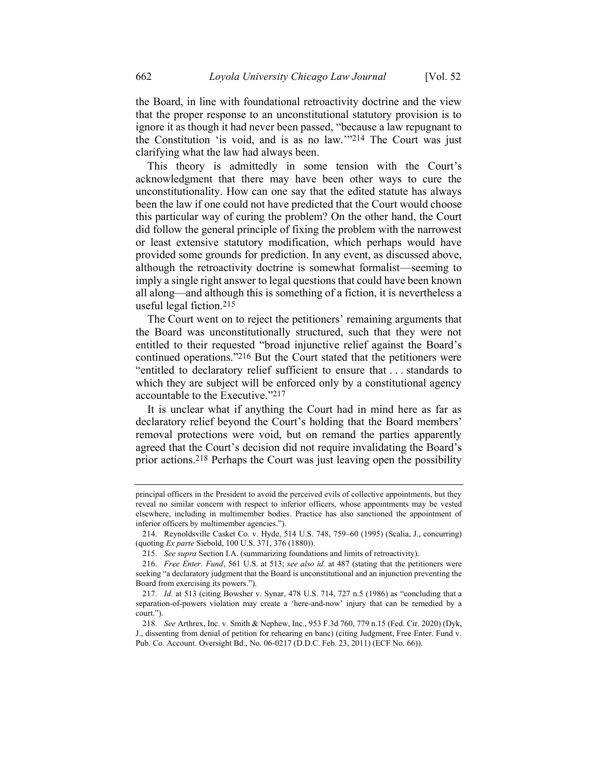the Board, in line with foundational retroactivity doctrine and the view that the proper response to an unconstitutional statutory provision is to ignore it as though it had never been passed, "because a law repugnant to the Constitution 'is void, and is as no law.'"214 The Court was just clarifying what the law had always been.

This theory is admittedly in some tension with the Court's acknowledgment that there may have been other ways to cure the unconstitutionality. How can one say that the edited statute has always been the law if one could not have predicted that the Court would choose this particular way of curing the problem? On the other hand, the Court did follow the general principle of fixing the problem with the narrowest or least extensive statutory modification, which perhaps would have provided some grounds for prediction. In any event, as discussed above, although the retroactivity doctrine is somewhat formalist—seeming to imply a single right answer to legal questions that could have been known all along—and although this is something of a fiction, it is nevertheless a useful legal fiction.215

The Court went on to reject the petitioners' remaining arguments that the Board was unconstitutionally structured, such that they were not entitled to their requested "broad injunctive relief against the Board's continued operations."216 But the Court stated that the petitioners were "entitled to declaratory relief sufficient to ensure that . . . standards to which they are subject will be enforced only by a constitutional agency accountable to the Executive."217

It is unclear what if anything the Court had in mind here as far as declaratory relief beyond the Court's holding that the Board members' removal protections were void, but on remand the parties apparently agreed that the Court's decision did not require invalidating the Board's prior actions.218 Perhaps the Court was just leaving open the possibility

principal officers in the President to avoid the perceived evils of collective appointments, but they reveal no similar concern with respect to inferior officers, whose appointments may be vested elsewhere, including in multimember bodies. Practice has also sanctioned the appointment of inferior officers by multimember agencies.").

<sup>214.</sup> Reynoldsville Casket Co. v. Hyde, 514 U.S. 748, 759–60 (1995) (Scalia, J., concurring) (quoting *Ex parte* Siebold, 100 U.S. 371, 376 (1880)).

<sup>215.</sup> *See supra* Section I.A. (summarizing foundations and limits of retroactivity).

<sup>216.</sup> *Free Enter. Fund*, 561 U.S. at 513; *see also id.* at 487 (stating that the petitioners were seeking "a declaratory judgment that the Board is unconstitutional and an injunction preventing the Board from exercising its powers.").

<sup>217.</sup> *Id.* at 513 (citing Bowsher v. Synar, 478 U.S. 714, 727 n.5 (1986) as "concluding that a separation-of-powers violation may create a 'here-and-now' injury that can be remedied by a court.").

<sup>218.</sup> *See* Arthrex, Inc. v. Smith & Nephew, Inc., 953 F.3d 760, 779 n.15 (Fed. Cir. 2020) (Dyk, J., dissenting from denial of petition for rehearing en banc) (citing Judgment, Free Enter. Fund v. Pub. Co. Account. Oversight Bd., No. 06-0217 (D.D.C. Feb. 23, 2011) (ECF No. 66)).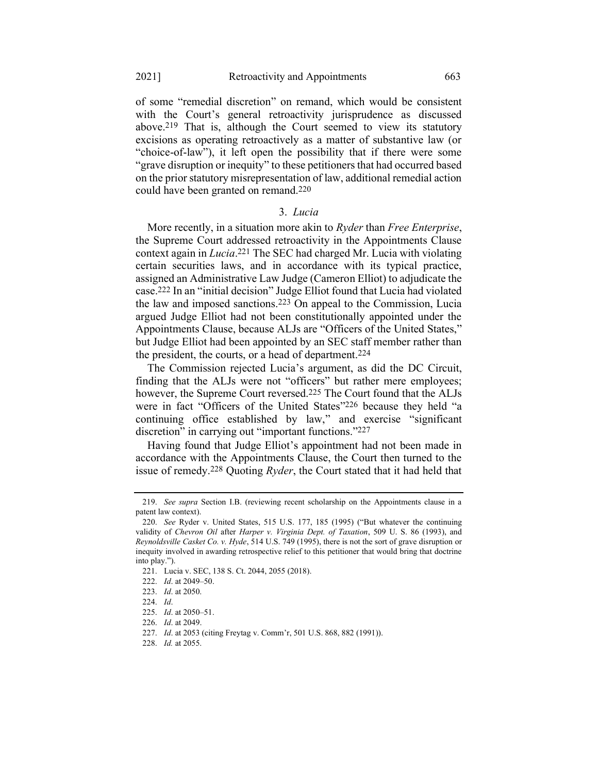of some "remedial discretion" on remand, which would be consistent with the Court's general retroactivity jurisprudence as discussed above.219 That is, although the Court seemed to view its statutory excisions as operating retroactively as a matter of substantive law (or "choice-of-law"), it left open the possibility that if there were some "grave disruption or inequity" to these petitioners that had occurred based on the prior statutory misrepresentation of law, additional remedial action could have been granted on remand.220

### 3. *Lucia*

More recently, in a situation more akin to *Ryder* than *Free Enterprise*, the Supreme Court addressed retroactivity in the Appointments Clause context again in *Lucia*. 221 The SEC had charged Mr. Lucia with violating certain securities laws, and in accordance with its typical practice, assigned an Administrative Law Judge (Cameron Elliot) to adjudicate the case.222 In an "initial decision" Judge Elliot found that Lucia had violated the law and imposed sanctions.223 On appeal to the Commission, Lucia argued Judge Elliot had not been constitutionally appointed under the Appointments Clause, because ALJs are "Officers of the United States," but Judge Elliot had been appointed by an SEC staff member rather than the president, the courts, or a head of department.224

The Commission rejected Lucia's argument, as did the DC Circuit, finding that the ALJs were not "officers" but rather mere employees; however, the Supreme Court reversed.225 The Court found that the ALJs were in fact "Officers of the United States"226 because they held "a continuing office established by law," and exercise "significant discretion" in carrying out "important functions."227

Having found that Judge Elliot's appointment had not been made in accordance with the Appointments Clause, the Court then turned to the issue of remedy.228 Quoting *Ryder*, the Court stated that it had held that

<sup>219.</sup> *See supra* Section I.B. (reviewing recent scholarship on the Appointments clause in a patent law context).

<sup>220.</sup> *See* Ryder v. United States, 515 U.S. 177, 185 (1995) ("But whatever the continuing validity of *Chevron Oil* after *Harper v. Virginia Dept. of Taxation*, 509 U. S. 86 (1993), and *Reynoldsville Casket Co. v. Hyde*, 514 U.S. 749 (1995), there is not the sort of grave disruption or inequity involved in awarding retrospective relief to this petitioner that would bring that doctrine into play.").

<sup>221.</sup> Lucia v. SEC, 138 S. Ct. 2044, 2055 (2018).

<sup>222.</sup> *Id*. at 2049–50.

<sup>223.</sup> *Id*. at 2050.

<sup>224.</sup> *Id*.

<sup>225.</sup> *Id*. at 2050–51.

<sup>226.</sup> *Id*. at 2049.

<sup>227.</sup> *Id*. at 2053 (citing Freytag v. Comm'r, 501 U.S. 868, 882 (1991)).

<sup>228.</sup> *Id.* at 2055.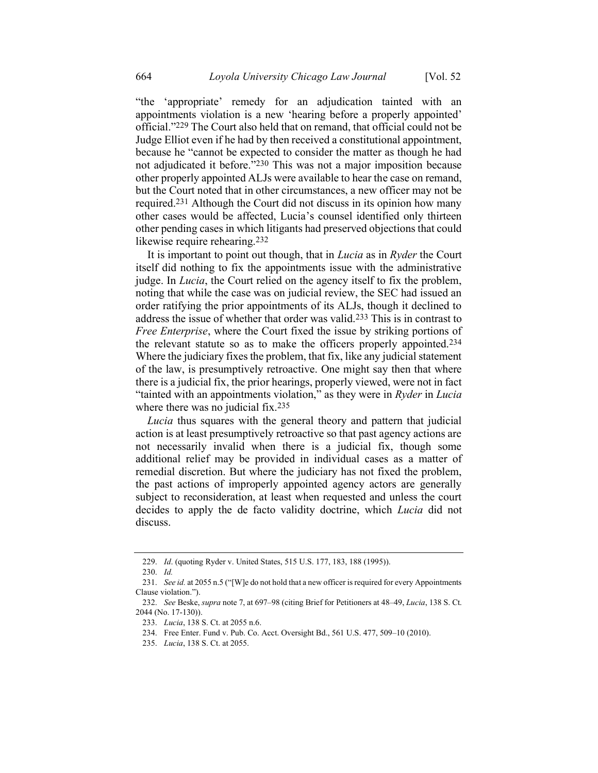<span id="page-38-0"></span>"the 'appropriate' remedy for an adjudication tainted with an appointments violation is a new 'hearing before a properly appointed' official."229 The Court also held that on remand, that official could not be Judge Elliot even if he had by then received a constitutional appointment, because he "cannot be expected to consider the matter as though he had not adjudicated it before."230 This was not a major imposition because other properly appointed ALJs were available to hear the case on remand, but the Court noted that in other circumstances, a new officer may not be required.231 Although the Court did not discuss in its opinion how many other cases would be affected, Lucia's counsel identified only thirteen other pending cases in which litigants had preserved objections that could likewise require rehearing.<sup>232</sup>

It is important to point out though, that in *Lucia* as in *Ryder* the Court itself did nothing to fix the appointments issue with the administrative judge. In *Lucia*, the Court relied on the agency itself to fix the problem, noting that while the case was on judicial review, the SEC had issued an order ratifying the prior appointments of its ALJs, though it declined to address the issue of whether that order was valid.233 This is in contrast to *Free Enterprise*, where the Court fixed the issue by striking portions of the relevant statute so as to make the officers properly appointed.234 Where the judiciary fixes the problem, that fix, like any judicial statement of the law, is presumptively retroactive. One might say then that where there is a judicial fix, the prior hearings, properly viewed, were not in fact "tainted with an appointments violation," as they were in *Ryder* in *Lucia* where there was no judicial fix.<sup>235</sup>

*Lucia* thus squares with the general theory and pattern that judicial action is at least presumptively retroactive so that past agency actions are not necessarily invalid when there is a judicial fix, though some additional relief may be provided in individual cases as a matter of remedial discretion. But where the judiciary has not fixed the problem, the past actions of improperly appointed agency actors are generally subject to reconsideration, at least when requested and unless the court decides to apply the de facto validity doctrine, which *Lucia* did not discuss.

<sup>229.</sup> *Id*. (quoting Ryder v. United States, 515 U.S. 177, 183, 188 (1995)).

<sup>230.</sup> *Id.*

<sup>231.</sup> *See id.* at 2055 n.5 ("[W]e do not hold that a new officer is required for every Appointments Clause violation.").

<sup>232.</sup> *See* Beske, *supra* not[e 7,](#page-3-0) at 697–98 (citing Brief for Petitioners at 48–49, *Lucia*, 138 S. Ct. 2044 (No. 17-130)).

<sup>233.</sup> *Lucia*, 138 S. Ct. at 2055 n.6.

<sup>234.</sup> Free Enter. Fund v. Pub. Co. Acct. Oversight Bd., 561 U.S. 477, 509–10 (2010).

<sup>235.</sup> *Lucia*, 138 S. Ct. at 2055.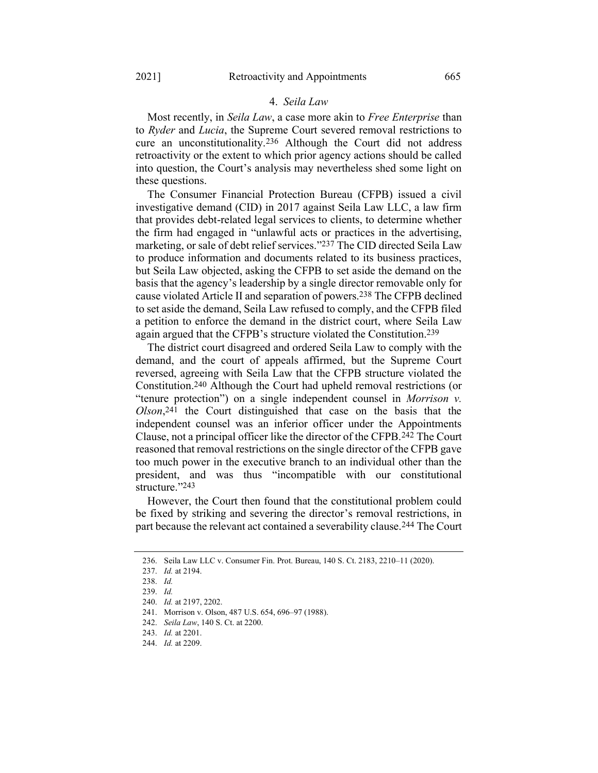## 4. *Seila Law*

Most recently, in *Seila Law*, a case more akin to *Free Enterprise* than to *Ryder* and *Lucia*, the Supreme Court severed removal restrictions to cure an unconstitutionality.236 Although the Court did not address retroactivity or the extent to which prior agency actions should be called into question, the Court's analysis may nevertheless shed some light on these questions.

The Consumer Financial Protection Bureau (CFPB) issued a civil investigative demand (CID) in 2017 against Seila Law LLC, a law firm that provides debt-related legal services to clients, to determine whether the firm had engaged in "unlawful acts or practices in the advertising, marketing, or sale of debt relief services."237 The CID directed Seila Law to produce information and documents related to its business practices, but Seila Law objected, asking the CFPB to set aside the demand on the basis that the agency's leadership by a single director removable only for cause violated Article II and separation of powers.238 The CFPB declined to set aside the demand, Seila Law refused to comply, and the CFPB filed a petition to enforce the demand in the district court, where Seila Law again argued that the CFPB's structure violated the Constitution.239

The district court disagreed and ordered Seila Law to comply with the demand, and the court of appeals affirmed, but the Supreme Court reversed, agreeing with Seila Law that the CFPB structure violated the Constitution.240 Although the Court had upheld removal restrictions (or "tenure protection") on a single independent counsel in *Morrison v. Olson*, 241 the Court distinguished that case on the basis that the independent counsel was an inferior officer under the Appointments Clause, not a principal officer like the director of the CFPB.242 The Court reasoned that removal restrictions on the single director of the CFPB gave too much power in the executive branch to an individual other than the president, and was thus "incompatible with our constitutional structure."243

However, the Court then found that the constitutional problem could be fixed by striking and severing the director's removal restrictions, in part because the relevant act contained a severability clause.244 The Court

<sup>236.</sup> Seila Law LLC v. Consumer Fin. Prot. Bureau, 140 S. Ct. 2183, 2210–11 (2020).

<sup>237.</sup> *Id.* at 2194.

<sup>238.</sup> *Id.*

<sup>239.</sup> *Id.*

<sup>240.</sup> *Id.* at 2197, 2202.

<sup>241.</sup> Morrison v. Olson, 487 U.S. 654, 696–97 (1988).

<sup>242.</sup> *Seila Law*, 140 S. Ct. at 2200.

<sup>243.</sup> *Id.* at 2201.

<sup>244.</sup> *Id.* at 2209.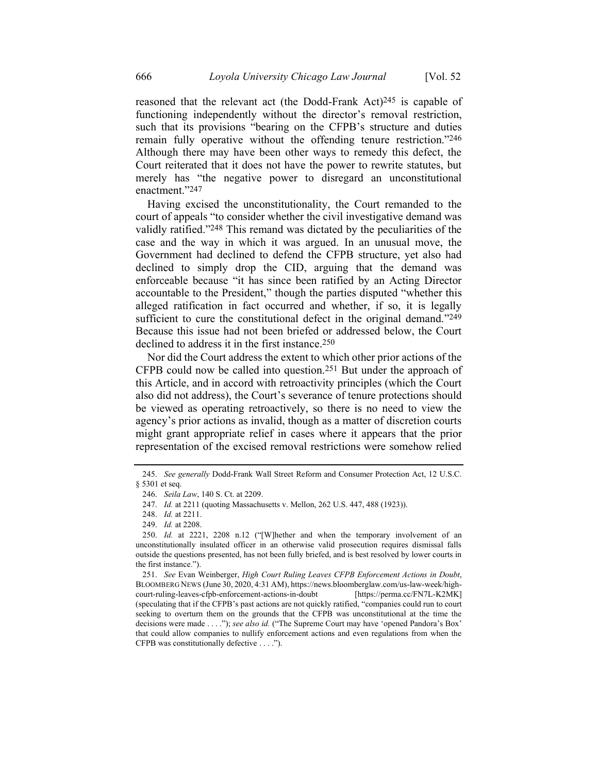reasoned that the relevant act (the Dodd-Frank Act)<sup>245</sup> is capable of functioning independently without the director's removal restriction, such that its provisions "bearing on the CFPB's structure and duties remain fully operative without the offending tenure restriction."246 Although there may have been other ways to remedy this defect, the Court reiterated that it does not have the power to rewrite statutes, but merely has "the negative power to disregard an unconstitutional enactment."247

Having excised the unconstitutionality, the Court remanded to the court of appeals "to consider whether the civil investigative demand was validly ratified."248 This remand was dictated by the peculiarities of the case and the way in which it was argued. In an unusual move, the Government had declined to defend the CFPB structure, yet also had declined to simply drop the CID, arguing that the demand was enforceable because "it has since been ratified by an Acting Director accountable to the President," though the parties disputed "whether this alleged ratification in fact occurred and whether, if so, it is legally sufficient to cure the constitutional defect in the original demand."249 Because this issue had not been briefed or addressed below, the Court declined to address it in the first instance.250

Nor did the Court address the extent to which other prior actions of the CFPB could now be called into question.251 But under the approach of this Article, and in accord with retroactivity principles (which the Court also did not address), the Court's severance of tenure protections should be viewed as operating retroactively, so there is no need to view the agency's prior actions as invalid, though as a matter of discretion courts might grant appropriate relief in cases where it appears that the prior representation of the excised removal restrictions were somehow relied

<sup>245.</sup> *See generally* Dodd-Frank Wall Street Reform and Consumer Protection Act, 12 U.S.C. § 5301 et seq.

<sup>246.</sup> *Seila Law*, 140 S. Ct. at 2209.

<sup>247.</sup> *Id.* at 2211 (quoting Massachusetts v. Mellon, 262 U.S. 447, 488 (1923)).

<sup>248.</sup> *Id.* at 2211.

<sup>249.</sup> *Id.* at 2208.

<sup>250.</sup> *Id.* at 2221, 2208 n.12 ("[W]hether and when the temporary involvement of an unconstitutionally insulated officer in an otherwise valid prosecution requires dismissal falls outside the questions presented, has not been fully briefed, and is best resolved by lower courts in the first instance.").

<sup>251.</sup> *See* Evan Weinberger, *High Court Ruling Leaves CFPB Enforcement Actions in Doubt*, BLOOMBERG NEWS (June 30, 2020, 4:31 AM), https://news.bloomberglaw.com/us-law-week/highcourt-ruling-leaves-cfpb-enforcement-actions-in-doubt [https://perma.cc/FN7L-K2MK] (speculating that if the CFPB's past actions are not quickly ratified, "companies could run to court seeking to overturn them on the grounds that the CFPB was unconstitutional at the time the decisions were made . . . ."); *see also id.* ("The Supreme Court may have 'opened Pandora's Box' that could allow companies to nullify enforcement actions and even regulations from when the CFPB was constitutionally defective . . . .").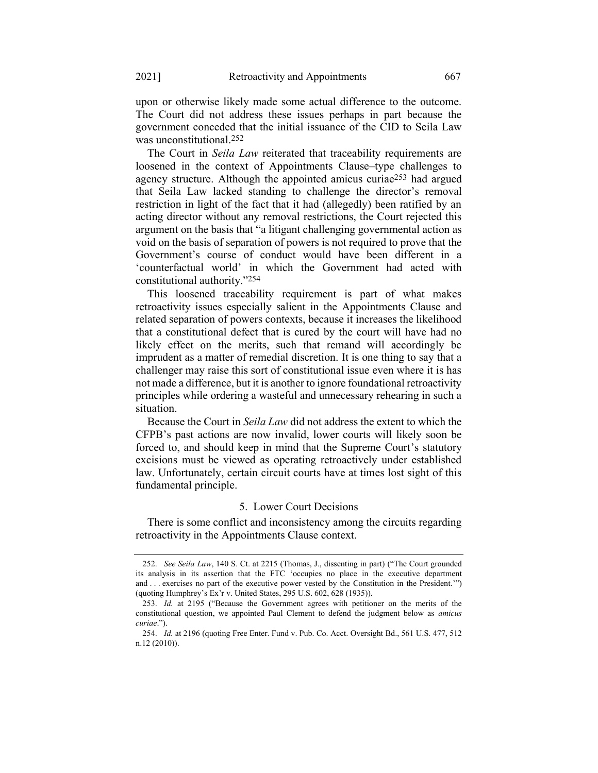upon or otherwise likely made some actual difference to the outcome. The Court did not address these issues perhaps in part because the government conceded that the initial issuance of the CID to Seila Law was unconstitutional.252

<span id="page-41-0"></span>The Court in *Seila Law* reiterated that traceability requirements are loosened in the context of Appointments Clause–type challenges to agency structure. Although the appointed amicus curiae253 had argued that Seila Law lacked standing to challenge the director's removal restriction in light of the fact that it had (allegedly) been ratified by an acting director without any removal restrictions, the Court rejected this argument on the basis that "a litigant challenging governmental action as void on the basis of separation of powers is not required to prove that the Government's course of conduct would have been different in a 'counterfactual world' in which the Government had acted with constitutional authority."254

This loosened traceability requirement is part of what makes retroactivity issues especially salient in the Appointments Clause and related separation of powers contexts, because it increases the likelihood that a constitutional defect that is cured by the court will have had no likely effect on the merits, such that remand will accordingly be imprudent as a matter of remedial discretion. It is one thing to say that a challenger may raise this sort of constitutional issue even where it is has not made a difference, but it is another to ignore foundational retroactivity principles while ordering a wasteful and unnecessary rehearing in such a situation.

Because the Court in *Seila Law* did not address the extent to which the CFPB's past actions are now invalid, lower courts will likely soon be forced to, and should keep in mind that the Supreme Court's statutory excisions must be viewed as operating retroactively under established law. Unfortunately, certain circuit courts have at times lost sight of this fundamental principle.

#### 5. Lower Court Decisions

There is some conflict and inconsistency among the circuits regarding retroactivity in the Appointments Clause context.

<sup>252.</sup> *See Seila Law*, 140 S. Ct. at 2215 (Thomas, J., dissenting in part) ("The Court grounded its analysis in its assertion that the FTC 'occupies no place in the executive department and . . . exercises no part of the executive power vested by the Constitution in the President.'") (quoting Humphrey's Ex'r v. United States, 295 U.S. 602, 628 (1935)).

<sup>253.</sup> *Id.* at 2195 ("Because the Government agrees with petitioner on the merits of the constitutional question, we appointed Paul Clement to defend the judgment below as *amicus curiae*.").

<sup>254.</sup> *Id.* at 2196 (quoting Free Enter. Fund v. Pub. Co. Acct. Oversight Bd., 561 U.S. 477, 512 n.12 (2010)).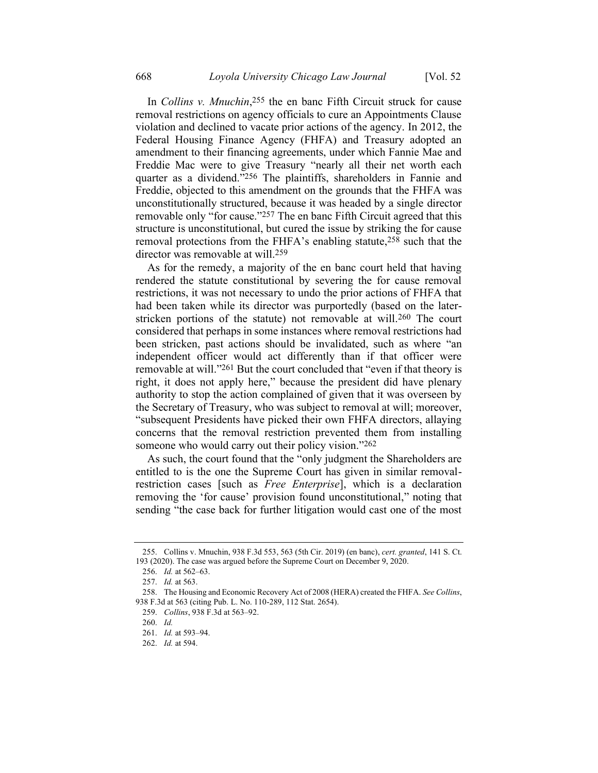In *Collins v. Mnuchin*, 255 the en banc Fifth Circuit struck for cause removal restrictions on agency officials to cure an Appointments Clause violation and declined to vacate prior actions of the agency. In 2012, the Federal Housing Finance Agency (FHFA) and Treasury adopted an amendment to their financing agreements, under which Fannie Mae and Freddie Mac were to give Treasury "nearly all their net worth each quarter as a dividend."256 The plaintiffs, shareholders in Fannie and Freddie, objected to this amendment on the grounds that the FHFA was unconstitutionally structured, because it was headed by a single director removable only "for cause."<sup>257</sup> The en banc Fifth Circuit agreed that this structure is unconstitutional, but cured the issue by striking the for cause removal protections from the FHFA's enabling statute,<sup>258</sup> such that the director was removable at will.259

As for the remedy, a majority of the en banc court held that having rendered the statute constitutional by severing the for cause removal restrictions, it was not necessary to undo the prior actions of FHFA that had been taken while its director was purportedly (based on the laterstricken portions of the statute) not removable at will.260 The court considered that perhaps in some instances where removal restrictions had been stricken, past actions should be invalidated, such as where "an independent officer would act differently than if that officer were removable at will."261 But the court concluded that "even if that theory is right, it does not apply here," because the president did have plenary authority to stop the action complained of given that it was overseen by the Secretary of Treasury, who was subject to removal at will; moreover, "subsequent Presidents have picked their own FHFA directors, allaying concerns that the removal restriction prevented them from installing someone who would carry out their policy vision."262

As such, the court found that the "only judgment the Shareholders are entitled to is the one the Supreme Court has given in similar removalrestriction cases [such as *Free Enterprise*], which is a declaration removing the 'for cause' provision found unconstitutional," noting that sending "the case back for further litigation would cast one of the most

<sup>255.</sup> Collins v. Mnuchin, 938 F.3d 553, 563 (5th Cir. 2019) (en banc), *cert. granted*, 141 S. Ct. 193 (2020). The case was argued before the Supreme Court on December 9, 2020.

<sup>256.</sup> *Id.* at 562–63.

<sup>257.</sup> *Id.* at 563.

<sup>258.</sup> The Housing and Economic Recovery Act of 2008 (HERA) created the FHFA. *See Collins*, 938 F.3d at 563 (citing Pub. L. No. 110-289, 112 Stat. 2654).

<sup>259.</sup> *Collins*, 938 F.3d at 563–92.

<sup>260.</sup> *Id.* 

<sup>261.</sup> *Id.* at 593–94.

<sup>262.</sup> *Id.* at 594.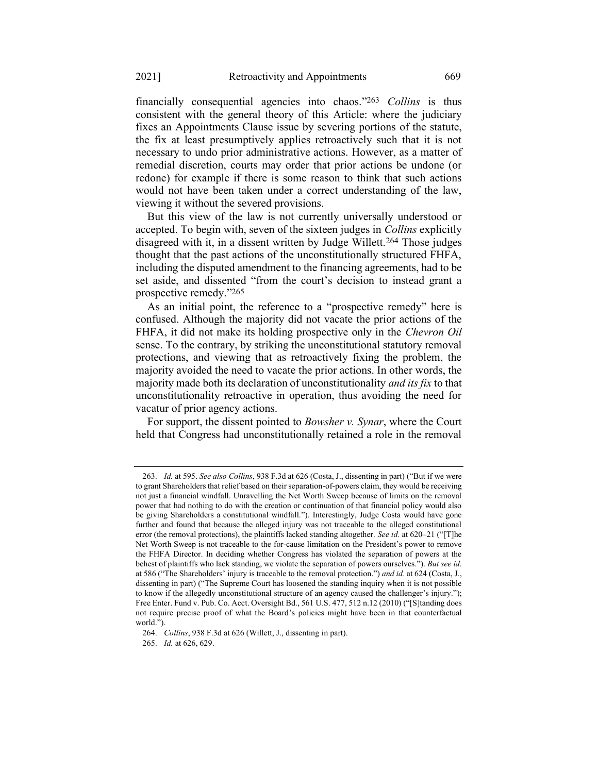financially consequential agencies into chaos."263 *Collins* is thus consistent with the general theory of this Article: where the judiciary fixes an Appointments Clause issue by severing portions of the statute, the fix at least presumptively applies retroactively such that it is not necessary to undo prior administrative actions. However, as a matter of remedial discretion, courts may order that prior actions be undone (or redone) for example if there is some reason to think that such actions would not have been taken under a correct understanding of the law, viewing it without the severed provisions.

But this view of the law is not currently universally understood or accepted. To begin with, seven of the sixteen judges in *Collins* explicitly disagreed with it, in a dissent written by Judge Willett.264 Those judges thought that the past actions of the unconstitutionally structured FHFA, including the disputed amendment to the financing agreements, had to be set aside, and dissented "from the court's decision to instead grant a prospective remedy."265

As an initial point, the reference to a "prospective remedy" here is confused. Although the majority did not vacate the prior actions of the FHFA, it did not make its holding prospective only in the *Chevron Oil* sense. To the contrary, by striking the unconstitutional statutory removal protections, and viewing that as retroactively fixing the problem, the majority avoided the need to vacate the prior actions. In other words, the majority made both its declaration of unconstitutionality *and its fix* to that unconstitutionality retroactive in operation, thus avoiding the need for vacatur of prior agency actions.

For support, the dissent pointed to *Bowsher v. Synar*, where the Court held that Congress had unconstitutionally retained a role in the removal

<sup>263.</sup> *Id.* at 595. *See also Collins*, 938 F.3d at 626 (Costa, J., dissenting in part) ("But if we were to grant Shareholders that relief based on their separation-of-powers claim, they would be receiving not just a financial windfall. Unravelling the Net Worth Sweep because of limits on the removal power that had nothing to do with the creation or continuation of that financial policy would also be giving Shareholders a constitutional windfall."). Interestingly, Judge Costa would have gone further and found that because the alleged injury was not traceable to the alleged constitutional error (the removal protections), the plaintiffs lacked standing altogether. *See id.* at 620–21 ("[T]he Net Worth Sweep is not traceable to the for-cause limitation on the President's power to remove the FHFA Director. In deciding whether Congress has violated the separation of powers at the behest of plaintiffs who lack standing, we violate the separation of powers ourselves."). *But see id*. at 586 ("The Shareholders' injury is traceable to the removal protection.") *and id*. at 624 (Costa, J., dissenting in part) ("The Supreme Court has loosened the standing inquiry when it is not possible to know if the allegedly unconstitutional structure of an agency caused the challenger's injury."); Free Enter. Fund v. Pub. Co. Acct. Oversight Bd., 561 U.S. 477, 512 n.12 (2010) ("[S]tanding does not require precise proof of what the Board's policies might have been in that counterfactual world.").

<sup>264.</sup> *Collins*, 938 F.3d at 626 (Willett, J., dissenting in part).

<sup>265.</sup> *Id.* at 626, 629.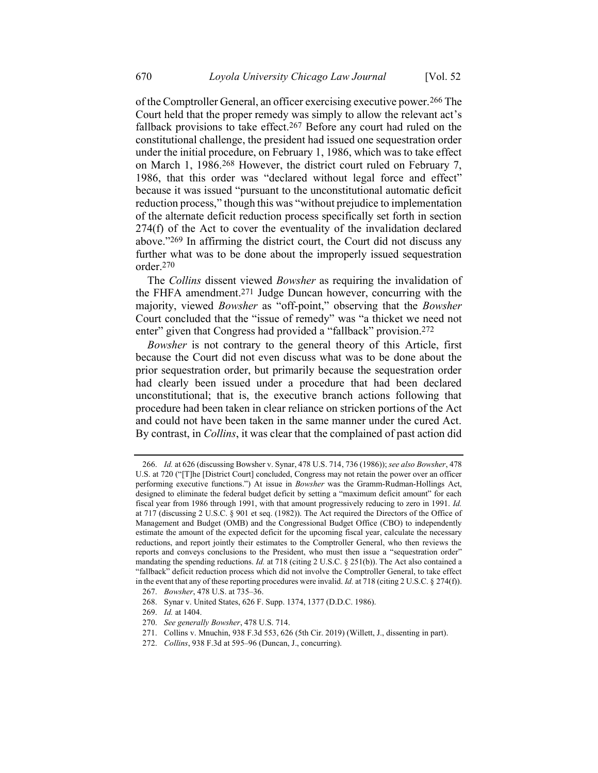of the Comptroller General, an officer exercising executive power.266 The Court held that the proper remedy was simply to allow the relevant act's fallback provisions to take effect.<sup>267</sup> Before any court had ruled on the constitutional challenge, the president had issued one sequestration order under the initial procedure, on February 1, 1986, which was to take effect on March 1, 1986.268 However, the district court ruled on February 7, 1986, that this order was "declared without legal force and effect" because it was issued "pursuant to the unconstitutional automatic deficit reduction process," though this was "without prejudice to implementation of the alternate deficit reduction process specifically set forth in section 274(f) of the Act to cover the eventuality of the invalidation declared above."269 In affirming the district court, the Court did not discuss any further what was to be done about the improperly issued sequestration order.270

The *Collins* dissent viewed *Bowsher* as requiring the invalidation of the FHFA amendment.271 Judge Duncan however, concurring with the majority, viewed *Bowsher* as "off-point," observing that the *Bowsher* Court concluded that the "issue of remedy" was "a thicket we need not enter" given that Congress had provided a "fallback" provision.<sup>272</sup>

<span id="page-44-0"></span>*Bowsher* is not contrary to the general theory of this Article, first because the Court did not even discuss what was to be done about the prior sequestration order, but primarily because the sequestration order had clearly been issued under a procedure that had been declared unconstitutional; that is, the executive branch actions following that procedure had been taken in clear reliance on stricken portions of the Act and could not have been taken in the same manner under the cured Act. By contrast, in *Collins*, it was clear that the complained of past action did

272. *Collins*, 938 F.3d at 595–96 (Duncan, J., concurring).

<sup>266.</sup> *Id.* at 626 (discussing Bowsher v. Synar, 478 U.S. 714, 736 (1986)); *see also Bowsher*, 478 U.S. at 720 ("[T]he [District Court] concluded, Congress may not retain the power over an officer performing executive functions.") At issue in *Bowsher* was the Gramm-Rudman-Hollings Act, designed to eliminate the federal budget deficit by setting a "maximum deficit amount" for each fiscal year from 1986 through 1991, with that amount progressively reducing to zero in 1991. *Id.* at 717 (discussing 2 U.S.C. § 901 et seq. (1982)). The Act required the Directors of the Office of Management and Budget (OMB) and the Congressional Budget Office (CBO) to independently estimate the amount of the expected deficit for the upcoming fiscal year, calculate the necessary reductions, and report jointly their estimates to the Comptroller General, who then reviews the reports and conveys conclusions to the President, who must then issue a "sequestration order" mandating the spending reductions. *Id.* at 718 (citing 2 U.S.C. § 251(b)). The Act also contained a "fallback" deficit reduction process which did not involve the Comptroller General, to take effect in the event that any of these reporting procedures were invalid. *Id.* at 718 (citing 2 U.S.C. § 274(f)).

<sup>267.</sup> *Bowsher*, 478 U.S. at 735–36.

<sup>268.</sup> Synar v. United States, 626 F. Supp. 1374, 1377 (D.D.C. 1986).

<sup>269.</sup> *Id.* at 1404.

<sup>270.</sup> *See generally Bowsher*, 478 U.S. 714.

<sup>271.</sup> Collins v. Mnuchin, 938 F.3d 553, 626 (5th Cir. 2019) (Willett, J., dissenting in part).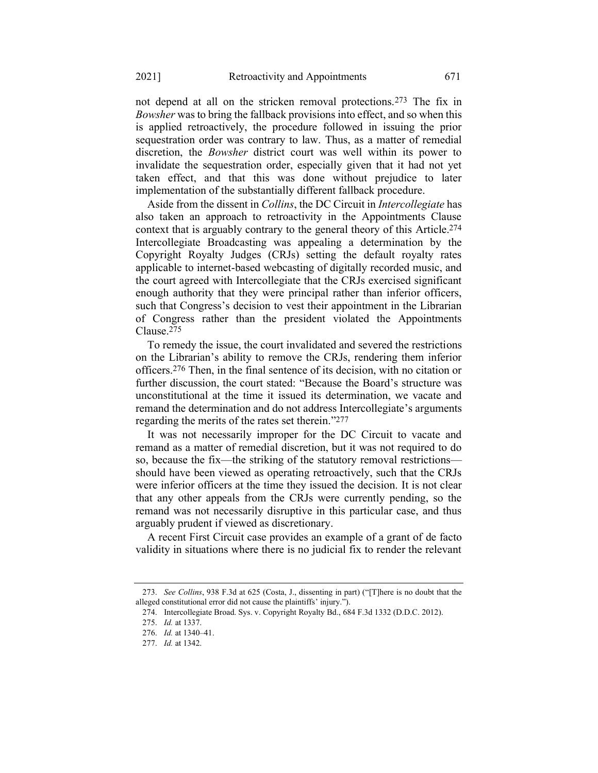not depend at all on the stricken removal protections.273 The fix in *Bowsher* was to bring the fallback provisions into effect, and so when this is applied retroactively, the procedure followed in issuing the prior sequestration order was contrary to law. Thus, as a matter of remedial discretion, the *Bowsher* district court was well within its power to invalidate the sequestration order, especially given that it had not yet taken effect, and that this was done without prejudice to later implementation of the substantially different fallback procedure.

Aside from the dissent in *Collins*, the DC Circuit in *Intercollegiate* has also taken an approach to retroactivity in the Appointments Clause context that is arguably contrary to the general theory of this Article.274 Intercollegiate Broadcasting was appealing a determination by the Copyright Royalty Judges (CRJs) setting the default royalty rates applicable to internet-based webcasting of digitally recorded music, and the court agreed with Intercollegiate that the CRJs exercised significant enough authority that they were principal rather than inferior officers, such that Congress's decision to vest their appointment in the Librarian of Congress rather than the president violated the Appointments Clause.275

To remedy the issue, the court invalidated and severed the restrictions on the Librarian's ability to remove the CRJs, rendering them inferior officers.276 Then, in the final sentence of its decision, with no citation or further discussion, the court stated: "Because the Board's structure was unconstitutional at the time it issued its determination, we vacate and remand the determination and do not address Intercollegiate's arguments regarding the merits of the rates set therein."277

It was not necessarily improper for the DC Circuit to vacate and remand as a matter of remedial discretion, but it was not required to do so, because the fix—the striking of the statutory removal restrictions should have been viewed as operating retroactively, such that the CRJs were inferior officers at the time they issued the decision. It is not clear that any other appeals from the CRJs were currently pending, so the remand was not necessarily disruptive in this particular case, and thus arguably prudent if viewed as discretionary.

A recent First Circuit case provides an example of a grant of de facto validity in situations where there is no judicial fix to render the relevant

<sup>273.</sup> *See Collins*, 938 F.3d at 625 (Costa, J., dissenting in part) ("[T]here is no doubt that the alleged constitutional error did not cause the plaintiffs' injury.").

<sup>274.</sup> Intercollegiate Broad. Sys. v. Copyright Royalty Bd., 684 F.3d 1332 (D.D.C. 2012).

<sup>275.</sup> *Id.* at 1337.

<sup>276.</sup> *Id.* at 1340–41.

<sup>277.</sup> *Id.* at 1342.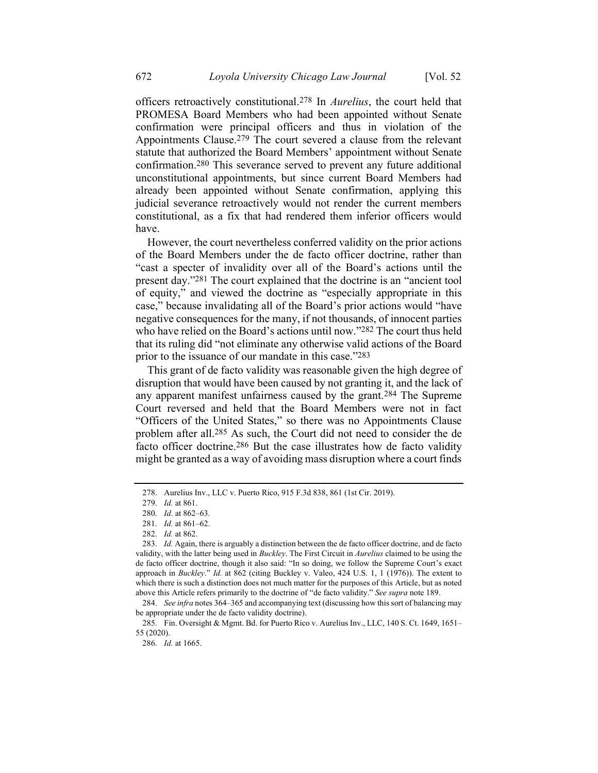officers retroactively constitutional.278 In *Aurelius*, the court held that PROMESA Board Members who had been appointed without Senate confirmation were principal officers and thus in violation of the Appointments Clause.279 The court severed a clause from the relevant statute that authorized the Board Members' appointment without Senate confirmation.280 This severance served to prevent any future additional unconstitutional appointments, but since current Board Members had already been appointed without Senate confirmation, applying this judicial severance retroactively would not render the current members constitutional, as a fix that had rendered them inferior officers would have.

However, the court nevertheless conferred validity on the prior actions of the Board Members under the de facto officer doctrine, rather than "cast a specter of invalidity over all of the Board's actions until the present day."281 The court explained that the doctrine is an "ancient tool of equity," and viewed the doctrine as "especially appropriate in this case," because invalidating all of the Board's prior actions would "have negative consequences for the many, if not thousands, of innocent parties who have relied on the Board's actions until now."282 The court thus held that its ruling did "not eliminate any otherwise valid actions of the Board prior to the issuance of our mandate in this case."283

This grant of de facto validity was reasonable given the high degree of disruption that would have been caused by not granting it, and the lack of any apparent manifest unfairness caused by the grant.284 The Supreme Court reversed and held that the Board Members were not in fact "Officers of the United States," so there was no Appointments Clause problem after all.285 As such, the Court did not need to consider the de facto officer doctrine.286 But the case illustrates how de facto validity might be granted as a way of avoiding mass disruption where a court finds

<sup>278.</sup> Aurelius Inv., LLC v. Puerto Rico, 915 F.3d 838, 861 (1st Cir. 2019).

<sup>279.</sup> *Id.* at 861.

<sup>280.</sup> *Id*. at 862–63.

<sup>281.</sup> *Id.* at 861–62.

<sup>282.</sup> *Id.* at 862.

<sup>283.</sup> *Id.* Again, there is arguably a distinction between the de facto officer doctrine, and de facto validity, with the latter being used in *Buckley*. The First Circuit in *Aurelius* claimed to be using the de facto officer doctrine, though it also said: "In so doing, we follow the Supreme Court's exact approach in *Buckley*." *Id.* at 862 (citing Buckley v. Valeo, 424 U.S. 1, 1 (1976)). The extent to which there is such a distinction does not much matter for the purposes of this Article, but as noted above this Article refers primarily to the doctrine of "de facto validity." *See supra* not[e 189.](#page-32-0)

<sup>284.</sup> *See infra* notes [364](#page-60-0)–[365](#page-60-1) and accompanying text (discussing how this sort of balancing may be appropriate under the de facto validity doctrine).

<sup>285.</sup> Fin. Oversight & Mgmt. Bd. for Puerto Rico v. Aurelius Inv., LLC, 140 S. Ct. 1649, 1651– 55 (2020).

<sup>286.</sup> *Id.* at 1665.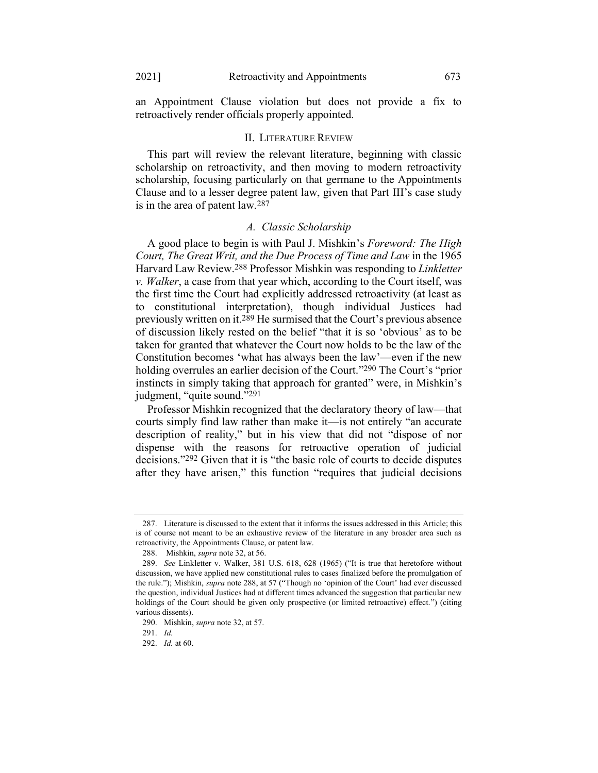an Appointment Clause violation but does not provide a fix to retroactively render officials properly appointed.

### II. LITERATURE REVIEW

This part will review the relevant literature, beginning with classic scholarship on retroactivity, and then moving to modern retroactivity scholarship, focusing particularly on that germane to the Appointments Clause and to a lesser degree patent law, given that Part III's case study is in the area of patent law.287

### <span id="page-47-0"></span>*A. Classic Scholarship*

A good place to begin is with Paul J. Mishkin's *Foreword: The High Court, The Great Writ, and the Due Process of Time and Law* in the 1965 Harvard Law Review.288 Professor Mishkin was responding to *Linkletter v. Walker*, a case from that year which, according to the Court itself, was the first time the Court had explicitly addressed retroactivity (at least as to constitutional interpretation), though individual Justices had previously written on it.289 He surmised that the Court's previous absence of discussion likely rested on the belief "that it is so 'obvious' as to be taken for granted that whatever the Court now holds to be the law of the Constitution becomes 'what has always been the law'—even if the new holding overrules an earlier decision of the Court."290 The Court's "prior instincts in simply taking that approach for granted" were, in Mishkin's judgment, "quite sound."291

Professor Mishkin recognized that the declaratory theory of law—that courts simply find law rather than make it—is not entirely "an accurate description of reality," but in his view that did not "dispose of nor dispense with the reasons for retroactive operation of judicial decisions."292 Given that it is "the basic role of courts to decide disputes after they have arisen," this function "requires that judicial decisions

<sup>287.</sup> Literature is discussed to the extent that it informs the issues addressed in this Article; this is of course not meant to be an exhaustive review of the literature in any broader area such as retroactivity, the Appointments Clause, or patent law.

<sup>288.</sup> Mishkin, *supra* note [32,](#page-9-0) at 56.

<sup>289.</sup> *See* Linkletter v. Walker, 381 U.S. 618, 628 (1965) ("It is true that heretofore without discussion, we have applied new constitutional rules to cases finalized before the promulgation of the rule."); Mishkin, *supra* not[e 288,](#page-47-0) at 57 ("Though no 'opinion of the Court' had ever discussed the question, individual Justices had at different times advanced the suggestion that particular new holdings of the Court should be given only prospective (or limited retroactive) effect.") (citing various dissents).

<sup>290.</sup> Mishkin, *supra* not[e 32,](#page-9-0) at 57.

<sup>291.</sup> *Id.*

<sup>292.</sup> *Id.* at 60.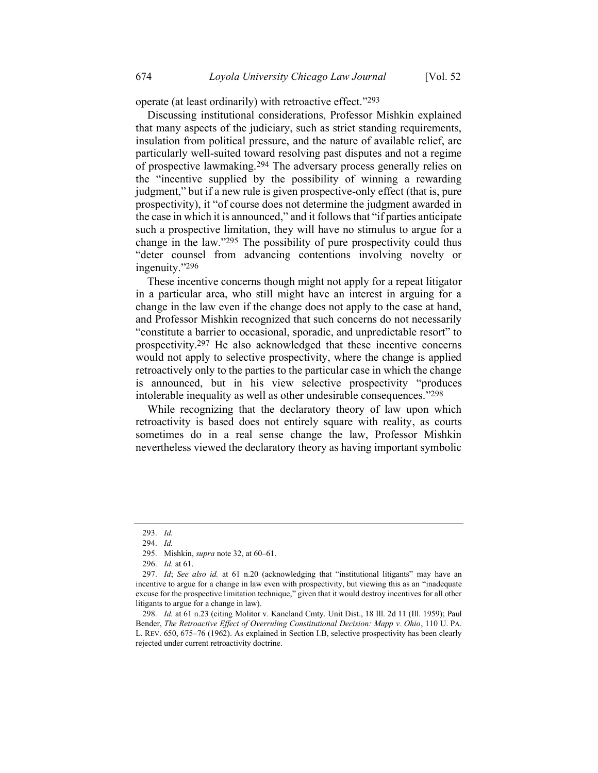operate (at least ordinarily) with retroactive effect."293

Discussing institutional considerations, Professor Mishkin explained that many aspects of the judiciary, such as strict standing requirements, insulation from political pressure, and the nature of available relief, are particularly well-suited toward resolving past disputes and not a regime of prospective lawmaking.294 The adversary process generally relies on the "incentive supplied by the possibility of winning a rewarding judgment," but if a new rule is given prospective-only effect (that is, pure prospectivity), it "of course does not determine the judgment awarded in the case in which it is announced," and it follows that "if parties anticipate such a prospective limitation, they will have no stimulus to argue for a change in the law."295 The possibility of pure prospectivity could thus "deter counsel from advancing contentions involving novelty or ingenuity."296

These incentive concerns though might not apply for a repeat litigator in a particular area, who still might have an interest in arguing for a change in the law even if the change does not apply to the case at hand, and Professor Mishkin recognized that such concerns do not necessarily "constitute a barrier to occasional, sporadic, and unpredictable resort" to prospectivity.297 He also acknowledged that these incentive concerns would not apply to selective prospectivity, where the change is applied retroactively only to the parties to the particular case in which the change is announced, but in his view selective prospectivity "produces intolerable inequality as well as other undesirable consequences."298

While recognizing that the declaratory theory of law upon which retroactivity is based does not entirely square with reality, as courts sometimes do in a real sense change the law, Professor Mishkin nevertheless viewed the declaratory theory as having important symbolic

<sup>293.</sup> *Id.*

<sup>294.</sup> *Id.*

<sup>295.</sup> Mishkin, *supra* not[e 32,](#page-9-0) at 60–61.

<sup>296.</sup> *Id.* at 61.

<sup>297.</sup> *Id*; *See also id.* at 61 n.20 (acknowledging that "institutional litigants" may have an incentive to argue for a change in law even with prospectivity, but viewing this as an "inadequate excuse for the prospective limitation technique," given that it would destroy incentives for all other litigants to argue for a change in law).

<sup>298.</sup> *Id.* at 61 n.23 (citing Molitor v. Kaneland Cmty. Unit Dist., 18 Ill. 2d 11 (Ill. 1959); Paul Bender, *The Retroactive Effect of Overruling Constitutional Decision: Mapp v. Ohio*, 110 U. PA. L. REV. 650, 675–76 (1962). As explained in Section I.B, selective prospectivity has been clearly rejected under current retroactivity doctrine.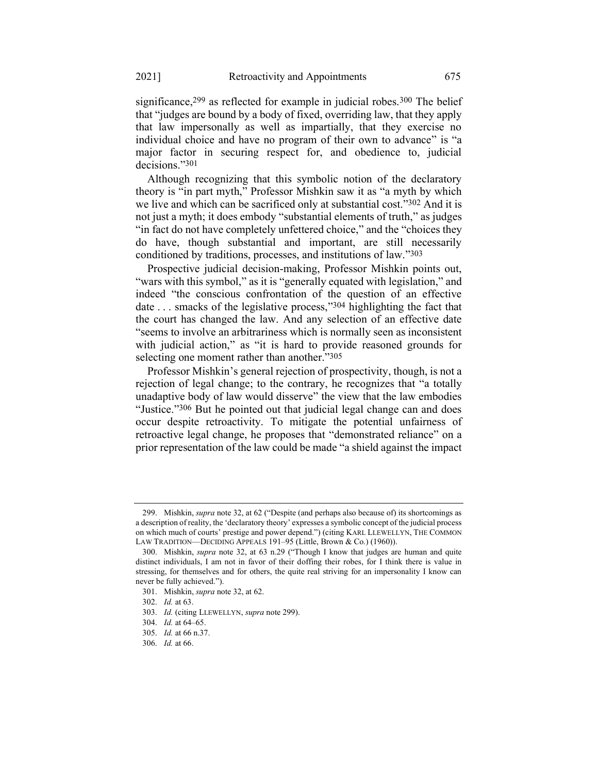significance,<sup>299</sup> as reflected for example in judicial robes.<sup>300</sup> The belief that "judges are bound by a body of fixed, overriding law, that they apply that law impersonally as well as impartially, that they exercise no individual choice and have no program of their own to advance" is "a major factor in securing respect for, and obedience to, judicial decisions."301

<span id="page-49-1"></span>Although recognizing that this symbolic notion of the declaratory theory is "in part myth," Professor Mishkin saw it as "a myth by which we live and which can be sacrificed only at substantial cost."302 And it is not just a myth; it does embody "substantial elements of truth," as judges "in fact do not have completely unfettered choice," and the "choices they do have, though substantial and important, are still necessarily conditioned by traditions, processes, and institutions of law."303

<span id="page-49-2"></span>Prospective judicial decision-making, Professor Mishkin points out, "wars with this symbol," as it is "generally equated with legislation," and indeed "the conscious confrontation of the question of an effective date ... smacks of the legislative process,"<sup>304</sup> highlighting the fact that the court has changed the law. And any selection of an effective date "seems to involve an arbitrariness which is normally seen as inconsistent with judicial action," as "it is hard to provide reasoned grounds for selecting one moment rather than another."305

Professor Mishkin's general rejection of prospectivity, though, is not a rejection of legal change; to the contrary, he recognizes that "a totally unadaptive body of law would disserve" the view that the law embodies "Justice."306 But he pointed out that judicial legal change can and does occur despite retroactivity. To mitigate the potential unfairness of retroactive legal change, he proposes that "demonstrated reliance" on a prior representation of the law could be made "a shield against the impact

<span id="page-49-0"></span>

<sup>299.</sup> Mishkin, *supra* not[e 32,](#page-9-0) at 62 ("Despite (and perhaps also because of) its shortcomings as a description of reality, the 'declaratory theory' expresses a symbolic concept of the judicial process on which much of courts' prestige and power depend.") (citing KARL LLEWELLYN, THE COMMON LAW TRADITION—DECIDING APPEALS 191-95 (Little, Brown & Co.) (1960)).

<sup>300.</sup> Mishkin, *supra* note [32,](#page-9-0) at 63 n.29 ("Though I know that judges are human and quite distinct individuals, I am not in favor of their doffing their robes, for I think there is value in stressing, for themselves and for others, the quite real striving for an impersonality I know can never be fully achieved.").

<sup>301.</sup> Mishkin, *supra* not[e 32,](#page-9-0) at 62.

<sup>302.</sup> *Id.* at 63.

<sup>303.</sup> *Id.* (citing LLEWELLYN, *supra* not[e 299\)](#page-49-0).

<sup>304.</sup> *Id.* at 64–65.

<sup>305.</sup> *Id.* at 66 n.37.

<sup>306.</sup> *Id.* at 66.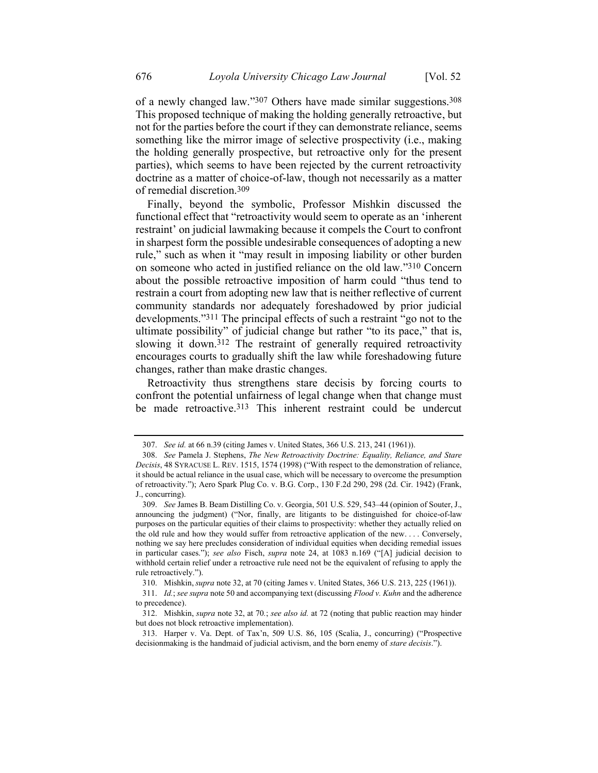of a newly changed law."307 Others have made similar suggestions.308 This proposed technique of making the holding generally retroactive, but not for the parties before the court if they can demonstrate reliance, seems something like the mirror image of selective prospectivity (i.e., making the holding generally prospective, but retroactive only for the present parties), which seems to have been rejected by the current retroactivity doctrine as a matter of choice-of-law, though not necessarily as a matter of remedial discretion.309

Finally, beyond the symbolic, Professor Mishkin discussed the functional effect that "retroactivity would seem to operate as an 'inherent restraint' on judicial lawmaking because it compels the Court to confront in sharpest form the possible undesirable consequences of adopting a new rule," such as when it "may result in imposing liability or other burden on someone who acted in justified reliance on the old law."310 Concern about the possible retroactive imposition of harm could "thus tend to restrain a court from adopting new law that is neither reflective of current community standards nor adequately foreshadowed by prior judicial developments."311 The principal effects of such a restraint "go not to the ultimate possibility" of judicial change but rather "to its pace," that is, slowing it down.312 The restraint of generally required retroactivity encourages courts to gradually shift the law while foreshadowing future changes, rather than make drastic changes.

Retroactivity thus strengthens stare decisis by forcing courts to confront the potential unfairness of legal change when that change must be made retroactive.313 This inherent restraint could be undercut

<sup>307.</sup> *See id.* at 66 n.39 (citing James v. United States, 366 U.S. 213, 241 (1961)).

<sup>308.</sup> *See* Pamela J. Stephens, *The New Retroactivity Doctrine: Equality, Reliance, and Stare Decisis*, 48 SYRACUSE L. REV. 1515, 1574 (1998) ("With respect to the demonstration of reliance, it should be actual reliance in the usual case, which will be necessary to overcome the presumption of retroactivity."); Aero Spark Plug Co. v. B.G. Corp., 130 F.2d 290, 298 (2d. Cir. 1942) (Frank, J., concurring).

<sup>309.</sup> *See* James B. Beam Distilling Co. v. Georgia, 501 U.S. 529, 543–44 (opinion of Souter, J., announcing the judgment) ("Nor, finally, are litigants to be distinguished for choice-of-law purposes on the particular equities of their claims to prospectivity: whether they actually relied on the old rule and how they would suffer from retroactive application of the new. . . . Conversely, nothing we say here precludes consideration of individual equities when deciding remedial issues in particular cases."); *see also* Fisch, *supra* note [24,](#page-8-0) at 1083 n.169 ("[A] judicial decision to withhold certain relief under a retroactive rule need not be the equivalent of refusing to apply the rule retroactively.").

<sup>310.</sup> Mishkin, *supra* not[e 32,](#page-9-0) at 70 (citing James v. United States, 366 U.S. 213, 225 (1961)).

<sup>311.</sup> *Id.*; *see supra* not[e 50](#page-12-0) and accompanying text (discussing *Flood v. Kuhn* and the adherence to precedence).

<sup>312.</sup> Mishkin, *supra* note [32,](#page-9-0) at 70*.*; *see also id.* at 72 (noting that public reaction may hinder but does not block retroactive implementation).

<sup>313.</sup> Harper v. Va. Dept. of Tax'n, 509 U.S. 86, 105 (Scalia, J., concurring) ("Prospective decisionmaking is the handmaid of judicial activism, and the born enemy of *stare decisis*.").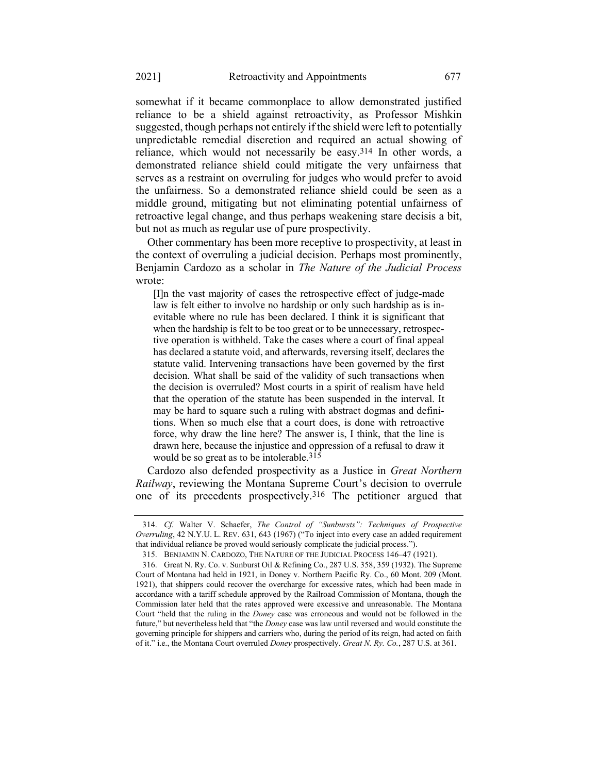somewhat if it became commonplace to allow demonstrated justified reliance to be a shield against retroactivity, as Professor Mishkin suggested, though perhaps not entirely if the shield were left to potentially unpredictable remedial discretion and required an actual showing of reliance, which would not necessarily be easy.314 In other words, a demonstrated reliance shield could mitigate the very unfairness that serves as a restraint on overruling for judges who would prefer to avoid the unfairness. So a demonstrated reliance shield could be seen as a middle ground, mitigating but not eliminating potential unfairness of retroactive legal change, and thus perhaps weakening stare decisis a bit, but not as much as regular use of pure prospectivity.

Other commentary has been more receptive to prospectivity, at least in the context of overruling a judicial decision. Perhaps most prominently, Benjamin Cardozo as a scholar in *The Nature of the Judicial Process* wrote:

[I]n the vast majority of cases the retrospective effect of judge-made law is felt either to involve no hardship or only such hardship as is inevitable where no rule has been declared. I think it is significant that when the hardship is felt to be too great or to be unnecessary, retrospective operation is withheld. Take the cases where a court of final appeal has declared a statute void, and afterwards, reversing itself, declares the statute valid. Intervening transactions have been governed by the first decision. What shall be said of the validity of such transactions when the decision is overruled? Most courts in a spirit of realism have held that the operation of the statute has been suspended in the interval. It may be hard to square such a ruling with abstract dogmas and definitions. When so much else that a court does, is done with retroactive force, why draw the line here? The answer is, I think, that the line is drawn here, because the injustice and oppression of a refusal to draw it would be so great as to be intolerable.<sup>315</sup>

<span id="page-51-0"></span>Cardozo also defended prospectivity as a Justice in *Great Northern Railway*, reviewing the Montana Supreme Court's decision to overrule one of its precedents prospectively.316 The petitioner argued that

<sup>314.</sup> *Cf.* Walter V. Schaefer, *The Control of "Sunbursts": Techniques of Prospective Overruling*, 42 N.Y.U. L. REV. 631, 643 (1967) ("To inject into every case an added requirement that individual reliance be proved would seriously complicate the judicial process.").

<sup>315.</sup> BENJAMIN N. CARDOZO, THE NATURE OF THE JUDICIAL PROCESS 146–47 (1921).

<sup>316.</sup> Great N. Ry. Co. v. Sunburst Oil & Refining Co., 287 U.S. 358, 359 (1932). The Supreme Court of Montana had held in 1921, in Doney v. Northern Pacific Ry. Co., 60 Mont. 209 (Mont. 1921), that shippers could recover the overcharge for excessive rates, which had been made in accordance with a tariff schedule approved by the Railroad Commission of Montana, though the Commission later held that the rates approved were excessive and unreasonable. The Montana Court "held that the ruling in the *Doney* case was erroneous and would not be followed in the future," but nevertheless held that "the *Doney* case was law until reversed and would constitute the governing principle for shippers and carriers who, during the period of its reign, had acted on faith of it." i.e., the Montana Court overruled *Doney* prospectively. *Great N. Ry. Co.*, 287 U.S. at 361.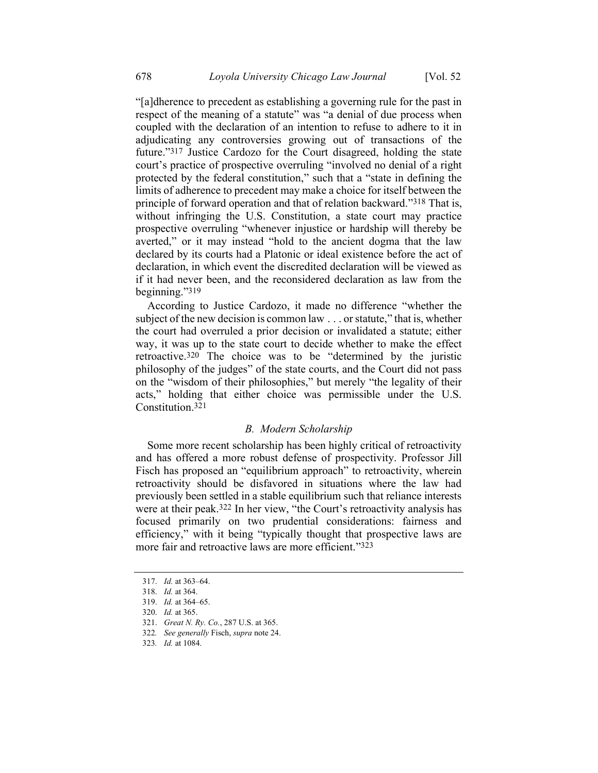"[a]dherence to precedent as establishing a governing rule for the past in respect of the meaning of a statute" was "a denial of due process when coupled with the declaration of an intention to refuse to adhere to it in adjudicating any controversies growing out of transactions of the future."317 Justice Cardozo for the Court disagreed, holding the state court's practice of prospective overruling "involved no denial of a right protected by the federal constitution," such that a "state in defining the limits of adherence to precedent may make a choice for itself between the principle of forward operation and that of relation backward."318 That is, without infringing the U.S. Constitution, a state court may practice prospective overruling "whenever injustice or hardship will thereby be averted," or it may instead "hold to the ancient dogma that the law declared by its courts had a Platonic or ideal existence before the act of declaration, in which event the discredited declaration will be viewed as if it had never been, and the reconsidered declaration as law from the beginning."319

According to Justice Cardozo, it made no difference "whether the subject of the new decision is common law . . . or statute," that is, whether the court had overruled a prior decision or invalidated a statute; either way, it was up to the state court to decide whether to make the effect retroactive.320 The choice was to be "determined by the juristic philosophy of the judges" of the state courts, and the Court did not pass on the "wisdom of their philosophies," but merely "the legality of their acts," holding that either choice was permissible under the U.S. Constitution.321

# *B. Modern Scholarship*

Some more recent scholarship has been highly critical of retroactivity and has offered a more robust defense of prospectivity. Professor Jill Fisch has proposed an "equilibrium approach" to retroactivity, wherein retroactivity should be disfavored in situations where the law had previously been settled in a stable equilibrium such that reliance interests were at their peak.322 In her view, "the Court's retroactivity analysis has focused primarily on two prudential considerations: fairness and efficiency," with it being "typically thought that prospective laws are more fair and retroactive laws are more efficient."323

323*. Id.* at 1084.

<sup>317.</sup> *Id.* at 363–64.

<sup>318.</sup> *Id.* at 364.

<sup>319.</sup> *Id.* at 364–65.

<sup>320.</sup> *Id.* at 365.

<sup>321.</sup> *Great N. Ry. Co.*, 287 U.S. at 365.

<sup>322</sup>*. See generally* Fisch, *supra* not[e 24.](#page-8-0)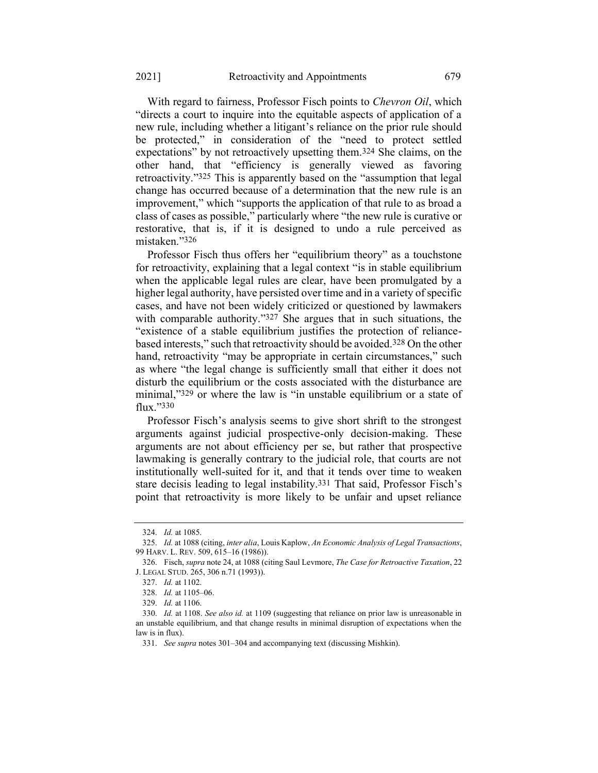<span id="page-53-0"></span>With regard to fairness, Professor Fisch points to *Chevron Oil*, which "directs a court to inquire into the equitable aspects of application of a new rule, including whether a litigant's reliance on the prior rule should be protected," in consideration of the "need to protect settled expectations" by not retroactively upsetting them.324 She claims, on the other hand, that "efficiency is generally viewed as favoring retroactivity."325 This is apparently based on the "assumption that legal change has occurred because of a determination that the new rule is an improvement," which "supports the application of that rule to as broad a class of cases as possible," particularly where "the new rule is curative or restorative, that is, if it is designed to undo a rule perceived as mistaken."326

Professor Fisch thus offers her "equilibrium theory" as a touchstone for retroactivity, explaining that a legal context "is in stable equilibrium when the applicable legal rules are clear, have been promulgated by a higher legal authority, have persisted over time and in a variety of specific cases, and have not been widely criticized or questioned by lawmakers with comparable authority."<sup>327</sup> She argues that in such situations, the "existence of a stable equilibrium justifies the protection of reliancebased interests," such that retroactivity should be avoided.328 On the other hand, retroactivity "may be appropriate in certain circumstances," such as where "the legal change is sufficiently small that either it does not disturb the equilibrium or the costs associated with the disturbance are minimal,"329 or where the law is "in unstable equilibrium or a state of flux."330

Professor Fisch's analysis seems to give short shrift to the strongest arguments against judicial prospective-only decision-making. These arguments are not about efficiency per se, but rather that prospective lawmaking is generally contrary to the judicial role, that courts are not institutionally well-suited for it, and that it tends over time to weaken stare decisis leading to legal instability.331 That said, Professor Fisch's point that retroactivity is more likely to be unfair and upset reliance

<sup>324.</sup> *Id.* at 1085.

<sup>325.</sup> *Id.* at 1088 (citing, *inter alia*, Louis Kaplow, *An Economic Analysis of Legal Transactions*, 99 HARV. L. REV. 509, 615–16 (1986)).

<sup>326.</sup> Fisch, *supra* not[e 24,](#page-8-0) at 1088 (citing Saul Levmore, *The Case for Retroactive Taxation*, 22 J. LEGAL STUD. 265, 306 n.71 (1993)).

<sup>327.</sup> *Id.* at 1102.

<sup>328.</sup> *Id.* at 1105–06.

<sup>329.</sup> *Id.* at 1106.

<sup>330.</sup> *Id.* at 1108. *See also id.* at 1109 (suggesting that reliance on prior law is unreasonable in an unstable equilibrium, and that change results in minimal disruption of expectations when the law is in flux).

<sup>331.</sup> *See supra* note[s 301](#page-49-1)–[304](#page-49-2) and accompanying text (discussing Mishkin).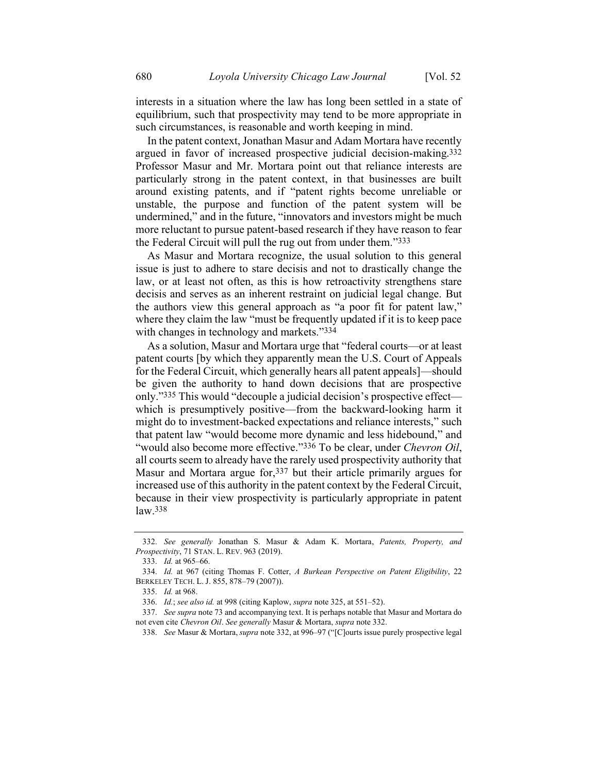interests in a situation where the law has long been settled in a state of equilibrium, such that prospectivity may tend to be more appropriate in such circumstances, is reasonable and worth keeping in mind.

<span id="page-54-0"></span>In the patent context, Jonathan Masur and Adam Mortara have recently argued in favor of increased prospective judicial decision-making.332 Professor Masur and Mr. Mortara point out that reliance interests are particularly strong in the patent context, in that businesses are built around existing patents, and if "patent rights become unreliable or unstable, the purpose and function of the patent system will be undermined," and in the future, "innovators and investors might be much more reluctant to pursue patent-based research if they have reason to fear the Federal Circuit will pull the rug out from under them."333

As Masur and Mortara recognize, the usual solution to this general issue is just to adhere to stare decisis and not to drastically change the law, or at least not often, as this is how retroactivity strengthens stare decisis and serves as an inherent restraint on judicial legal change. But the authors view this general approach as "a poor fit for patent law," where they claim the law "must be frequently updated if it is to keep pace with changes in technology and markets."334

As a solution, Masur and Mortara urge that "federal courts—or at least patent courts [by which they apparently mean the U.S. Court of Appeals for the Federal Circuit, which generally hears all patent appeals]—should be given the authority to hand down decisions that are prospective only."335 This would "decouple a judicial decision's prospective effect which is presumptively positive—from the backward-looking harm it might do to investment-backed expectations and reliance interests," such that patent law "would become more dynamic and less hidebound," and "would also become more effective."336 To be clear, under *Chevron Oil*, all courts seem to already have the rarely used prospectivity authority that Masur and Mortara argue for,337 but their article primarily argues for increased use of this authority in the patent context by the Federal Circuit, because in their view prospectivity is particularly appropriate in patent law.338

<sup>332.</sup> *See generally* Jonathan S. Masur & Adam K. Mortara, *Patents, Property, and Prospectivity*, 71 STAN. L. REV. 963 (2019).

<sup>333.</sup> *Id.* at 965–66.

<sup>334.</sup> *Id.* at 967 (citing Thomas F. Cotter, *A Burkean Perspective on Patent Eligibility*, 22 BERKELEY TECH. L. J. 855, 878–79 (2007)).

<sup>335.</sup> *Id.* at 968.

<sup>336.</sup> *Id.*; *see also id.* at 998 (citing Kaplow, *supra* not[e 325,](#page-53-0) at 551–52).

<sup>337.</sup> *See supra* not[e 73](#page-16-0) and accompanying text. It is perhaps notable that Masur and Mortara do not even cite *Chevron Oil*. *See generally* Masur & Mortara, *supra* not[e 332.](#page-54-0)

<sup>338.</sup> *See* Masur & Mortara, *supra* not[e 332,](#page-54-0) at 996–97 ("[C]ourts issue purely prospective legal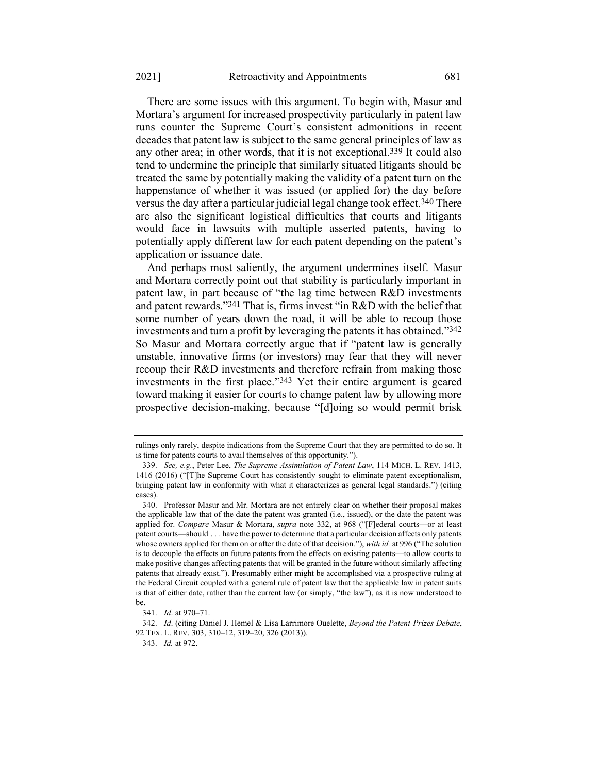There are some issues with this argument. To begin with, Masur and Mortara's argument for increased prospectivity particularly in patent law runs counter the Supreme Court's consistent admonitions in recent decades that patent law is subject to the same general principles of law as any other area; in other words, that it is not exceptional.339 It could also tend to undermine the principle that similarly situated litigants should be treated the same by potentially making the validity of a patent turn on the happenstance of whether it was issued (or applied for) the day before versus the day after a particular judicial legal change took effect.340 There are also the significant logistical difficulties that courts and litigants would face in lawsuits with multiple asserted patents, having to potentially apply different law for each patent depending on the patent's application or issuance date.

<span id="page-55-0"></span>And perhaps most saliently, the argument undermines itself. Masur and Mortara correctly point out that stability is particularly important in patent law, in part because of "the lag time between R&D investments and patent rewards."341 That is, firms invest "in R&D with the belief that some number of years down the road, it will be able to recoup those investments and turn a profit by leveraging the patents it has obtained."342 So Masur and Mortara correctly argue that if "patent law is generally unstable, innovative firms (or investors) may fear that they will never recoup their R&D investments and therefore refrain from making those investments in the first place."343 Yet their entire argument is geared toward making it easier for courts to change patent law by allowing more prospective decision-making, because "[d]oing so would permit brisk

rulings only rarely, despite indications from the Supreme Court that they are permitted to do so. It is time for patents courts to avail themselves of this opportunity.").

<sup>339.</sup> *See, e.g.*, Peter Lee, *The Supreme Assimilation of Patent Law*, 114 MICH. L. REV. 1413, 1416 (2016) ("[T]he Supreme Court has consistently sought to eliminate patent exceptionalism, bringing patent law in conformity with what it characterizes as general legal standards.") (citing cases).

<sup>340.</sup> Professor Masur and Mr. Mortara are not entirely clear on whether their proposal makes the applicable law that of the date the patent was granted (i.e., issued), or the date the patent was applied for. *Compare* Masur & Mortara, *supra* note [332,](#page-54-0) at 968 ("[F]ederal courts—or at least patent courts—should . . . have the power to determine that a particular decision affects only patents whose owners applied for them on or after the date of that decision."), *with id.* at 996 ("The solution is to decouple the effects on future patents from the effects on existing patents—to allow courts to make positive changes affecting patents that will be granted in the future without similarly affecting patents that already exist."). Presumably either might be accomplished via a prospective ruling at the Federal Circuit coupled with a general rule of patent law that the applicable law in patent suits is that of either date, rather than the current law (or simply, "the law"), as it is now understood to be.

<sup>341.</sup> *Id*. at 970–71.

<sup>342.</sup> *Id*. (citing Daniel J. Hemel & Lisa Larrimore Ouelette, *Beyond the Patent-Prizes Debate*, 92 TEX. L. REV. 303, 310–12, 319–20, 326 (2013)).

<sup>343.</sup> *Id.* at 972.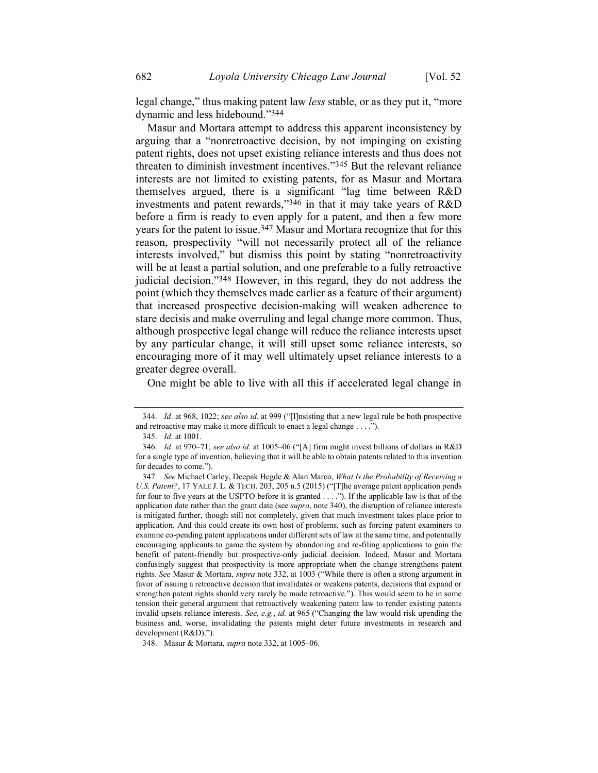legal change," thus making patent law *less* stable, or as they put it, "more dynamic and less hidebound."344

Masur and Mortara attempt to address this apparent inconsistency by arguing that a "nonretroactive decision, by not impinging on existing patent rights, does not upset existing reliance interests and thus does not threaten to diminish investment incentives."345 But the relevant reliance interests are not limited to existing patents, for as Masur and Mortara themselves argued, there is a significant "lag time between R&D investments and patent rewards,"346 in that it may take years of R&D before a firm is ready to even apply for a patent, and then a few more years for the patent to issue.347 Masur and Mortara recognize that for this reason, prospectivity "will not necessarily protect all of the reliance interests involved," but dismiss this point by stating "nonretroactivity will be at least a partial solution, and one preferable to a fully retroactive judicial decision."348 However, in this regard, they do not address the point (which they themselves made earlier as a feature of their argument) that increased prospective decision-making will weaken adherence to stare decisis and make overruling and legal change more common. Thus, although prospective legal change will reduce the reliance interests upset by any particular change, it will still upset some reliance interests, so encouraging more of it may well ultimately upset reliance interests to a greater degree overall.

One might be able to live with all this if accelerated legal change in

<sup>344.</sup> *Id*. at 968, 1022; *see also id.* at 999 ("[I]nsisting that a new legal rule be both prospective and retroactive may make it more difficult to enact a legal change . . . .").

<sup>345.</sup> *Id*. at 1001.

<sup>346.</sup> *Id*. at 970–71; *see also id.* at 1005–06 ("[A] firm might invest billions of dollars in R&D for a single type of invention, believing that it will be able to obtain patents related to this invention for decades to come.").

<sup>347.</sup> *See* Michael Carley, Deepak Hegde & Alan Marco, *What Is the Probability of Receiving a U.S. Patent?*, 17 YALE J. L. & TECH. 203, 205 n.5 (2015) ("[T]he average patent application pends for four to five years at the USPTO before it is granted . . . ."). If the applicable law is that of the application date rather than the grant date (see *supra*, note [340\)](#page-55-0), the disruption of reliance interests is mitigated further, though still not completely, given that much investment takes place prior to application. And this could create its own host of problems, such as forcing patent examiners to examine co-pending patent applications under different sets of law at the same time, and potentially encouraging applicants to game the system by abandoning and re-filing applications to gain the benefit of patent-friendly but prospective-only judicial decision. Indeed, Masur and Mortara confusingly suggest that prospectivity is more appropriate when the change strengthens patent rights. *See* Masur & Mortara, *supra* not[e 332,](#page-54-0) at 1003 ("While there is often a strong argument in favor of issuing a retroactive decision that invalidates or weakens patents, decisions that expand or strengthen patent rights should very rarely be made retroactive."). This would seem to be in some tension their general argument that retroactively weakening patent law to render existing patents invalid upsets reliance interests. *See, e.g.*, *id.* at 965 ("Changing the law would risk upending the business and, worse, invalidating the patents might deter future investments in research and development (R&D).").

<sup>348.</sup> Masur & Mortara, *supra* not[e 332,](#page-54-0) at 1005–06.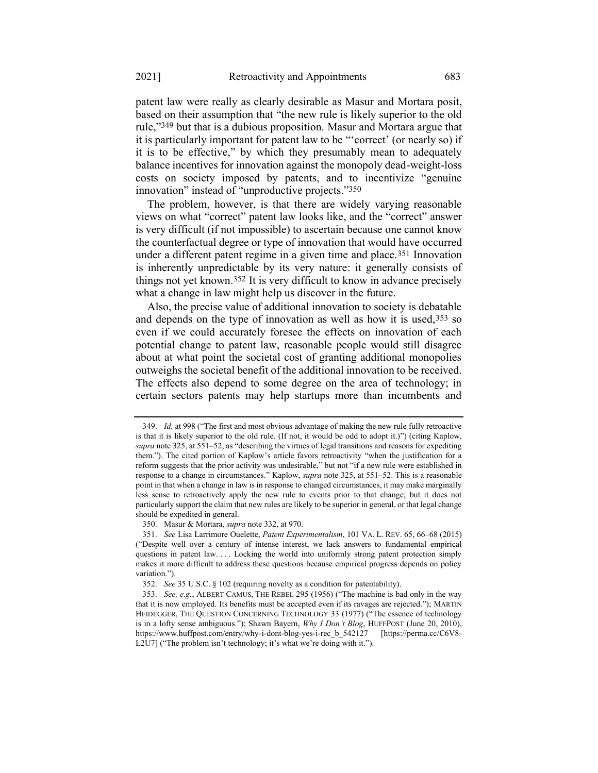patent law were really as clearly desirable as Masur and Mortara posit, based on their assumption that "the new rule is likely superior to the old rule,"349 but that is a dubious proposition. Masur and Mortara argue that it is particularly important for patent law to be "'correct' (or nearly so) if it is to be effective," by which they presumably mean to adequately balance incentives for innovation against the monopoly dead-weight-loss costs on society imposed by patents, and to incentivize "genuine innovation" instead of "unproductive projects."350

The problem, however, is that there are widely varying reasonable views on what "correct" patent law looks like, and the "correct" answer is very difficult (if not impossible) to ascertain because one cannot know the counterfactual degree or type of innovation that would have occurred under a different patent regime in a given time and place.<sup>351</sup> Innovation is inherently unpredictable by its very nature: it generally consists of things not yet known. 352 It is very difficult to know in advance precisely what a change in law might help us discover in the future.

Also, the precise value of additional innovation to society is debatable and depends on the type of innovation as well as how it is used, 353 so even if we could accurately foresee the effects on innovation of each potential change to patent law, reasonable people would still disagree about at what point the societal cost of granting additional monopolies outweighs the societal benefit of the additional innovation to be received. The effects also depend to some degree on the area of technology; in certain sectors patents may help startups more than incumbents and

350. Masur & Mortara, *supra* not[e 332,](#page-54-0) at 970.

<sup>349.</sup> *Id.* at 998 ("The first and most obvious advantage of making the new rule fully retroactive is that it is likely superior to the old rule. (If not, it would be odd to adopt it.)") (citing Kaplow, *supra* note [325,](#page-53-0) at 551–52, as "describing the virtues of legal transitions and reasons for expediting them."). The cited portion of Kaplow's article favors retroactivity "when the justification for a reform suggests that the prior activity was undesirable," but not "if a new rule were established in response to a change in circumstances." Kaplow, *supra* note [325,](#page-53-0) at 551–52. This is a reasonable point in that when a change in law is in response to changed circumstances, it may make marginally less sense to retroactively apply the new rule to events prior to that change; but it does not particularly support the claim that new rules are likely to be superior in general, or that legal change should be expedited in general.

<sup>351.</sup> *See* Lisa Larrimore Ouelette, *Patent Experimentalism*, 101 VA. L. REV. 65, 66–68 (2015) ("Despite well over a century of intense interest, we lack answers to fundamental empirical questions in patent law. . . . Locking the world into uniformly strong patent protection simply makes it more difficult to address these questions because empirical progress depends on policy variation.").

<sup>352.</sup> *See* 35 U.S.C. § 102 (requiring novelty as a condition for patentability).

<sup>353.</sup> *See, e.g.*, ALBERT CAMUS, THE REBEL 295 (1956) ("The machine is bad only in the way that it is now employed. Its benefits must be accepted even if its ravages are rejected."); MARTIN HEIDEGGER, THE QUESTION CONCERNING TECHNOLOGY 33 (1977) ("The essence of technology is in a lofty sense ambiguous."); Shawn Bayern, *Why I Don't Blog*, HUFFPOST (June 20, 2010), https://www.huffpost.com/entry/why-i-dont-blog-yes-i-rec\_b\_542127 [https://perma.cc/C6V8- L2U7] ("The problem isn't technology; it's what we're doing with it.").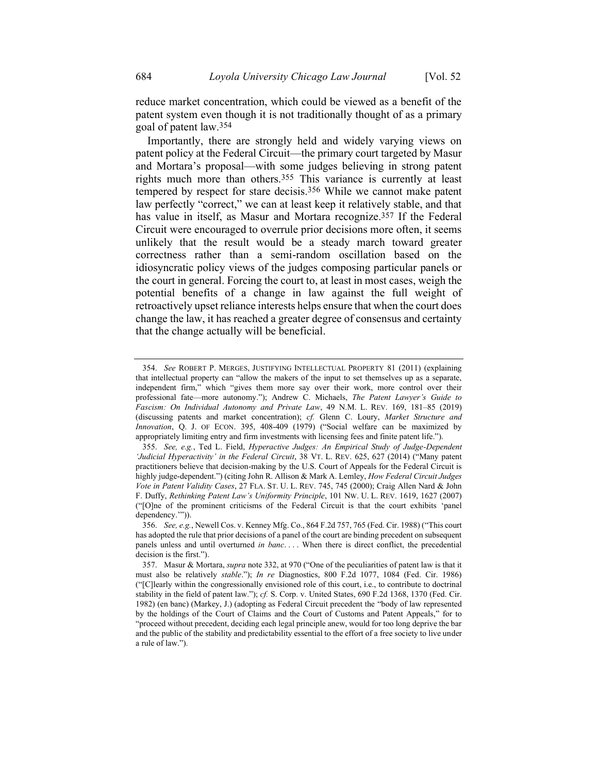reduce market concentration, which could be viewed as a benefit of the patent system even though it is not traditionally thought of as a primary goal of patent law.354

Importantly, there are strongly held and widely varying views on patent policy at the Federal Circuit—the primary court targeted by Masur and Mortara's proposal—with some judges believing in strong patent rights much more than others.355 This variance is currently at least tempered by respect for stare decisis. 356 While we cannot make patent law perfectly "correct," we can at least keep it relatively stable, and that has value in itself, as Masur and Mortara recognize.357 If the Federal Circuit were encouraged to overrule prior decisions more often, it seems unlikely that the result would be a steady march toward greater correctness rather than a semi-random oscillation based on the idiosyncratic policy views of the judges composing particular panels or the court in general. Forcing the court to, at least in most cases, weigh the potential benefits of a change in law against the full weight of retroactively upset reliance interests helps ensure that when the court does change the law, it has reached a greater degree of consensus and certainty that the change actually will be beneficial.

<sup>354.</sup> *See* ROBERT P. MERGES, JUSTIFYING INTELLECTUAL PROPERTY 81 (2011) (explaining that intellectual property can "allow the makers of the input to set themselves up as a separate, independent firm," which "gives them more say over their work, more control over their professional fate—more autonomy."); Andrew C. Michaels, *The Patent Lawyer's Guide to Fascism: On Individual Autonomy and Private Law*, 49 N.M. L. REV. 169, 181–85 (2019) (discussing patents and market concentration); *cf.* Glenn C. Loury, *Market Structure and Innovation*, Q. J. OF ECON. 395, 408-409 (1979) ("Social welfare can be maximized by appropriately limiting entry and firm investments with licensing fees and finite patent life.").

<sup>355.</sup> *See, e.g.*, Ted L. Field, *Hyperactive Judges: An Empirical Study of Judge-Dependent 'Judicial Hyperactivity' in the Federal Circuit*, 38 VT. L. REV. 625, 627 (2014) ("Many patent practitioners believe that decision-making by the U.S. Court of Appeals for the Federal Circuit is highly judge-dependent.") (citing John R. Allison & Mark A. Lemley, *How Federal Circuit Judges Vote in Patent Validity Cases*, 27 FLA. ST. U. L. REV. 745, 745 (2000); Craig Allen Nard & John F. Duffy, *Rethinking Patent Law's Uniformity Principle*, 101 NW. U. L. REV. 1619, 1627 (2007) ("[O]ne of the prominent criticisms of the Federal Circuit is that the court exhibits 'panel dependency.'")).

<sup>356.</sup> *See, e.g.*, Newell Cos. v. Kenney Mfg. Co., 864 F.2d 757, 765 (Fed. Cir. 1988) ("This court has adopted the rule that prior decisions of a panel of the court are binding precedent on subsequent panels unless and until overturned *in banc*. . . . When there is direct conflict, the precedential decision is the first.").

<sup>357.</sup> Masur & Mortara, *supra* not[e 332,](#page-54-0) at 970 ("One of the peculiarities of patent law is that it must also be relatively *stable*."); *In re* Diagnostics, 800 F.2d 1077, 1084 (Fed. Cir. 1986) ("[C]learly within the congressionally envisioned role of this court, i.e., to contribute to doctrinal stability in the field of patent law."); *cf.* S. Corp. v. United States, 690 F.2d 1368, 1370 (Fed. Cir. 1982) (en banc) (Markey, J.) (adopting as Federal Circuit precedent the "body of law represented by the holdings of the Court of Claims and the Court of Customs and Patent Appeals," for to "proceed without precedent, deciding each legal principle anew, would for too long deprive the bar and the public of the stability and predictability essential to the effort of a free society to live under a rule of law.").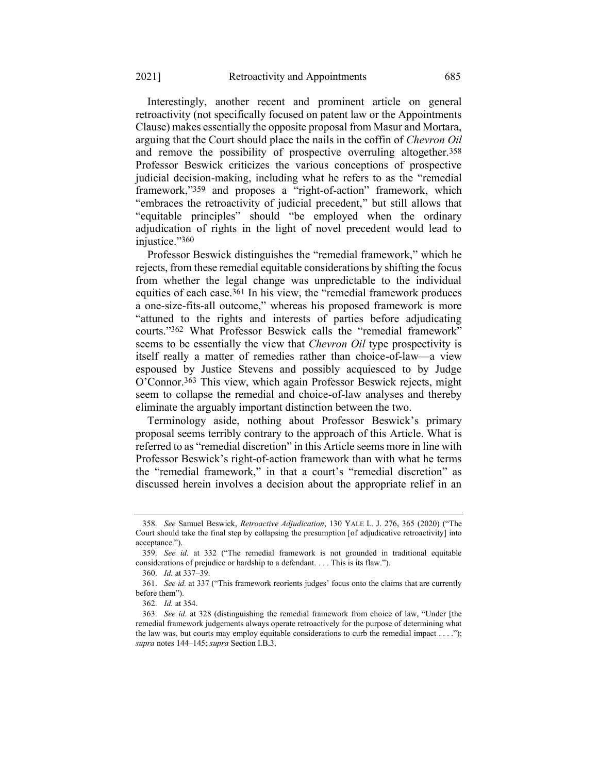Interestingly, another recent and prominent article on general retroactivity (not specifically focused on patent law or the Appointments Clause) makes essentially the opposite proposal from Masur and Mortara, arguing that the Court should place the nails in the coffin of *Chevron Oil* and remove the possibility of prospective overruling altogether.358 Professor Beswick criticizes the various conceptions of prospective judicial decision-making, including what he refers to as the "remedial framework,"359 and proposes a "right-of-action" framework, which "embraces the retroactivity of judicial precedent," but still allows that "equitable principles" should "be employed when the ordinary adjudication of rights in the light of novel precedent would lead to injustice."360

Professor Beswick distinguishes the "remedial framework," which he rejects, from these remedial equitable considerations by shifting the focus from whether the legal change was unpredictable to the individual equities of each case.361 In his view, the "remedial framework produces a one-size-fits-all outcome," whereas his proposed framework is more "attuned to the rights and interests of parties before adjudicating courts."362 What Professor Beswick calls the "remedial framework" seems to be essentially the view that *Chevron Oil* type prospectivity is itself really a matter of remedies rather than choice-of-law—a view espoused by Justice Stevens and possibly acquiesced to by Judge O'Connor.363 This view, which again Professor Beswick rejects, might seem to collapse the remedial and choice-of-law analyses and thereby eliminate the arguably important distinction between the two.

Terminology aside, nothing about Professor Beswick's primary proposal seems terribly contrary to the approach of this Article. What is referred to as "remedial discretion" in this Article seems more in line with Professor Beswick's right-of-action framework than with what he terms the "remedial framework," in that a court's "remedial discretion" as discussed herein involves a decision about the appropriate relief in an

<sup>358.</sup> *See* Samuel Beswick, *Retroactive Adjudication*, 130 YALE L. J. 276, 365 (2020) ("The Court should take the final step by collapsing the presumption [of adjudicative retroactivity] into acceptance.").

<sup>359.</sup> *See id.* at 332 ("The remedial framework is not grounded in traditional equitable considerations of prejudice or hardship to a defendant. . . . This is its flaw.").

<sup>360.</sup> *Id.* at 337–39.

<sup>361.</sup> *See id.* at 337 ("This framework reorients judges' focus onto the claims that are currently before them").

<sup>362.</sup> *Id.* at 354.

<sup>363.</sup> *See id.* at 328 (distinguishing the remedial framework from choice of law, "Under [the remedial framework judgements always operate retroactively for the purpose of determining what the law was, but courts may employ equitable considerations to curb the remedial impact . . . ."); *supra* notes [144](#page-25-0)–[145;](#page-25-1) *supra* Section I.B.3.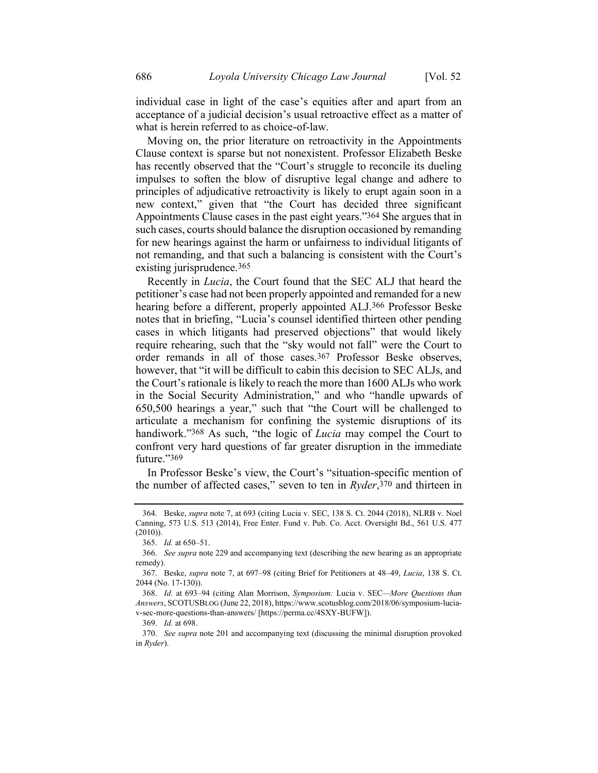Moving on, the prior literature on retroactivity in the Appointments Clause context is sparse but not nonexistent. Professor Elizabeth Beske has recently observed that the "Court's struggle to reconcile its dueling impulses to soften the blow of disruptive legal change and adhere to principles of adjudicative retroactivity is likely to erupt again soon in a new context," given that "the Court has decided three significant Appointments Clause cases in the past eight years."364 She argues that in such cases, courts should balance the disruption occasioned by remanding for new hearings against the harm or unfairness to individual litigants of not remanding, and that such a balancing is consistent with the Court's existing jurisprudence.365

<span id="page-60-1"></span><span id="page-60-0"></span>Recently in *Lucia*, the Court found that the SEC ALJ that heard the petitioner's case had not been properly appointed and remanded for a new hearing before a different, properly appointed ALJ.366 Professor Beske notes that in briefing, "Lucia's counsel identified thirteen other pending cases in which litigants had preserved objections" that would likely require rehearing, such that the "sky would not fall" were the Court to order remands in all of those cases.367 Professor Beske observes, however, that "it will be difficult to cabin this decision to SEC ALJs, and the Court's rationale is likely to reach the more than 1600 ALJs who work in the Social Security Administration," and who "handle upwards of 650,500 hearings a year," such that "the Court will be challenged to articulate a mechanism for confining the systemic disruptions of its handiwork."368 As such, "the logic of *Lucia* may compel the Court to confront very hard questions of far greater disruption in the immediate future."369

In Professor Beske's view, the Court's "situation-specific mention of the number of affected cases," seven to ten in *Ryder*, 370 and thirteen in

<sup>364.</sup> Beske, *supra* note [7,](#page-3-0) at 693 (citing Lucia v. SEC, 138 S. Ct. 2044 (2018), NLRB v. Noel Canning, 573 U.S. 513 (2014), Free Enter. Fund v. Pub. Co. Acct. Oversight Bd., 561 U.S. 477 (2010)).

<sup>365.</sup> *Id.* at 650–51.

<sup>366.</sup> *See supra* not[e 229](#page-38-0) and accompanying text (describing the new hearing as an appropriate remedy).

<sup>367.</sup> Beske, *supra* note [7,](#page-3-0) at 697–98 (citing Brief for Petitioners at 48–49, *Lucia*, 138 S. Ct. 2044 (No. 17-130)).

<sup>368.</sup> *Id.* at 693–94 (citing Alan Morrison, *Symposium:* Lucia v. SEC*—More Questions than Answers*, SCOTUSBLOG (June 22, 2018), https://www.scotusblog.com/2018/06/symposium-luciav-sec-more-questions-than-answers/ [https://perma.cc/4SXY-BUFW]).

<sup>369.</sup> *Id.* at 698.

<sup>370.</sup> *See supra* note [201](#page-34-0) and accompanying text (discussing the minimal disruption provoked in *Ryder*).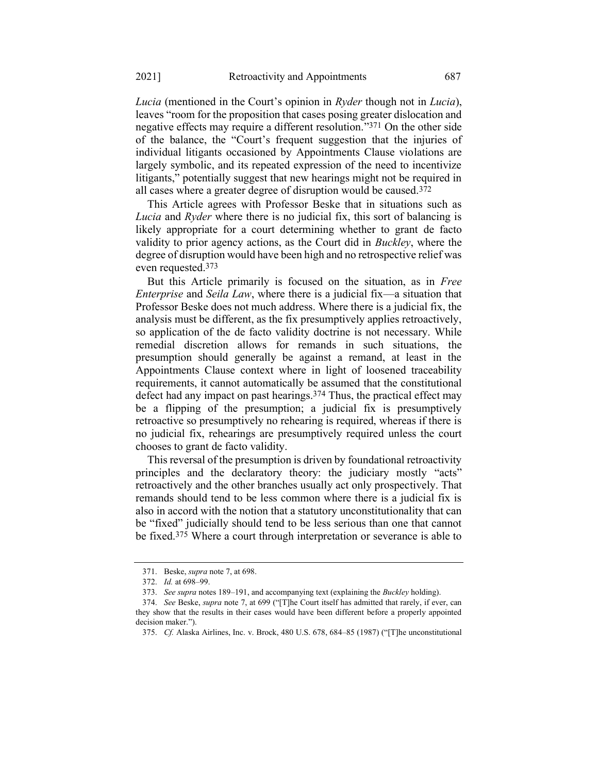*Lucia* (mentioned in the Court's opinion in *Ryder* though not in *Lucia*), leaves "room for the proposition that cases posing greater dislocation and negative effects may require a different resolution."371 On the other side of the balance, the "Court's frequent suggestion that the injuries of individual litigants occasioned by Appointments Clause violations are largely symbolic, and its repeated expression of the need to incentivize litigants," potentially suggest that new hearings might not be required in all cases where a greater degree of disruption would be caused.372

This Article agrees with Professor Beske that in situations such as *Lucia* and *Ryder* where there is no judicial fix, this sort of balancing is likely appropriate for a court determining whether to grant de facto validity to prior agency actions, as the Court did in *Buckley*, where the degree of disruption would have been high and no retrospective relief was even requested.373

But this Article primarily is focused on the situation, as in *Free Enterprise* and *Seila Law*, where there is a judicial fix—a situation that Professor Beske does not much address. Where there is a judicial fix, the analysis must be different, as the fix presumptively applies retroactively, so application of the de facto validity doctrine is not necessary. While remedial discretion allows for remands in such situations, the presumption should generally be against a remand, at least in the Appointments Clause context where in light of loosened traceability requirements, it cannot automatically be assumed that the constitutional defect had any impact on past hearings.374 Thus, the practical effect may be a flipping of the presumption; a judicial fix is presumptively retroactive so presumptively no rehearing is required, whereas if there is no judicial fix, rehearings are presumptively required unless the court chooses to grant de facto validity.

This reversal of the presumption is driven by foundational retroactivity principles and the declaratory theory: the judiciary mostly "acts" retroactively and the other branches usually act only prospectively. That remands should tend to be less common where there is a judicial fix is also in accord with the notion that a statutory unconstitutionality that can be "fixed" judicially should tend to be less serious than one that cannot be fixed.375 Where a court through interpretation or severance is able to

<sup>371.</sup> Beske, *supra* not[e 7,](#page-3-0) at 698.

<sup>372.</sup> *Id.* at 698–99.

<sup>373.</sup> *See supra* note[s 189](#page-32-0)–[191,](#page-32-1) and accompanying text (explaining the *Buckley* holding).

<sup>374.</sup> *See* Beske, *supra* not[e 7,](#page-3-0) at 699 ("[T]he Court itself has admitted that rarely, if ever, can they show that the results in their cases would have been different before a properly appointed decision maker.").

<sup>375.</sup> *Cf.* Alaska Airlines, Inc. v. Brock, 480 U.S. 678, 684–85 (1987) ("[T]he unconstitutional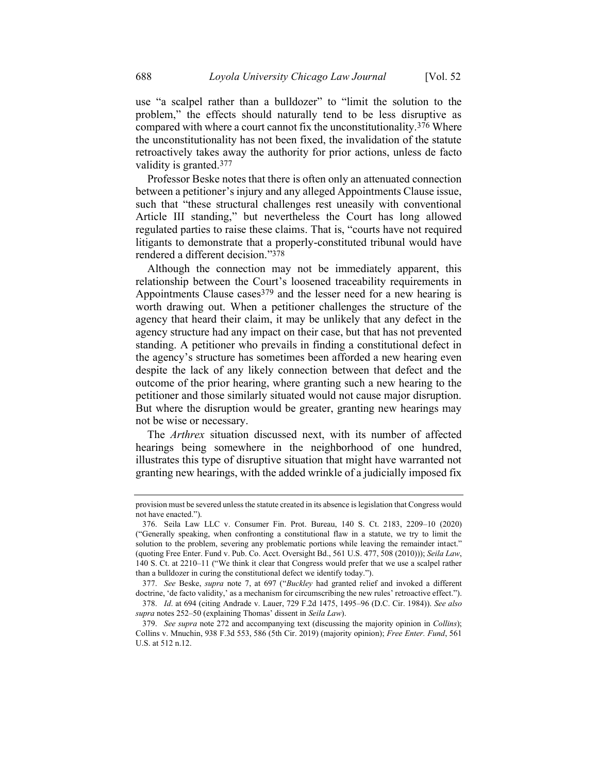use "a scalpel rather than a bulldozer" to "limit the solution to the problem," the effects should naturally tend to be less disruptive as compared with where a court cannot fix the unconstitutionality.376 Where the unconstitutionality has not been fixed, the invalidation of the statute retroactively takes away the authority for prior actions, unless de facto validity is granted.377

Professor Beske notes that there is often only an attenuated connection between a petitioner's injury and any alleged Appointments Clause issue, such that "these structural challenges rest uneasily with conventional Article III standing," but nevertheless the Court has long allowed regulated parties to raise these claims. That is, "courts have not required litigants to demonstrate that a properly-constituted tribunal would have rendered a different decision."378

Although the connection may not be immediately apparent, this relationship between the Court's loosened traceability requirements in Appointments Clause cases<sup>379</sup> and the lesser need for a new hearing is worth drawing out. When a petitioner challenges the structure of the agency that heard their claim, it may be unlikely that any defect in the agency structure had any impact on their case, but that has not prevented standing. A petitioner who prevails in finding a constitutional defect in the agency's structure has sometimes been afforded a new hearing even despite the lack of any likely connection between that defect and the outcome of the prior hearing, where granting such a new hearing to the petitioner and those similarly situated would not cause major disruption. But where the disruption would be greater, granting new hearings may not be wise or necessary.

The *Arthrex* situation discussed next, with its number of affected hearings being somewhere in the neighborhood of one hundred, illustrates this type of disruptive situation that might have warranted not granting new hearings, with the added wrinkle of a judicially imposed fix

provision must be severed unless the statute created in its absence is legislation that Congress would not have enacted.").

<sup>376.</sup> Seila Law LLC v. Consumer Fin. Prot. Bureau, 140 S. Ct. 2183, 2209–10 (2020) ("Generally speaking, when confronting a constitutional flaw in a statute, we try to limit the solution to the problem, severing any problematic portions while leaving the remainder intact." (quoting Free Enter. Fund v. Pub. Co. Acct. Oversight Bd., 561 U.S. 477, 508 (2010))); *Seila Law*, 140 S. Ct. at 2210–11 ("We think it clear that Congress would prefer that we use a scalpel rather than a bulldozer in curing the constitutional defect we identify today.").

<sup>377.</sup> *See* Beske, *supra* note [7,](#page-3-0) at 697 ("*Buckley* had granted relief and invoked a different doctrine, 'de facto validity,' as a mechanism for circumscribing the new rules' retroactive effect.").

<sup>378.</sup> *Id*. at 694 (citing Andrade v. Lauer, 729 F.2d 1475, 1495–96 (D.C. Cir. 1984)). *See also supra* notes [252](#page-41-0)–50 (explaining Thomas' dissent in *Seila Law*).

<sup>379.</sup> *See supra* not[e 272](#page-44-0) and accompanying text (discussing the majority opinion in *Collins*); Collins v. Mnuchin, 938 F.3d 553, 586 (5th Cir. 2019) (majority opinion); *Free Enter. Fund*, 561 U.S. at 512 n.12.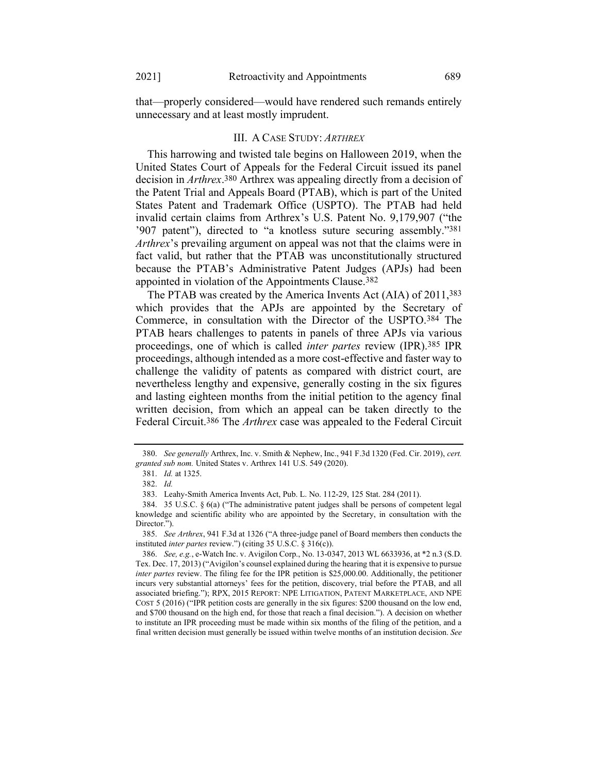that—properly considered—would have rendered such remands entirely unnecessary and at least mostly imprudent.

### III. A CASE STUDY: *ARTHREX*

This harrowing and twisted tale begins on Halloween 2019, when the United States Court of Appeals for the Federal Circuit issued its panel decision in *Arthrex*. 380 Arthrex was appealing directly from a decision of the Patent Trial and Appeals Board (PTAB), which is part of the United States Patent and Trademark Office (USPTO). The PTAB had held invalid certain claims from Arthrex's U.S. Patent No. 9,179,907 ("the '907 patent"), directed to "a knotless suture securing assembly."381 *Arthrex*'s prevailing argument on appeal was not that the claims were in fact valid, but rather that the PTAB was unconstitutionally structured because the PTAB's Administrative Patent Judges (APJs) had been appointed in violation of the Appointments Clause.382

The PTAB was created by the America Invents Act (AIA) of 2011,383 which provides that the APJs are appointed by the Secretary of Commerce, in consultation with the Director of the USPTO.384 The PTAB hears challenges to patents in panels of three APJs via various proceedings, one of which is called *inter partes* review (IPR).385 IPR proceedings, although intended as a more cost-effective and faster way to challenge the validity of patents as compared with district court, are nevertheless lengthy and expensive, generally costing in the six figures and lasting eighteen months from the initial petition to the agency final written decision, from which an appeal can be taken directly to the Federal Circuit.386 The *Arthrex* case was appealed to the Federal Circuit

<sup>380.</sup> *See generally* Arthrex, Inc. v. Smith & Nephew, Inc., 941 F.3d 1320 (Fed. Cir. 2019), *cert. granted sub nom.* United States v. Arthrex 141 U.S. 549 (2020).

<sup>381.</sup> *Id.* at 1325.

<sup>382.</sup> *Id.*

<sup>383.</sup> Leahy-Smith America Invents Act, Pub. L. No. 112-29, 125 Stat. 284 (2011).

<sup>384.</sup> 35 U.S.C. § 6(a) ("The administrative patent judges shall be persons of competent legal knowledge and scientific ability who are appointed by the Secretary, in consultation with the Director."

<sup>385.</sup> *See Arthrex*, 941 F.3d at 1326 ("A three-judge panel of Board members then conducts the instituted *inter partes* review.") (citing 35 U.S.C. § 316(c)).

<sup>386.</sup> *See, e.g.*, e-Watch Inc. v. Avigilon Corp., No. 13-0347, 2013 WL 6633936, at \*2 n.3 (S.D. Tex. Dec. 17, 2013) ("Avigilon's counsel explained during the hearing that it is expensive to pursue *inter partes* review. The filing fee for the IPR petition is \$25,000.00. Additionally, the petitioner incurs very substantial attorneys' fees for the petition, discovery, trial before the PTAB, and all associated briefing."); RPX, 2015 REPORT: NPE LITIGATION, PATENT MARKETPLACE, AND NPE COST 5 (2016) ("IPR petition costs are generally in the six figures: \$200 thousand on the low end, and \$700 thousand on the high end, for those that reach a final decision."). A decision on whether to institute an IPR proceeding must be made within six months of the filing of the petition, and a final written decision must generally be issued within twelve months of an institution decision. *See*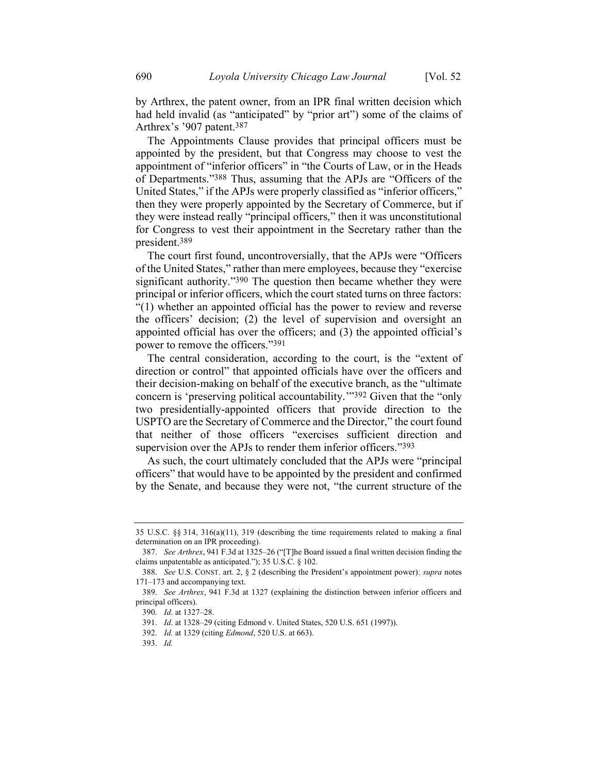by Arthrex, the patent owner, from an IPR final written decision which had held invalid (as "anticipated" by "prior art") some of the claims of Arthrex's '907 patent.387

The Appointments Clause provides that principal officers must be appointed by the president, but that Congress may choose to vest the appointment of "inferior officers" in "the Courts of Law, or in the Heads of Departments."388 Thus, assuming that the APJs are "Officers of the United States," if the APJs were properly classified as "inferior officers," then they were properly appointed by the Secretary of Commerce, but if they were instead really "principal officers," then it was unconstitutional for Congress to vest their appointment in the Secretary rather than the president. 389

The court first found, uncontroversially, that the APJs were "Officers of the United States," rather than mere employees, because they "exercise significant authority."<sup>390</sup> The question then became whether they were principal or inferior officers, which the court stated turns on three factors: "(1) whether an appointed official has the power to review and reverse the officers' decision; (2) the level of supervision and oversight an appointed official has over the officers; and (3) the appointed official's power to remove the officers."391

The central consideration, according to the court, is the "extent of direction or control" that appointed officials have over the officers and their decision-making on behalf of the executive branch, as the "ultimate concern is 'preserving political accountability.'"392 Given that the "only two presidentially-appointed officers that provide direction to the USPTO are the Secretary of Commerce and the Director," the court found that neither of those officers "exercises sufficient direction and supervision over the APJs to render them inferior officers."393

As such, the court ultimately concluded that the APJs were "principal officers" that would have to be appointed by the president and confirmed by the Senate, and because they were not, "the current structure of the

<sup>35</sup> U.S.C. §§ 314, 316(a)(11), 319 (describing the time requirements related to making a final determination on an IPR proceeding).

<sup>387.</sup> *See Arthrex*, 941 F.3d at 1325–26 ("[T]he Board issued a final written decision finding the claims unpatentable as anticipated."); 35 U.S.C. § 102.

<sup>388.</sup> *See* U.S. CONST. art. 2, § 2 (describing the President's appointment power); *supra* notes [171](#page-29-0)–[173](#page-29-1) and accompanying text.

<sup>389.</sup> *See Arthrex*, 941 F.3d at 1327 (explaining the distinction between inferior officers and principal officers).

<sup>390.</sup> *Id*. at 1327–28.

<sup>391.</sup> *Id*. at 1328–29 (citing Edmond v. United States, 520 U.S. 651 (1997)).

<sup>392.</sup> *Id.* at 1329 (citing *Edmond*, 520 U.S. at 663).

<sup>393.</sup> *Id.*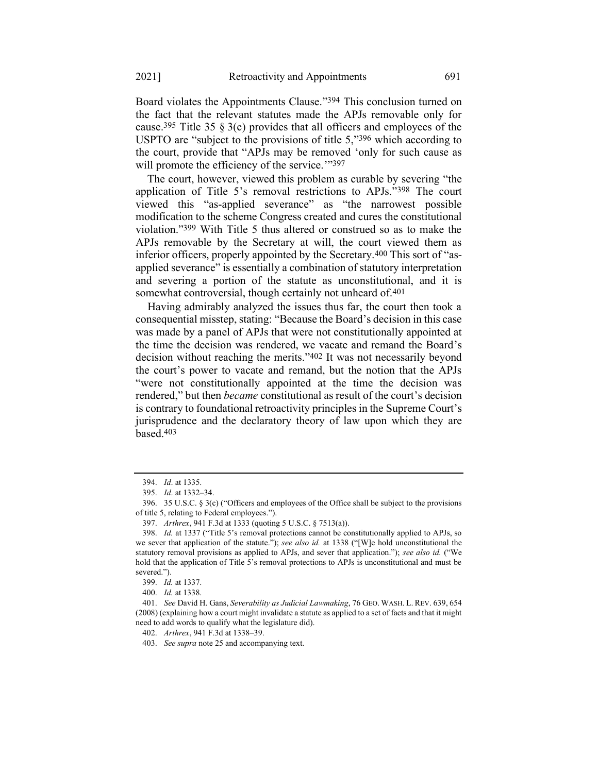Board violates the Appointments Clause."394 This conclusion turned on the fact that the relevant statutes made the APJs removable only for cause.<sup>395</sup> Title 35  $\S$  3(c) provides that all officers and employees of the USPTO are "subject to the provisions of title 5,"396 which according to the court, provide that "APJs may be removed 'only for such cause as will promote the efficiency of the service."397

The court, however, viewed this problem as curable by severing "the application of Title 5's removal restrictions to APJs."398 The court viewed this "as-applied severance" as "the narrowest possible modification to the scheme Congress created and cures the constitutional violation."399 With Title 5 thus altered or construed so as to make the APJs removable by the Secretary at will, the court viewed them as inferior officers, properly appointed by the Secretary.400 This sort of "asapplied severance" is essentially a combination of statutory interpretation and severing a portion of the statute as unconstitutional, and it is somewhat controversial, though certainly not unheard of.<sup>401</sup>

Having admirably analyzed the issues thus far, the court then took a consequential misstep, stating: "Because the Board's decision in this case was made by a panel of APJs that were not constitutionally appointed at the time the decision was rendered, we vacate and remand the Board's decision without reaching the merits."402 It was not necessarily beyond the court's power to vacate and remand, but the notion that the APJs "were not constitutionally appointed at the time the decision was rendered," but then *became* constitutional as result of the court's decision is contrary to foundational retroactivity principles in the Supreme Court's jurisprudence and the declaratory theory of law upon which they are based.403

<sup>394.</sup> *Id*. at 1335.

<sup>395.</sup> *Id*. at 1332–34.

<sup>396.</sup> 35 U.S.C. § 3(c) ("Officers and employees of the Office shall be subject to the provisions of title 5, relating to Federal employees.").

<sup>397.</sup> *Arthrex*, 941 F.3d at 1333 (quoting 5 U.S.C. § 7513(a)).

<sup>398.</sup> *Id.* at 1337 ("Title 5's removal protections cannot be constitutionally applied to APJs, so we sever that application of the statute."); *see also id.* at 1338 ("[W]e hold unconstitutional the statutory removal provisions as applied to APJs, and sever that application."); *see also id.* ("We hold that the application of Title 5's removal protections to APJs is unconstitutional and must be severed.").

<sup>399.</sup> *Id.* at 1337.

<sup>400.</sup> *Id.* at 1338.

<sup>401.</sup> *See* David H. Gans, *Severability as Judicial Lawmaking*, 76 GEO. WASH. L. REV. 639, 654 (2008) (explaining how a court might invalidate a statute as applied to a set of facts and that it might need to add words to qualify what the legislature did).

<sup>402.</sup> *Arthrex*, 941 F.3d at 1338–39.

<sup>403.</sup> *See supra* not[e 25](#page-8-1) and accompanying text.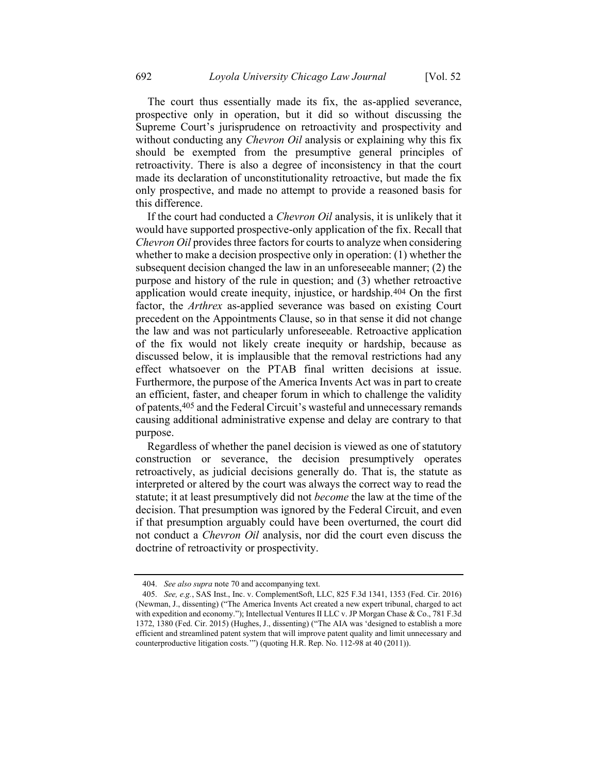The court thus essentially made its fix, the as-applied severance, prospective only in operation, but it did so without discussing the Supreme Court's jurisprudence on retroactivity and prospectivity and without conducting any *Chevron Oil* analysis or explaining why this fix should be exempted from the presumptive general principles of retroactivity. There is also a degree of inconsistency in that the court made its declaration of unconstitutionality retroactive, but made the fix only prospective, and made no attempt to provide a reasoned basis for this difference.

<span id="page-66-0"></span>If the court had conducted a *Chevron Oil* analysis, it is unlikely that it would have supported prospective-only application of the fix. Recall that *Chevron Oil* provides three factors for courts to analyze when considering whether to make a decision prospective only in operation: (1) whether the subsequent decision changed the law in an unforeseeable manner; (2) the purpose and history of the rule in question; and (3) whether retroactive application would create inequity, injustice, or hardship.404 On the first factor, the *Arthrex* as-applied severance was based on existing Court precedent on the Appointments Clause, so in that sense it did not change the law and was not particularly unforeseeable. Retroactive application of the fix would not likely create inequity or hardship, because as discussed below, it is implausible that the removal restrictions had any effect whatsoever on the PTAB final written decisions at issue. Furthermore, the purpose of the America Invents Act was in part to create an efficient, faster, and cheaper forum in which to challenge the validity of patents,405 and the Federal Circuit's wasteful and unnecessary remands causing additional administrative expense and delay are contrary to that purpose.

Regardless of whether the panel decision is viewed as one of statutory construction or severance, the decision presumptively operates retroactively, as judicial decisions generally do. That is, the statute as interpreted or altered by the court was always the correct way to read the statute; it at least presumptively did not *become* the law at the time of the decision. That presumption was ignored by the Federal Circuit, and even if that presumption arguably could have been overturned, the court did not conduct a *Chevron Oil* analysis, nor did the court even discuss the doctrine of retroactivity or prospectivity.

<sup>404.</sup> *See also supra* not[e 70](#page-15-0) and accompanying text.

<sup>405.</sup> *See, e.g.*, SAS Inst., Inc. v. ComplementSoft, LLC, 825 F.3d 1341, 1353 (Fed. Cir. 2016) (Newman, J., dissenting) ("The America Invents Act created a new expert tribunal, charged to act with expedition and economy."); Intellectual Ventures II LLC v. JP Morgan Chase & Co., 781 F.3d 1372, 1380 (Fed. Cir. 2015) (Hughes, J., dissenting) ("The AIA was 'designed to establish a more efficient and streamlined patent system that will improve patent quality and limit unnecessary and counterproductive litigation costs.'") (quoting H.R. Rep. No. 112-98 at 40 (2011)).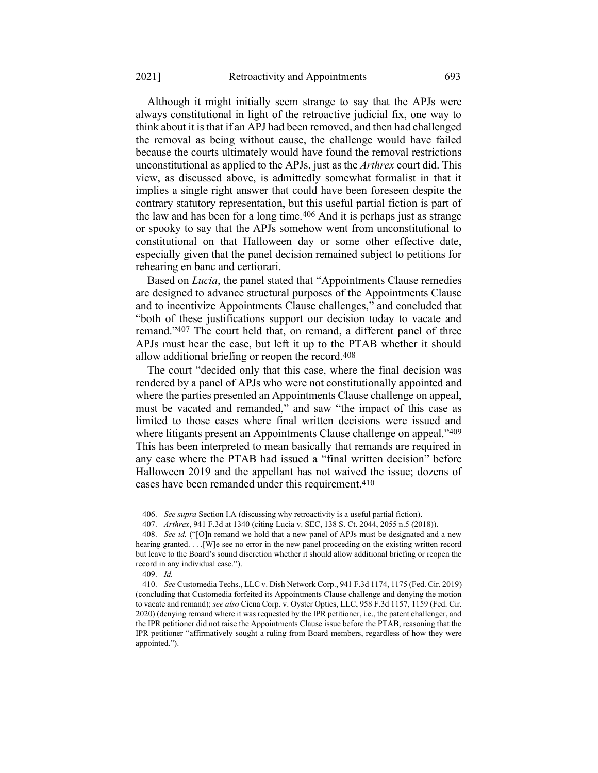Although it might initially seem strange to say that the APJs were always constitutional in light of the retroactive judicial fix, one way to think about it is that if an APJ had been removed, and then had challenged the removal as being without cause, the challenge would have failed because the courts ultimately would have found the removal restrictions unconstitutional as applied to the APJs, just as the *Arthrex* court did. This view, as discussed above, is admittedly somewhat formalist in that it implies a single right answer that could have been foreseen despite the contrary statutory representation, but this useful partial fiction is part of the law and has been for a long time.406 And it is perhaps just as strange or spooky to say that the APJs somehow went from unconstitutional to constitutional on that Halloween day or some other effective date, especially given that the panel decision remained subject to petitions for rehearing en banc and certiorari.

Based on *Lucia*, the panel stated that "Appointments Clause remedies are designed to advance structural purposes of the Appointments Clause and to incentivize Appointments Clause challenges," and concluded that "both of these justifications support our decision today to vacate and remand."407 The court held that, on remand, a different panel of three APJs must hear the case, but left it up to the PTAB whether it should allow additional briefing or reopen the record.408

The court "decided only that this case, where the final decision was rendered by a panel of APJs who were not constitutionally appointed and where the parties presented an Appointments Clause challenge on appeal, must be vacated and remanded," and saw "the impact of this case as limited to those cases where final written decisions were issued and where litigants present an Appointments Clause challenge on appeal."409 This has been interpreted to mean basically that remands are required in any case where the PTAB had issued a "final written decision" before Halloween 2019 and the appellant has not waived the issue; dozens of cases have been remanded under this requirement.410

<sup>406.</sup> *See supra* Section I.A (discussing why retroactivity is a useful partial fiction).

<sup>407.</sup> *Arthrex*, 941 F.3d at 1340 (citing Lucia v. SEC, 138 S. Ct. 2044, 2055 n.5 (2018)).

<sup>408.</sup> *See id.* ("[O]n remand we hold that a new panel of APJs must be designated and a new hearing granted. . . . [W]e see no error in the new panel proceeding on the existing written record but leave to the Board's sound discretion whether it should allow additional briefing or reopen the record in any individual case.").

<sup>409.</sup> *Id.*

<sup>410.</sup> *See* Customedia Techs., LLC v. Dish Network Corp., 941 F.3d 1174, 1175 (Fed. Cir. 2019) (concluding that Customedia forfeited its Appointments Clause challenge and denying the motion to vacate and remand); *see also* Ciena Corp. v. Oyster Optics, LLC, 958 F.3d 1157, 1159 (Fed. Cir. 2020) (denying remand where it was requested by the IPR petitioner, i.e., the patent challenger, and the IPR petitioner did not raise the Appointments Clause issue before the PTAB, reasoning that the IPR petitioner "affirmatively sought a ruling from Board members, regardless of how they were appointed.").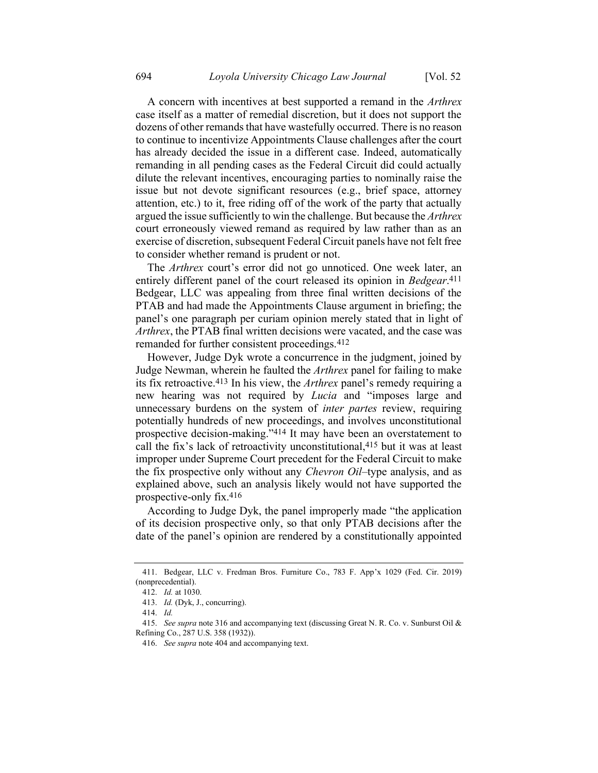A concern with incentives at best supported a remand in the *Arthrex* case itself as a matter of remedial discretion, but it does not support the dozens of other remands that have wastefully occurred. There is no reason to continue to incentivize Appointments Clause challenges after the court has already decided the issue in a different case. Indeed, automatically remanding in all pending cases as the Federal Circuit did could actually dilute the relevant incentives, encouraging parties to nominally raise the issue but not devote significant resources (e.g., brief space, attorney attention, etc.) to it, free riding off of the work of the party that actually argued the issue sufficiently to win the challenge. But because the *Arthrex* court erroneously viewed remand as required by law rather than as an exercise of discretion, subsequent Federal Circuit panels have not felt free to consider whether remand is prudent or not.

The *Arthrex* court's error did not go unnoticed. One week later, an entirely different panel of the court released its opinion in *Bedgear*. 411 Bedgear, LLC was appealing from three final written decisions of the PTAB and had made the Appointments Clause argument in briefing; the panel's one paragraph per curiam opinion merely stated that in light of *Arthrex*, the PTAB final written decisions were vacated, and the case was remanded for further consistent proceedings.412

However, Judge Dyk wrote a concurrence in the judgment, joined by Judge Newman, wherein he faulted the *Arthrex* panel for failing to make its fix retroactive.413 In his view, the *Arthrex* panel's remedy requiring a new hearing was not required by *Lucia* and "imposes large and unnecessary burdens on the system of *inter partes* review, requiring potentially hundreds of new proceedings, and involves unconstitutional prospective decision-making."414 It may have been an overstatement to call the fix's lack of retroactivity unconstitutional,415 but it was at least improper under Supreme Court precedent for the Federal Circuit to make the fix prospective only without any *Chevron Oil*–type analysis, and as explained above, such an analysis likely would not have supported the prospective-only fix.416

According to Judge Dyk, the panel improperly made "the application of its decision prospective only, so that only PTAB decisions after the date of the panel's opinion are rendered by a constitutionally appointed

<sup>411.</sup> Bedgear, LLC v. Fredman Bros. Furniture Co., 783 F. App'x 1029 (Fed. Cir. 2019) (nonprecedential).

<sup>412.</sup> *Id.* at 1030.

<sup>413.</sup> *Id.* (Dyk, J., concurring).

<sup>414.</sup> *Id.*

<sup>415.</sup> *See supra* not[e 316](#page-51-0) and accompanying text (discussing Great N. R. Co. v. Sunburst Oil & Refining Co., 287 U.S. 358 (1932)).

<sup>416.</sup> *See supra* not[e 404](#page-66-0) and accompanying text.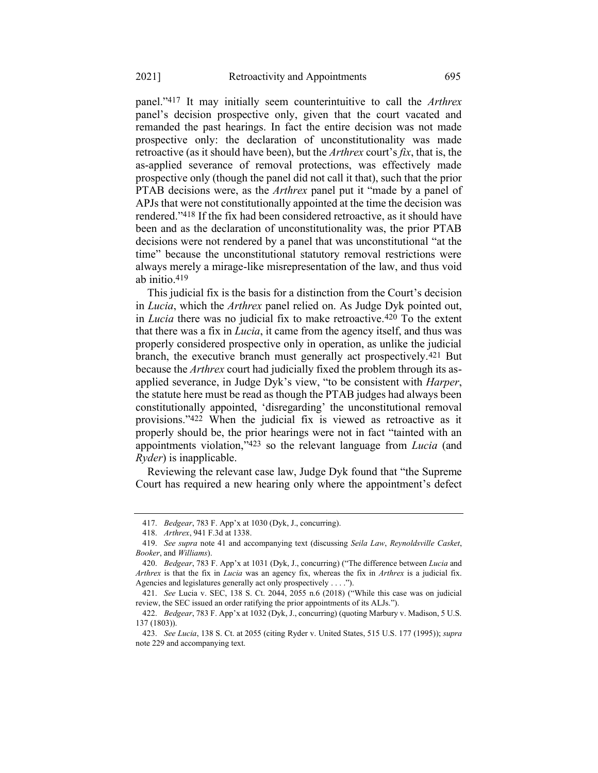panel."417 It may initially seem counterintuitive to call the *Arthrex* panel's decision prospective only, given that the court vacated and remanded the past hearings. In fact the entire decision was not made prospective only: the declaration of unconstitutionality was made retroactive (as it should have been), but the *Arthrex* court's *fix*, that is, the as-applied severance of removal protections, was effectively made prospective only (though the panel did not call it that), such that the prior PTAB decisions were, as the *Arthrex* panel put it "made by a panel of APJs that were not constitutionally appointed at the time the decision was rendered."418 If the fix had been considered retroactive, as it should have been and as the declaration of unconstitutionality was, the prior PTAB decisions were not rendered by a panel that was unconstitutional "at the time" because the unconstitutional statutory removal restrictions were always merely a mirage-like misrepresentation of the law, and thus void ab initio. 419

This judicial fix is the basis for a distinction from the Court's decision in *Lucia*, which the *Arthrex* panel relied on. As Judge Dyk pointed out, in *Lucia* there was no judicial fix to make retroactive.420 To the extent that there was a fix in *Lucia*, it came from the agency itself, and thus was properly considered prospective only in operation, as unlike the judicial branch, the executive branch must generally act prospectively.421 But because the *Arthrex* court had judicially fixed the problem through its asapplied severance, in Judge Dyk's view, "to be consistent with *Harper*, the statute here must be read as though the PTAB judges had always been constitutionally appointed, 'disregarding' the unconstitutional removal provisions."422 When the judicial fix is viewed as retroactive as it properly should be, the prior hearings were not in fact "tainted with an appointments violation,"423 so the relevant language from *Lucia* (and *Ryder*) is inapplicable.

Reviewing the relevant case law, Judge Dyk found that "the Supreme Court has required a new hearing only where the appointment's defect

<sup>417.</sup> *Bedgear*, 783 F. App'x at 1030 (Dyk, J., concurring).

<sup>418.</sup> *Arthrex*, 941 F.3d at 1338.

<sup>419.</sup> *See supra* note [41](#page-11-0) and accompanying text (discussing *Seila Law*, *Reynoldsville Casket*, *Booker*, and *Williams*).

<sup>420.</sup> *Bedgear*, 783 F. App'x at 1031 (Dyk, J., concurring) ("The difference between *Lucia* and *Arthrex* is that the fix in *Lucia* was an agency fix, whereas the fix in *Arthrex* is a judicial fix. Agencies and legislatures generally act only prospectively . . . .").

<sup>421.</sup> *See* Lucia v. SEC, 138 S. Ct. 2044, 2055 n.6 (2018) ("While this case was on judicial review, the SEC issued an order ratifying the prior appointments of its ALJs.").

<sup>422.</sup> *Bedgear*, 783 F. App'x at 1032 (Dyk, J., concurring) (quoting Marbury v. Madison, 5 U.S. 137 (1803)).

<sup>423.</sup> *See Lucia*, 138 S. Ct. at 2055 (citing Ryder v. United States, 515 U.S. 177 (1995)); *supra*  note [229](#page-38-0) and accompanying text.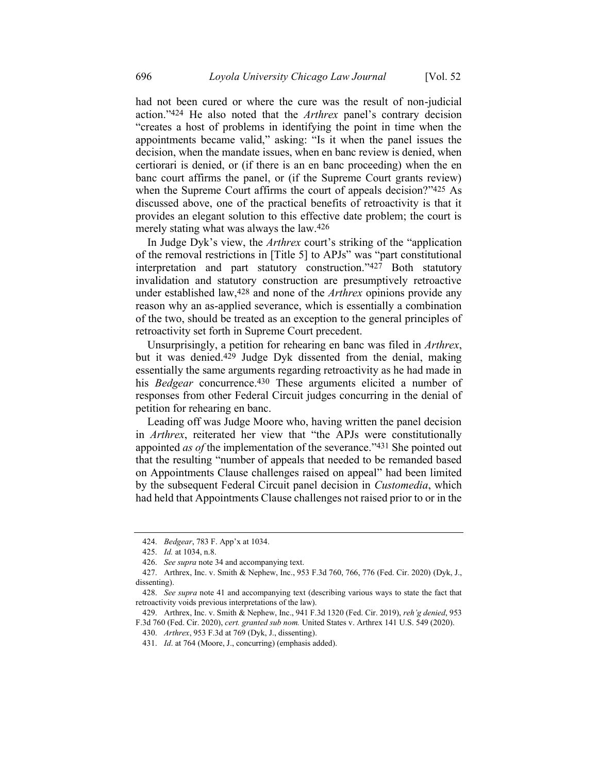had not been cured or where the cure was the result of non-judicial action."424 He also noted that the *Arthrex* panel's contrary decision "creates a host of problems in identifying the point in time when the appointments became valid," asking: "Is it when the panel issues the decision, when the mandate issues, when en banc review is denied, when certiorari is denied, or (if there is an en banc proceeding) when the en banc court affirms the panel, or (if the Supreme Court grants review) when the Supreme Court affirms the court of appeals decision?"425 As discussed above, one of the practical benefits of retroactivity is that it provides an elegant solution to this effective date problem; the court is merely stating what was always the law.426

In Judge Dyk's view, the *Arthrex* court's striking of the "application of the removal restrictions in [Title 5] to APJs" was "part constitutional interpretation and part statutory construction."427 Both statutory invalidation and statutory construction are presumptively retroactive under established law,428 and none of the *Arthrex* opinions provide any reason why an as-applied severance, which is essentially a combination of the two, should be treated as an exception to the general principles of retroactivity set forth in Supreme Court precedent.

Unsurprisingly, a petition for rehearing en banc was filed in *Arthrex*, but it was denied.429 Judge Dyk dissented from the denial, making essentially the same arguments regarding retroactivity as he had made in his *Bedgear* concurrence.430 These arguments elicited a number of responses from other Federal Circuit judges concurring in the denial of petition for rehearing en banc.

Leading off was Judge Moore who, having written the panel decision in *Arthrex*, reiterated her view that "the APJs were constitutionally appointed *as of* the implementation of the severance."431 She pointed out that the resulting "number of appeals that needed to be remanded based on Appointments Clause challenges raised on appeal" had been limited by the subsequent Federal Circuit panel decision in *Customedia*, which had held that Appointments Clause challenges not raised prior to or in the

<sup>424.</sup> *Bedgear*, 783 F. App'x at 1034.

<sup>425.</sup> *Id.* at 1034, n.8.

<sup>426.</sup> *See supra* not[e 34](#page-9-1) and accompanying text.

<sup>427.</sup> Arthrex, Inc. v. Smith & Nephew, Inc., 953 F.3d 760, 766, 776 (Fed. Cir. 2020) (Dyk, J., dissenting).

<sup>428.</sup> *See supra* not[e 41](#page-11-0) and accompanying text (describing various ways to state the fact that retroactivity voids previous interpretations of the law).

<sup>429.</sup> Arthrex, Inc. v. Smith & Nephew, Inc., 941 F.3d 1320 (Fed. Cir. 2019), *reh'g denied*, 953 F.3d 760 (Fed. Cir. 2020), *cert. granted sub nom.* United States v. Arthrex 141 U.S. 549 (2020).

<sup>430.</sup> *Arthrex*, 953 F.3d at 769 (Dyk, J., dissenting).

<sup>431.</sup> *Id*. at 764 (Moore, J., concurring) (emphasis added).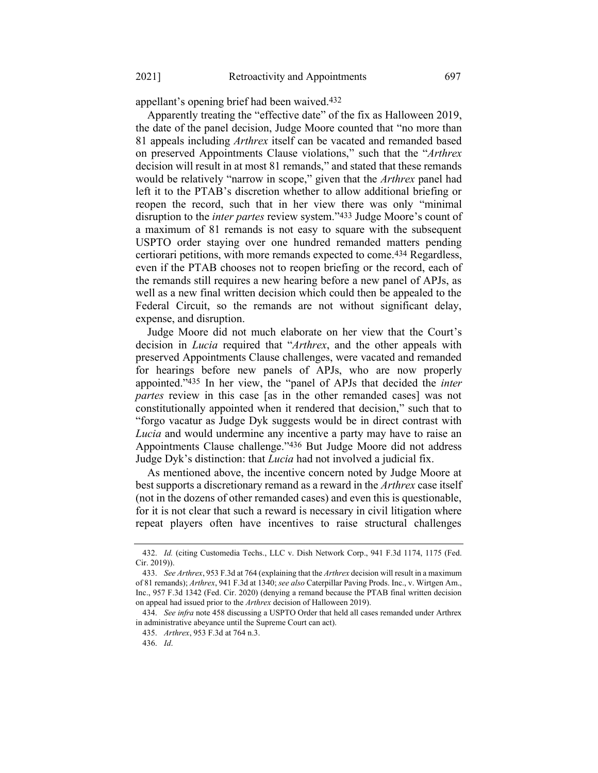appellant's opening brief had been waived.432

Apparently treating the "effective date" of the fix as Halloween 2019, the date of the panel decision, Judge Moore counted that "no more than 81 appeals including *Arthrex* itself can be vacated and remanded based on preserved Appointments Clause violations," such that the "*Arthrex* decision will result in at most 81 remands," and stated that these remands would be relatively "narrow in scope," given that the *Arthrex* panel had left it to the PTAB's discretion whether to allow additional briefing or reopen the record, such that in her view there was only "minimal disruption to the *inter partes* review system."433 Judge Moore's count of a maximum of 81 remands is not easy to square with the subsequent USPTO order staying over one hundred remanded matters pending certiorari petitions, with more remands expected to come.434 Regardless, even if the PTAB chooses not to reopen briefing or the record, each of the remands still requires a new hearing before a new panel of APJs, as well as a new final written decision which could then be appealed to the Federal Circuit, so the remands are not without significant delay, expense, and disruption.

Judge Moore did not much elaborate on her view that the Court's decision in *Lucia* required that "*Arthrex*, and the other appeals with preserved Appointments Clause challenges, were vacated and remanded for hearings before new panels of APJs, who are now properly appointed."435 In her view, the "panel of APJs that decided the *inter partes* review in this case [as in the other remanded cases] was not constitutionally appointed when it rendered that decision," such that to "forgo vacatur as Judge Dyk suggests would be in direct contrast with *Lucia* and would undermine any incentive a party may have to raise an Appointments Clause challenge."436 But Judge Moore did not address Judge Dyk's distinction: that *Lucia* had not involved a judicial fix.

As mentioned above, the incentive concern noted by Judge Moore at best supports a discretionary remand as a reward in the *Arthrex* case itself (not in the dozens of other remanded cases) and even this is questionable, for it is not clear that such a reward is necessary in civil litigation where repeat players often have incentives to raise structural challenges

<sup>432.</sup> *Id.* (citing Customedia Techs., LLC v. Dish Network Corp., 941 F.3d 1174, 1175 (Fed. Cir. 2019)).

<sup>433.</sup> *See Arthrex*, 953 F.3d at 764 (explaining that the *Arthrex* decision will result in a maximum of 81 remands); *Arthrex*, 941 F.3d at 1340; *see also* Caterpillar Paving Prods. Inc., v. Wirtgen Am., Inc., 957 F.3d 1342 (Fed. Cir. 2020) (denying a remand because the PTAB final written decision on appeal had issued prior to the *Arthrex* decision of Halloween 2019).

<sup>434.</sup> *See infra* not[e 458](#page-76-0) discussing a USPTO Order that held all cases remanded under Arthrex in administrative abeyance until the Supreme Court can act).

<sup>435.</sup> *Arthrex*, 953 F.3d at 764 n.3.

<sup>436.</sup> *Id*.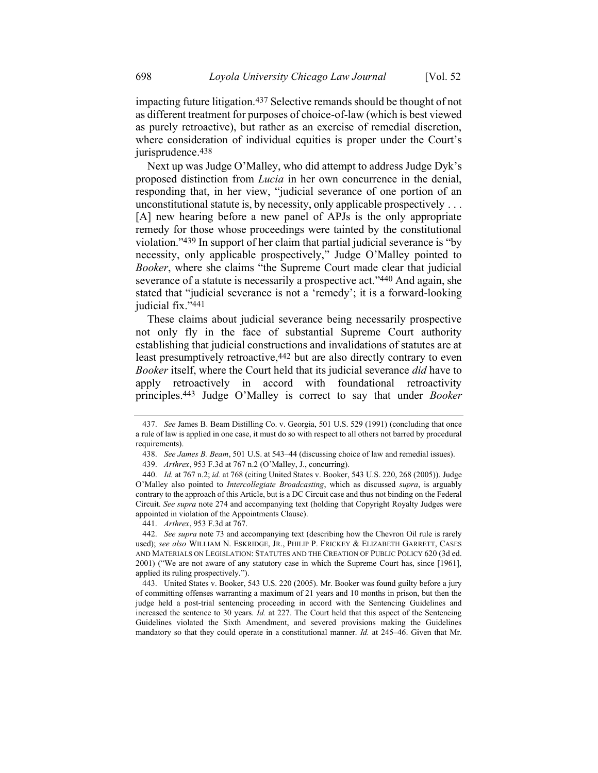impacting future litigation.437 Selective remands should be thought of not as different treatment for purposes of choice-of-law (which is best viewed as purely retroactive), but rather as an exercise of remedial discretion, where consideration of individual equities is proper under the Court's jurisprudence. 438

Next up was Judge O'Malley, who did attempt to address Judge Dyk's proposed distinction from *Lucia* in her own concurrence in the denial, responding that, in her view, "judicial severance of one portion of an unconstitutional statute is, by necessity, only applicable prospectively . . . [A] new hearing before a new panel of APJs is the only appropriate remedy for those whose proceedings were tainted by the constitutional violation."439 In support of her claim that partial judicial severance is "by necessity, only applicable prospectively," Judge O'Malley pointed to *Booker*, where she claims "the Supreme Court made clear that judicial severance of a statute is necessarily a prospective act."440 And again, she stated that "judicial severance is not a 'remedy'; it is a forward-looking judicial fix."441

These claims about judicial severance being necessarily prospective not only fly in the face of substantial Supreme Court authority establishing that judicial constructions and invalidations of statutes are at least presumptively retroactive, <sup>442</sup> but are also directly contrary to even *Booker* itself, where the Court held that its judicial severance *did* have to apply retroactively in accord with foundational retroactivity principles.443 Judge O'Malley is correct to say that under *Booker*

441. *Arthrex*, 953 F.3d at 767.

<sup>437.</sup> *See* James B. Beam Distilling Co. v. Georgia, 501 U.S. 529 (1991) (concluding that once a rule of law is applied in one case, it must do so with respect to all others not barred by procedural requirements).

<sup>438.</sup> *See James B. Beam*, 501 U.S. at 543–44 (discussing choice of law and remedial issues).

<sup>439.</sup> *Arthrex*, 953 F.3d at 767 n.2 (O'Malley, J., concurring).

<sup>440.</sup> *Id.* at 767 n.2; *id.* at 768 (citing United States v. Booker, 543 U.S. 220, 268 (2005)). Judge O'Malley also pointed to *Intercollegiate Broadcasting*, which as discussed *supra*, is arguably contrary to the approach of this Article, but is a DC Circuit case and thus not binding on the Federal Circuit. *See supra* not[e 274](#page-45-0) and accompanying text (holding that Copyright Royalty Judges were appointed in violation of the Appointments Clause).

<sup>442.</sup> *See supra* note [73](#page-16-0) and accompanying text (describing how the Chevron Oil rule is rarely used); *see also* WILLIAM N. ESKRIDGE, JR., PHILIP P. FRICKEY & ELIZABETH GARRETT, CASES AND MATERIALS ON LEGISLATION: STATUTES AND THE CREATION OF PUBLIC POLICY 620 (3d ed. 2001) ("We are not aware of any statutory case in which the Supreme Court has, since [1961], applied its ruling prospectively.").

<sup>443.</sup> United States v. Booker, 543 U.S. 220 (2005). Mr. Booker was found guilty before a jury of committing offenses warranting a maximum of 21 years and 10 months in prison, but then the judge held a post-trial sentencing proceeding in accord with the Sentencing Guidelines and increased the sentence to 30 years. *Id.* at 227. The Court held that this aspect of the Sentencing Guidelines violated the Sixth Amendment, and severed provisions making the Guidelines mandatory so that they could operate in a constitutional manner. *Id.* at 245–46. Given that Mr.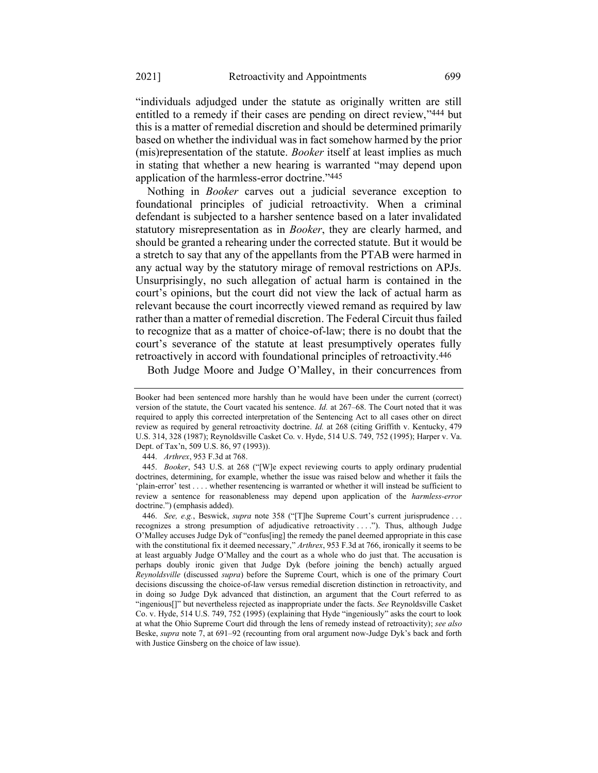"individuals adjudged under the statute as originally written are still entitled to a remedy if their cases are pending on direct review,"444 but this is a matter of remedial discretion and should be determined primarily based on whether the individual was in fact somehow harmed by the prior (mis)representation of the statute. *Booker* itself at least implies as much in stating that whether a new hearing is warranted "may depend upon application of the harmless-error doctrine."445

Nothing in *Booker* carves out a judicial severance exception to foundational principles of judicial retroactivity. When a criminal defendant is subjected to a harsher sentence based on a later invalidated statutory misrepresentation as in *Booker*, they are clearly harmed, and should be granted a rehearing under the corrected statute. But it would be a stretch to say that any of the appellants from the PTAB were harmed in any actual way by the statutory mirage of removal restrictions on APJs. Unsurprisingly, no such allegation of actual harm is contained in the court's opinions, but the court did not view the lack of actual harm as relevant because the court incorrectly viewed remand as required by law rather than a matter of remedial discretion. The Federal Circuit thus failed to recognize that as a matter of choice-of-law; there is no doubt that the court's severance of the statute at least presumptively operates fully retroactively in accord with foundational principles of retroactivity.446

Both Judge Moore and Judge O'Malley, in their concurrences from

Booker had been sentenced more harshly than he would have been under the current (correct) version of the statute, the Court vacated his sentence. *Id.* at 267–68. The Court noted that it was required to apply this corrected interpretation of the Sentencing Act to all cases other on direct review as required by general retroactivity doctrine. *Id.* at 268 (citing Griffith v. Kentucky, 479 U.S. 314, 328 (1987); Reynoldsville Casket Co. v. Hyde, 514 U.S. 749, 752 (1995); Harper v. Va. Dept. of Tax'n, 509 U.S. 86, 97 (1993)).

<sup>444.</sup> *Arthrex*, 953 F.3d at 768.

<sup>445.</sup> *Booker*, 543 U.S. at 268 ("[W]e expect reviewing courts to apply ordinary prudential doctrines, determining, for example, whether the issue was raised below and whether it fails the 'plain-error' test . . . . whether resentencing is warranted or whether it will instead be sufficient to review a sentence for reasonableness may depend upon application of the *harmless-error* doctrine.") (emphasis added).

<sup>446.</sup> *See, e.g.*, Beswick, *supra* note [358](#page-59-0) ("[T]he Supreme Court's current jurisprudence . . . recognizes a strong presumption of adjudicative retroactivity . . . ."). Thus, although Judge O'Malley accuses Judge Dyk of "confus[ing] the remedy the panel deemed appropriate in this case with the constitutional fix it deemed necessary," *Arthrex*, 953 F.3d at 766, ironically it seems to be at least arguably Judge O'Malley and the court as a whole who do just that. The accusation is perhaps doubly ironic given that Judge Dyk (before joining the bench) actually argued *Reynoldsville* (discussed *supra*) before the Supreme Court, which is one of the primary Court decisions discussing the choice-of-law versus remedial discretion distinction in retroactivity, and in doing so Judge Dyk advanced that distinction, an argument that the Court referred to as "ingenious[]" but nevertheless rejected as inappropriate under the facts. *See* Reynoldsville Casket Co. v. Hyde, 514 U.S. 749, 752 (1995) (explaining that Hyde "ingeniously" asks the court to look at what the Ohio Supreme Court did through the lens of remedy instead of retroactivity); *see also* Beske, *supra* note [7,](#page-3-0) at 691–92 (recounting from oral argument now-Judge Dyk's back and forth with Justice Ginsberg on the choice of law issue).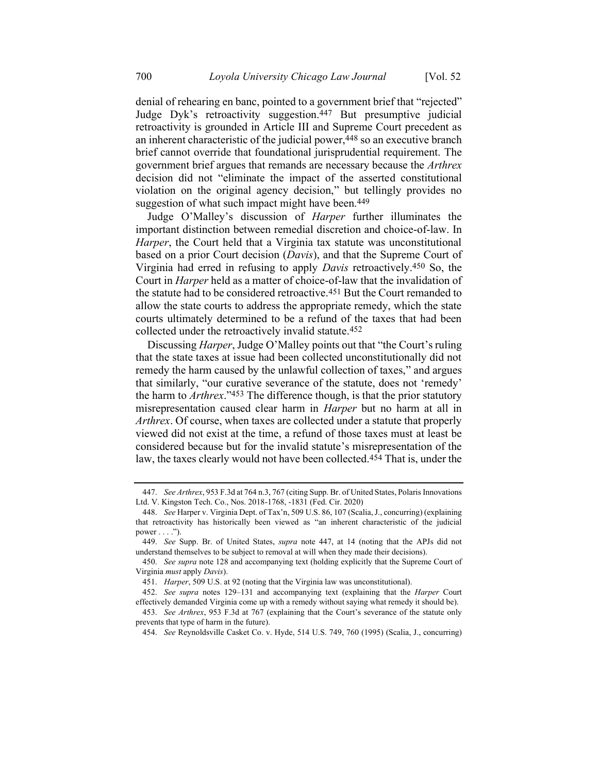<span id="page-74-0"></span>denial of rehearing en banc, pointed to a government brief that "rejected" Judge Dyk's retroactivity suggestion.447 But presumptive judicial retroactivity is grounded in Article III and Supreme Court precedent as an inherent characteristic of the judicial power,<sup>448</sup> so an executive branch brief cannot override that foundational jurisprudential requirement. The government brief argues that remands are necessary because the *Arthrex* decision did not "eliminate the impact of the asserted constitutional violation on the original agency decision," but tellingly provides no suggestion of what such impact might have been.<sup>449</sup>

Judge O'Malley's discussion of *Harper* further illuminates the important distinction between remedial discretion and choice-of-law. In *Harper*, the Court held that a Virginia tax statute was unconstitutional based on a prior Court decision (*Davis*), and that the Supreme Court of Virginia had erred in refusing to apply *Davis* retroactively.450 So, the Court in *Harper* held as a matter of choice-of-law that the invalidation of the statute had to be considered retroactive.451 But the Court remanded to allow the state courts to address the appropriate remedy, which the state courts ultimately determined to be a refund of the taxes that had been collected under the retroactively invalid statute.452

Discussing *Harper*, Judge O'Malley points out that "the Court's ruling that the state taxes at issue had been collected unconstitutionally did not remedy the harm caused by the unlawful collection of taxes," and argues that similarly, "our curative severance of the statute, does not 'remedy' the harm to *Arthrex*."453 The difference though, is that the prior statutory misrepresentation caused clear harm in *Harper* but no harm at all in *Arthrex*. Of course, when taxes are collected under a statute that properly viewed did not exist at the time, a refund of those taxes must at least be considered because but for the invalid statute's misrepresentation of the law, the taxes clearly would not have been collected.454 That is, under the

<sup>447.</sup> *See Arthrex*, 953 F.3d at 764 n.3, 767 (citing Supp. Br. of United States, Polaris Innovations Ltd. V. Kingston Tech. Co., Nos. 2018-1768, -1831 (Fed. Cir. 2020)

<sup>448.</sup> *See* Harper v. Virginia Dept. of Tax'n, 509 U.S. 86, 107 (Scalia, J., concurring) (explaining that retroactivity has historically been viewed as "an inherent characteristic of the judicial power  $\dots$ .").

<sup>449.</sup> *See* Supp. Br. of United States, *supra* note [447,](#page-74-0) at 14 (noting that the APJs did not understand themselves to be subject to removal at will when they made their decisions).

<sup>450.</sup> *See supra* note [128](#page-22-0) and accompanying text (holding explicitly that the Supreme Court of Virginia *must* apply *Davis*).

<sup>451.</sup> *Harper*, 509 U.S. at 92 (noting that the Virginia law was unconstitutional).

<sup>452.</sup> *See supra* notes [129](#page-22-1)–[131](#page-23-0) and accompanying text (explaining that the *Harper* Court effectively demanded Virginia come up with a remedy without saying what remedy it should be).

<sup>453.</sup> *See Arthrex*, 953 F.3d at 767 (explaining that the Court's severance of the statute only prevents that type of harm in the future).

<sup>454.</sup> *See* Reynoldsville Casket Co. v. Hyde, 514 U.S. 749, 760 (1995) (Scalia, J., concurring)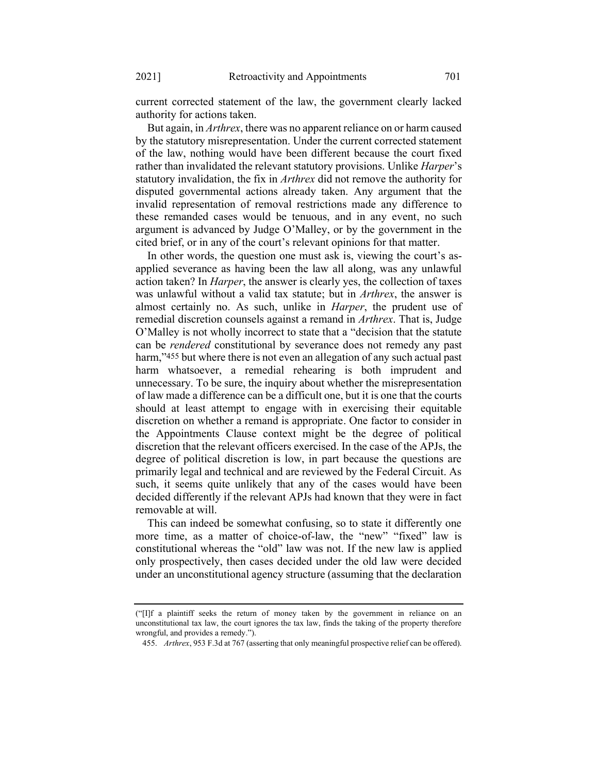current corrected statement of the law, the government clearly lacked authority for actions taken.

But again, in *Arthrex*, there was no apparent reliance on or harm caused by the statutory misrepresentation. Under the current corrected statement of the law, nothing would have been different because the court fixed rather than invalidated the relevant statutory provisions. Unlike *Harper*'s statutory invalidation, the fix in *Arthrex* did not remove the authority for disputed governmental actions already taken. Any argument that the invalid representation of removal restrictions made any difference to these remanded cases would be tenuous, and in any event, no such argument is advanced by Judge O'Malley, or by the government in the cited brief, or in any of the court's relevant opinions for that matter.

In other words, the question one must ask is, viewing the court's asapplied severance as having been the law all along, was any unlawful action taken? In *Harper*, the answer is clearly yes, the collection of taxes was unlawful without a valid tax statute; but in *Arthrex*, the answer is almost certainly no. As such, unlike in *Harper*, the prudent use of remedial discretion counsels against a remand in *Arthrex*. That is, Judge O'Malley is not wholly incorrect to state that a "decision that the statute can be *rendered* constitutional by severance does not remedy any past harm,"455 but where there is not even an allegation of any such actual past harm whatsoever, a remedial rehearing is both imprudent and unnecessary. To be sure, the inquiry about whether the misrepresentation of law made a difference can be a difficult one, but it is one that the courts should at least attempt to engage with in exercising their equitable discretion on whether a remand is appropriate. One factor to consider in the Appointments Clause context might be the degree of political discretion that the relevant officers exercised. In the case of the APJs, the degree of political discretion is low, in part because the questions are primarily legal and technical and are reviewed by the Federal Circuit. As such, it seems quite unlikely that any of the cases would have been decided differently if the relevant APJs had known that they were in fact removable at will.

This can indeed be somewhat confusing, so to state it differently one more time, as a matter of choice-of-law, the "new" "fixed" law is constitutional whereas the "old" law was not. If the new law is applied only prospectively, then cases decided under the old law were decided under an unconstitutional agency structure (assuming that the declaration

<sup>(</sup>"[I]f a plaintiff seeks the return of money taken by the government in reliance on an unconstitutional tax law, the court ignores the tax law, finds the taking of the property therefore wrongful, and provides a remedy.").

<sup>455.</sup> *Arthrex*, 953 F.3d at 767 (asserting that only meaningful prospective relief can be offered).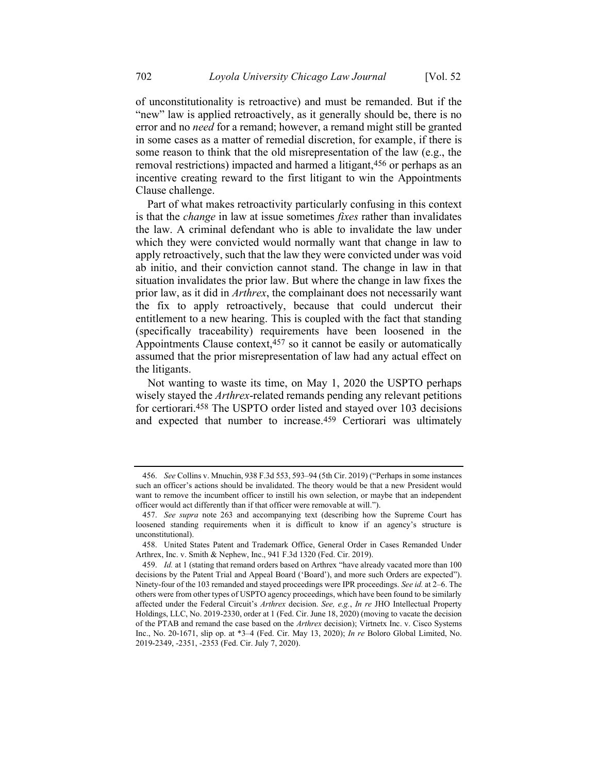of unconstitutionality is retroactive) and must be remanded. But if the "new" law is applied retroactively, as it generally should be, there is no error and no *need* for a remand; however, a remand might still be granted in some cases as a matter of remedial discretion, for example, if there is some reason to think that the old misrepresentation of the law (e.g., the removal restrictions) impacted and harmed a litigant, 456 or perhaps as an incentive creating reward to the first litigant to win the Appointments Clause challenge.

Part of what makes retroactivity particularly confusing in this context is that the *change* in law at issue sometimes *fixes* rather than invalidates the law. A criminal defendant who is able to invalidate the law under which they were convicted would normally want that change in law to apply retroactively, such that the law they were convicted under was void ab initio, and their conviction cannot stand. The change in law in that situation invalidates the prior law. But where the change in law fixes the prior law, as it did in *Arthrex*, the complainant does not necessarily want the fix to apply retroactively, because that could undercut their entitlement to a new hearing. This is coupled with the fact that standing (specifically traceability) requirements have been loosened in the Appointments Clause context,457 so it cannot be easily or automatically assumed that the prior misrepresentation of law had any actual effect on the litigants.

Not wanting to waste its time, on May 1, 2020 the USPTO perhaps wisely stayed the *Arthrex*-related remands pending any relevant petitions for certiorari.458 The USPTO order listed and stayed over 103 decisions and expected that number to increase.459 Certiorari was ultimately

<sup>456.</sup> *See* Collins v. Mnuchin, 938 F.3d 553, 593–94 (5th Cir. 2019) ("Perhaps in some instances such an officer's actions should be invalidated. The theory would be that a new President would want to remove the incumbent officer to instill his own selection, or maybe that an independent officer would act differently than if that officer were removable at will.").

<sup>457.</sup> *See supra* note [263](#page-43-0) and accompanying text (describing how the Supreme Court has loosened standing requirements when it is difficult to know if an agency's structure is unconstitutional).

<sup>458.</sup> United States Patent and Trademark Office, General Order in Cases Remanded Under Arthrex, Inc. v. Smith & Nephew, Inc., 941 F.3d 1320 (Fed. Cir. 2019).

<sup>459.</sup> *Id.* at 1 (stating that remand orders based on Arthrex "have already vacated more than 100 decisions by the Patent Trial and Appeal Board ('Board'), and more such Orders are expected"). Ninety-four of the 103 remanded and stayed proceedings were IPR proceedings. *See id.* at 2–6. The others were from other types of USPTO agency proceedings, which have been found to be similarly affected under the Federal Circuit's *Arthrex* decision. *See, e.g.*, *In re* JHO Intellectual Property Holdings, LLC, No. 2019-2330, order at 1 (Fed. Cir. June 18, 2020) (moving to vacate the decision of the PTAB and remand the case based on the *Arthrex* decision); Virtnetx Inc. v. Cisco Systems Inc., No. 20-1671, slip op. at \*3–4 (Fed. Cir. May 13, 2020); *In re* Boloro Global Limited, No. 2019-2349, -2351, -2353 (Fed. Cir. July 7, 2020).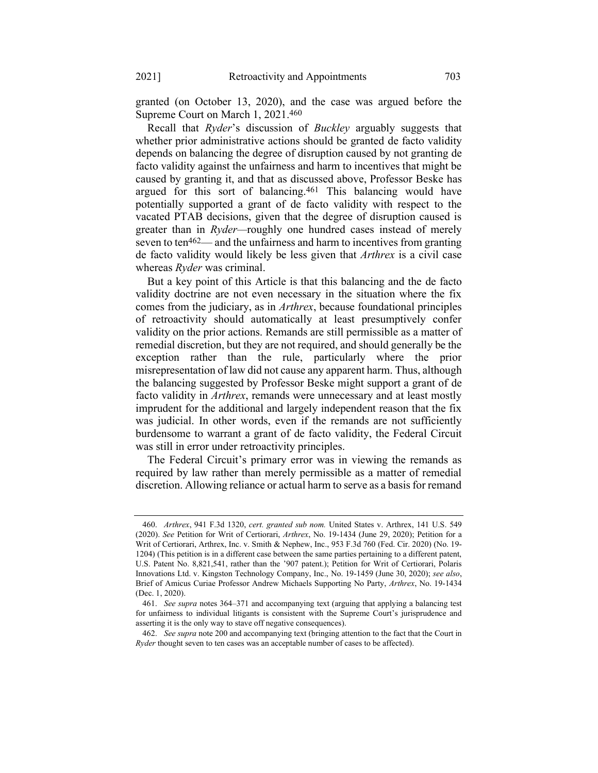granted (on October 13, 2020), and the case was argued before the Supreme Court on March 1, 2021. 460

Recall that *Ryder*'s discussion of *Buckley* arguably suggests that whether prior administrative actions should be granted de facto validity depends on balancing the degree of disruption caused by not granting de facto validity against the unfairness and harm to incentives that might be caused by granting it, and that as discussed above, Professor Beske has argued for this sort of balancing.461 This balancing would have potentially supported a grant of de facto validity with respect to the vacated PTAB decisions, given that the degree of disruption caused is greater than in *Ryder—*roughly one hundred cases instead of merely seven to ten462— and the unfairness and harm to incentives from granting de facto validity would likely be less given that *Arthrex* is a civil case whereas *Ryder* was criminal.

But a key point of this Article is that this balancing and the de facto validity doctrine are not even necessary in the situation where the fix comes from the judiciary, as in *Arthrex*, because foundational principles of retroactivity should automatically at least presumptively confer validity on the prior actions. Remands are still permissible as a matter of remedial discretion, but they are not required, and should generally be the exception rather than the rule, particularly where the prior misrepresentation of law did not cause any apparent harm. Thus, although the balancing suggested by Professor Beske might support a grant of de facto validity in *Arthrex*, remands were unnecessary and at least mostly imprudent for the additional and largely independent reason that the fix was judicial. In other words, even if the remands are not sufficiently burdensome to warrant a grant of de facto validity, the Federal Circuit was still in error under retroactivity principles.

The Federal Circuit's primary error was in viewing the remands as required by law rather than merely permissible as a matter of remedial discretion. Allowing reliance or actual harm to serve as a basis for remand

<sup>460.</sup> *Arthrex*, 941 F.3d 1320, *cert. granted sub nom.* United States v. Arthrex, 141 U.S. 549 (2020). *See* Petition for Writ of Certiorari, *Arthrex*, No. 19-1434 (June 29, 2020); Petition for a Writ of Certiorari, Arthrex, Inc. v. Smith & Nephew, Inc., 953 F.3d 760 (Fed. Cir. 2020) (No. 19- 1204) (This petition is in a different case between the same parties pertaining to a different patent, U.S. Patent No. 8,821,541, rather than the '907 patent.); Petition for Writ of Certiorari, Polaris Innovations Ltd. v. Kingston Technology Company, Inc., No. 19-1459 (June 30, 2020); *see also*, Brief of Amicus Curiae Professor Andrew Michaels Supporting No Party, *Arthrex*, No. 19-1434 (Dec. 1, 2020).

<sup>461.</sup> *See supra* notes [364](#page-60-0)–[371](#page-61-0) and accompanying text (arguing that applying a balancing test for unfairness to individual litigants is consistent with the Supreme Court's jurisprudence and asserting it is the only way to stave off negative consequences).

<sup>462.</sup> *See supra* not[e 200](#page-33-0) and accompanying text (bringing attention to the fact that the Court in *Ryder* thought seven to ten cases was an acceptable number of cases to be affected).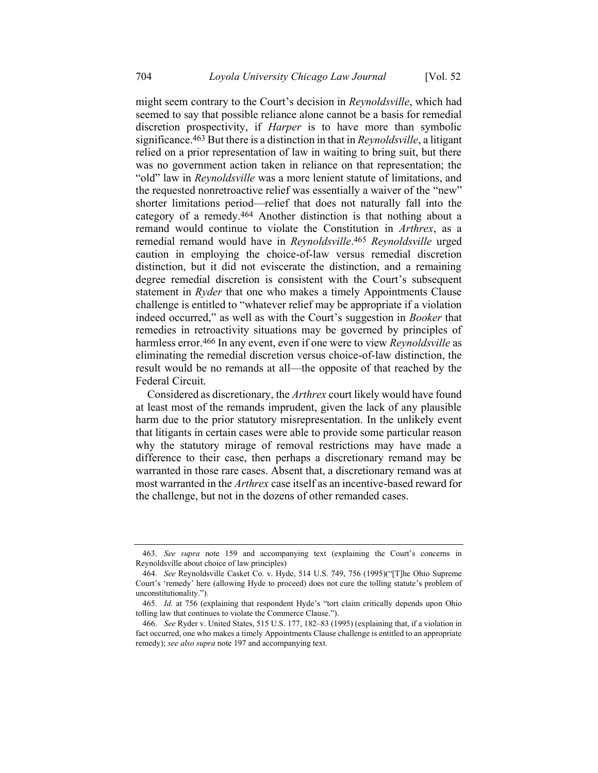might seem contrary to the Court's decision in *Reynoldsville*, which had seemed to say that possible reliance alone cannot be a basis for remedial discretion prospectivity, if *Harper* is to have more than symbolic significance.463 But there is a distinction in that in *Reynoldsville*, a litigant relied on a prior representation of law in waiting to bring suit, but there was no government action taken in reliance on that representation; the "old" law in *Reynoldsville* was a more lenient statute of limitations, and the requested nonretroactive relief was essentially a waiver of the "new" shorter limitations period—relief that does not naturally fall into the category of a remedy.464 Another distinction is that nothing about a remand would continue to violate the Constitution in *Arthrex*, as a remedial remand would have in *Reynoldsville*. 465 *Reynoldsville* urged caution in employing the choice-of-law versus remedial discretion distinction, but it did not eviscerate the distinction, and a remaining degree remedial discretion is consistent with the Court's subsequent statement in *Ryder* that one who makes a timely Appointments Clause challenge is entitled to "whatever relief may be appropriate if a violation indeed occurred," as well as with the Court's suggestion in *Booker* that remedies in retroactivity situations may be governed by principles of harmless error.466 In any event, even if one were to view *Reynoldsville* as eliminating the remedial discretion versus choice-of-law distinction, the result would be no remands at all—the opposite of that reached by the Federal Circuit.

Considered as discretionary, the *Arthrex* court likely would have found at least most of the remands imprudent, given the lack of any plausible harm due to the prior statutory misrepresentation. In the unlikely event that litigants in certain cases were able to provide some particular reason why the statutory mirage of removal restrictions may have made a difference to their case, then perhaps a discretionary remand may be warranted in those rare cases. Absent that, a discretionary remand was at most warranted in the *Arthrex* case itself as an incentive-based reward for the challenge, but not in the dozens of other remanded cases.

<sup>463.</sup> *See supra* note [159](#page-27-0) and accompanying text (explaining the Court's concerns in Reynoldsville about choice of law principles)

<sup>464.</sup> *See* Reynoldsville Casket Co. v. Hyde, 514 U.S. 749, 756 (1995)("[T]he Ohio Supreme Court's 'remedy' here (allowing Hyde to proceed) does not cure the tolling statute's problem of unconstitutionality.").

<sup>465.</sup> *Id.* at 756 (explaining that respondent Hyde's "tort claim critically depends upon Ohio tolling law that continues to violate the Commerce Clause.").

<sup>466.</sup> *See* Ryder v. United States, 515 U.S. 177, 182–83 (1995) (explaining that, if a violation in fact occurred, one who makes a timely Appointments Clause challenge is entitled to an appropriate remedy); *see also supra* not[e 197](#page-33-1) and accompanying text.